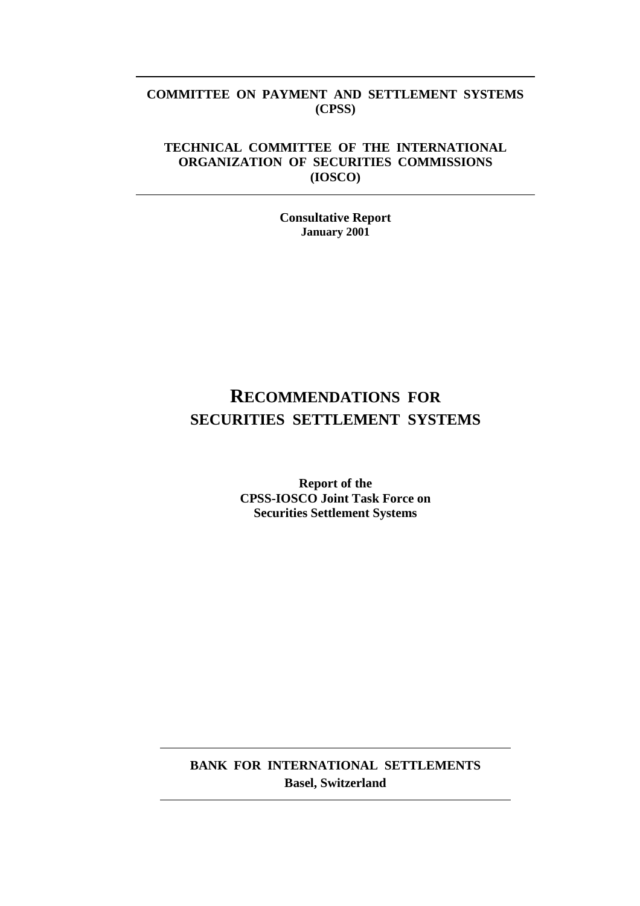## **COMMITTEE ON PAYMENT AND SETTLEMENT SYSTEMS (CPSS)**

## **TECHNICAL COMMITTEE OF THE INTERNATIONAL ORGANIZATION OF SECURITIES COMMISSIONS (IOSCO)**

**Consultative Report January 2001**

# **RECOMMENDATIONS FOR SECURITIES SETTLEMENT SYSTEMS**

**Report of the CPSS-IOSCO Joint Task Force on Securities Settlement Systems**

**BANK FOR INTERNATIONAL SETTLEMENTS Basel, Switzerland**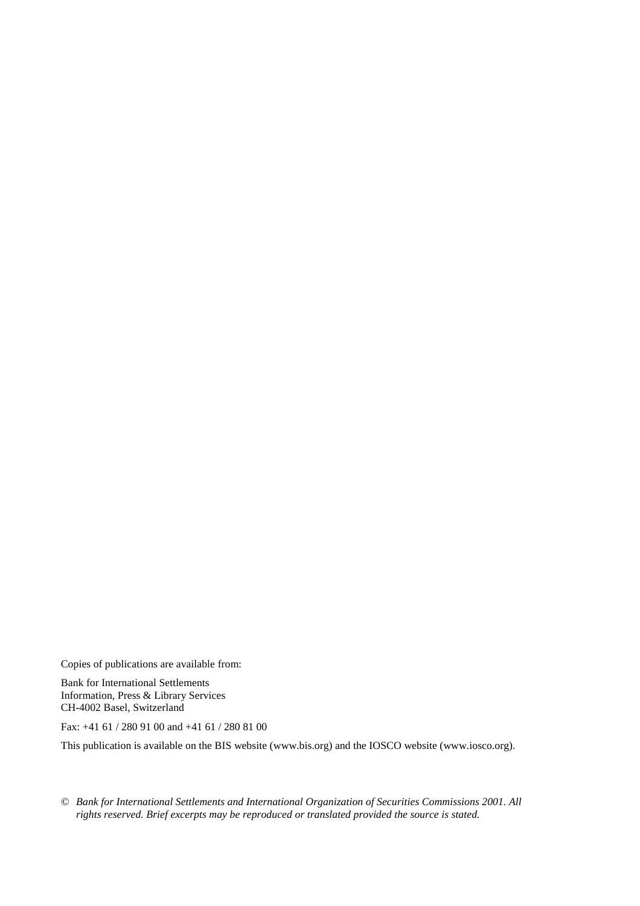Copies of publications are available from:

Bank for International Settlements Information, Press & Library Services CH-4002 Basel, Switzerland

Fax: +41 61 / 280 91 00 and +41 61 / 280 81 00

This publication is available on the BIS website (www.bis.org) and the IOSCO website (www.iosco.org).

*© Bank for International Settlements and International Organization of Securities Commissions 2001. All rights reserved. Brief excerpts may be reproduced or translated provided the source is stated.*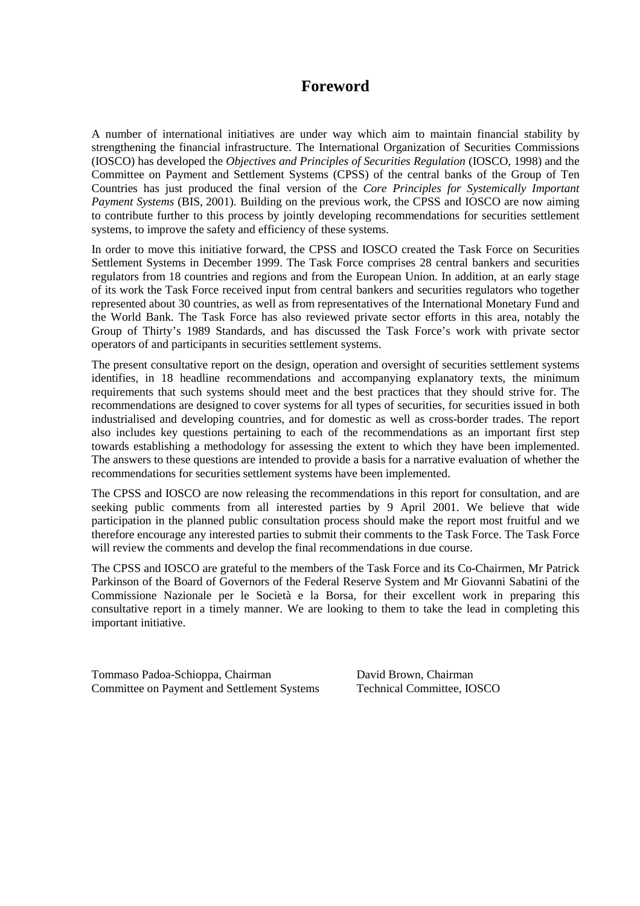## **Foreword**

A number of international initiatives are under way which aim to maintain financial stability by strengthening the financial infrastructure. The International Organization of Securities Commissions (IOSCO) has developed the *Objectives and Principles of Securities Regulation* (IOSCO, 1998) and the Committee on Payment and Settlement Systems (CPSS) of the central banks of the Group of Ten Countries has just produced the final version of the *Core Principles for Systemically Important Payment Systems* (BIS, 2001). Building on the previous work, the CPSS and IOSCO are now aiming to contribute further to this process by jointly developing recommendations for securities settlement systems, to improve the safety and efficiency of these systems.

In order to move this initiative forward, the CPSS and IOSCO created the Task Force on Securities Settlement Systems in December 1999. The Task Force comprises 28 central bankers and securities regulators from 18 countries and regions and from the European Union. In addition, at an early stage of its work the Task Force received input from central bankers and securities regulators who together represented about 30 countries, as well as from representatives of the International Monetary Fund and the World Bank. The Task Force has also reviewed private sector efforts in this area, notably the Group of Thirty's 1989 Standards, and has discussed the Task Force's work with private sector operators of and participants in securities settlement systems.

The present consultative report on the design, operation and oversight of securities settlement systems identifies, in 18 headline recommendations and accompanying explanatory texts, the minimum requirements that such systems should meet and the best practices that they should strive for. The recommendations are designed to cover systems for all types of securities, for securities issued in both industrialised and developing countries, and for domestic as well as cross-border trades. The report also includes key questions pertaining to each of the recommendations as an important first step towards establishing a methodology for assessing the extent to which they have been implemented. The answers to these questions are intended to provide a basis for a narrative evaluation of whether the recommendations for securities settlement systems have been implemented.

The CPSS and IOSCO are now releasing the recommendations in this report for consultation, and are seeking public comments from all interested parties by 9 April 2001. We believe that wide participation in the planned public consultation process should make the report most fruitful and we therefore encourage any interested parties to submit their comments to the Task Force. The Task Force will review the comments and develop the final recommendations in due course.

The CPSS and IOSCO are grateful to the members of the Task Force and its Co-Chairmen, Mr Patrick Parkinson of the Board of Governors of the Federal Reserve System and Mr Giovanni Sabatini of the Commissione Nazionale per le Società e la Borsa, for their excellent work in preparing this consultative report in a timely manner. We are looking to them to take the lead in completing this important initiative.

Tommaso Padoa-Schioppa, Chairman Committee on Payment and Settlement Systems David Brown, Chairman Technical Committee, IOSCO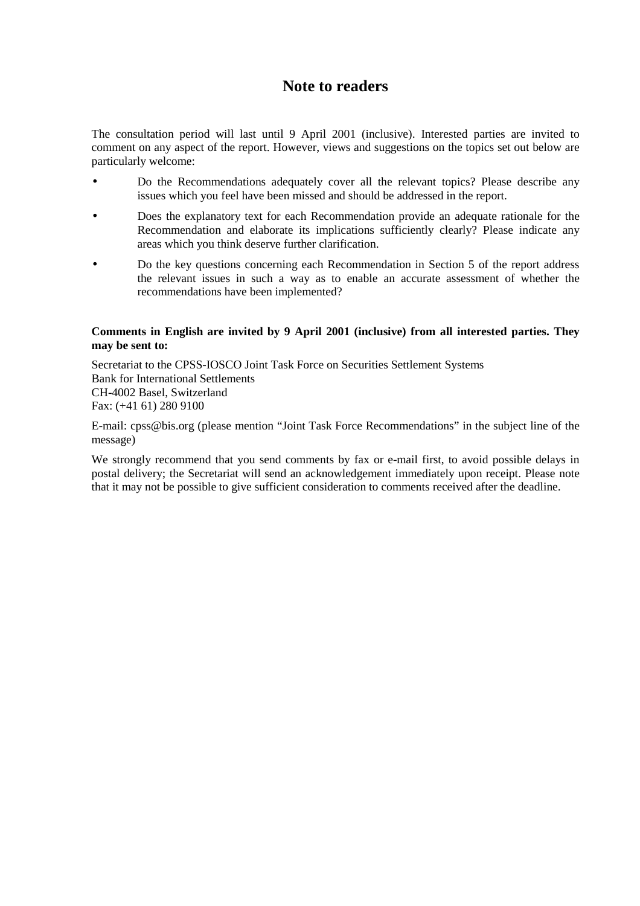## **Note to readers**

The consultation period will last until 9 April 2001 (inclusive). Interested parties are invited to comment on any aspect of the report. However, views and suggestions on the topics set out below are particularly welcome:

- Do the Recommendations adequately cover all the relevant topics? Please describe any issues which you feel have been missed and should be addressed in the report.
- Does the explanatory text for each Recommendation provide an adequate rationale for the Recommendation and elaborate its implications sufficiently clearly? Please indicate any areas which you think deserve further clarification.
- Do the key questions concerning each Recommendation in Section 5 of the report address the relevant issues in such a way as to enable an accurate assessment of whether the recommendations have been implemented?

## **Comments in English are invited by 9 April 2001 (inclusive) from all interested parties. They may be sent to:**

Secretariat to the CPSS-IOSCO Joint Task Force on Securities Settlement Systems Bank for International Settlements CH-4002 Basel, Switzerland Fax: (+41 61) 280 9100

E-mail: cpss@bis.org (please mention "Joint Task Force Recommendations" in the subject line of the message)

We strongly recommend that you send comments by fax or e-mail first, to avoid possible delays in postal delivery; the Secretariat will send an acknowledgement immediately upon receipt. Please note that it may not be possible to give sufficient consideration to comments received after the deadline.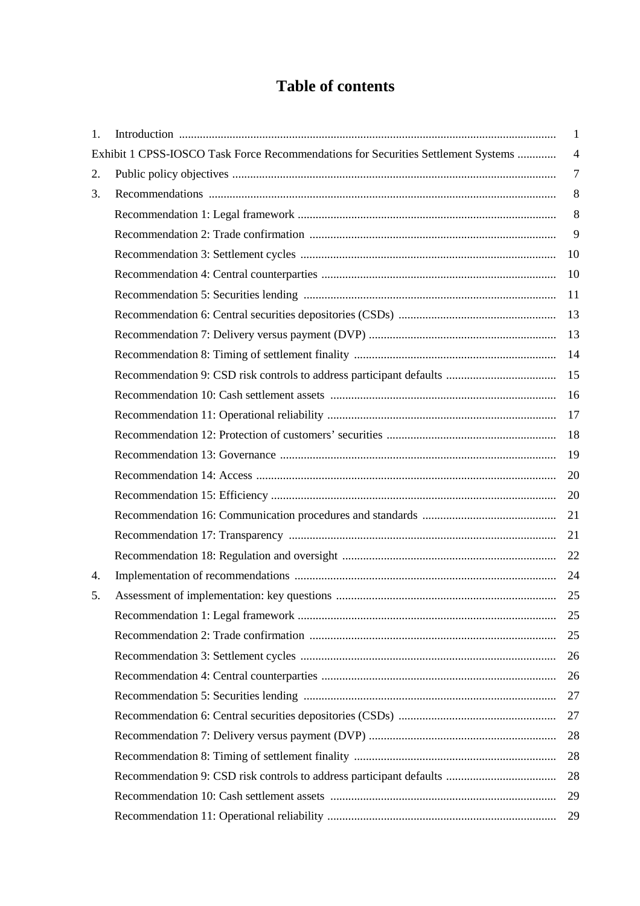# **Table of contents**

| 1. |                                                                                   | 1              |
|----|-----------------------------------------------------------------------------------|----------------|
|    | Exhibit 1 CPSS-IOSCO Task Force Recommendations for Securities Settlement Systems | $\overline{4}$ |
| 2. |                                                                                   | $\overline{7}$ |
| 3. |                                                                                   | 8              |
|    |                                                                                   | 8              |
|    |                                                                                   | 9              |
|    |                                                                                   | 10             |
|    |                                                                                   | 10             |
|    |                                                                                   | 11             |
|    |                                                                                   | 13             |
|    |                                                                                   | 13             |
|    |                                                                                   |                |
|    |                                                                                   |                |
|    |                                                                                   | 16             |
|    |                                                                                   | 17             |
|    |                                                                                   | 18             |
|    |                                                                                   | 19             |
|    |                                                                                   | 20             |
|    |                                                                                   | 20             |
|    |                                                                                   | 21             |
|    |                                                                                   | 21             |
|    |                                                                                   | 22             |
| 4. |                                                                                   | 24             |
| 5. |                                                                                   |                |
|    |                                                                                   | 25             |
|    |                                                                                   | 25             |
|    |                                                                                   | 26             |
|    |                                                                                   | 26             |
|    |                                                                                   | 27             |
|    |                                                                                   | 27             |
|    |                                                                                   | 28             |
|    |                                                                                   | 28             |
|    |                                                                                   | 28             |
|    |                                                                                   | 29             |
|    |                                                                                   | 29             |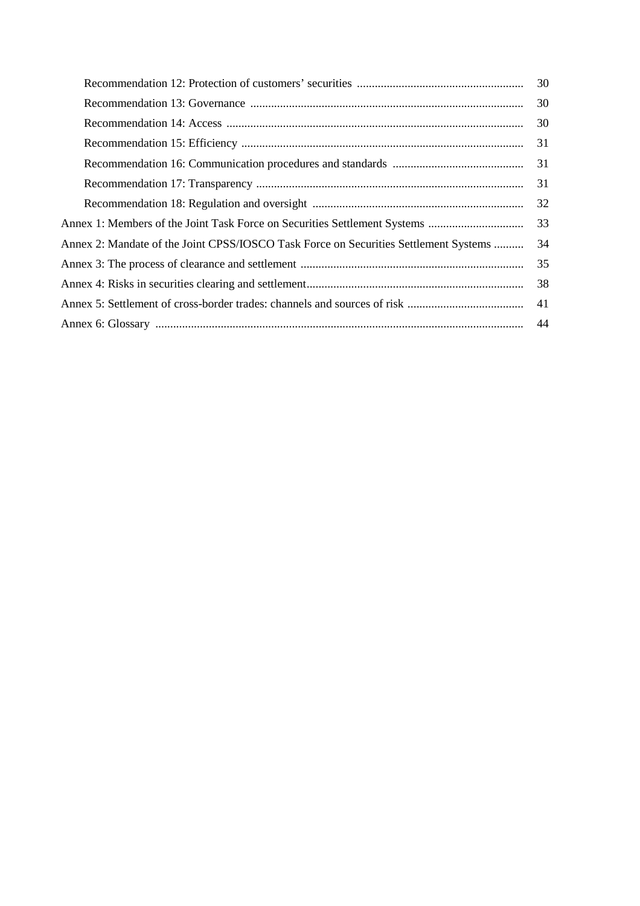|                                                                                      | 30 |  |
|--------------------------------------------------------------------------------------|----|--|
|                                                                                      | 30 |  |
|                                                                                      | 30 |  |
|                                                                                      | 31 |  |
|                                                                                      | 31 |  |
|                                                                                      | 31 |  |
|                                                                                      | 32 |  |
|                                                                                      |    |  |
| Annex 2: Mandate of the Joint CPSS/IOSCO Task Force on Securities Settlement Systems |    |  |
|                                                                                      |    |  |
|                                                                                      |    |  |
| -41                                                                                  |    |  |
|                                                                                      |    |  |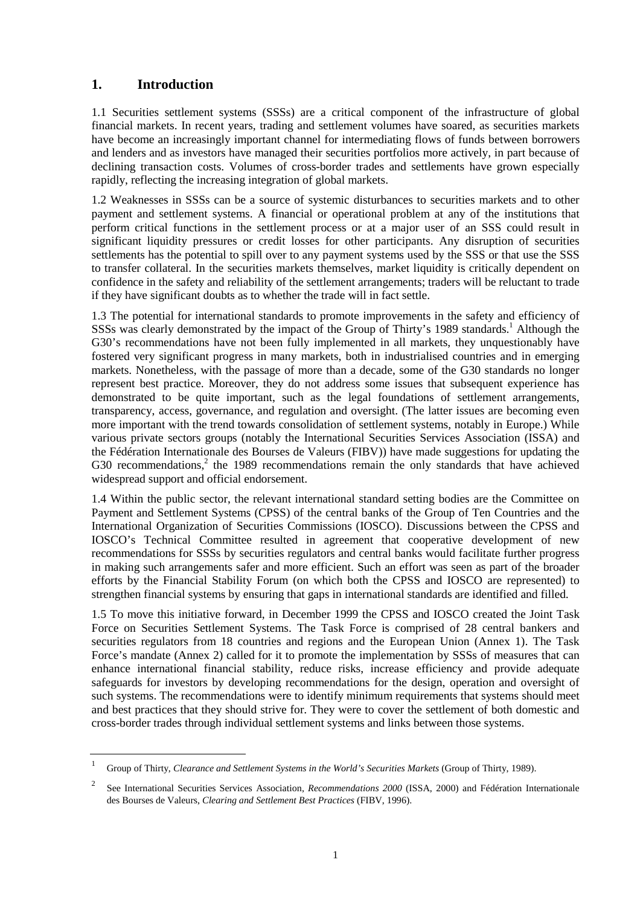## **1. Introduction**

1.1 Securities settlement systems (SSSs) are a critical component of the infrastructure of global financial markets. In recent years, trading and settlement volumes have soared, as securities markets have become an increasingly important channel for intermediating flows of funds between borrowers and lenders and as investors have managed their securities portfolios more actively, in part because of declining transaction costs. Volumes of cross-border trades and settlements have grown especially rapidly, reflecting the increasing integration of global markets.

1.2 Weaknesses in SSSs can be a source of systemic disturbances to securities markets and to other payment and settlement systems. A financial or operational problem at any of the institutions that perform critical functions in the settlement process or at a major user of an SSS could result in significant liquidity pressures or credit losses for other participants. Any disruption of securities settlements has the potential to spill over to any payment systems used by the SSS or that use the SSS to transfer collateral. In the securities markets themselves, market liquidity is critically dependent on confidence in the safety and reliability of the settlement arrangements; traders will be reluctant to trade if they have significant doubts as to whether the trade will in fact settle.

1.3 The potential for international standards to promote improvements in the safety and efficiency of SSSs was clearly demonstrated by the impact of the Group of Thirty's 1989 standards.<sup>1</sup> Although the G30's recommendations have not been fully implemented in all markets, they unquestionably have fostered very significant progress in many markets, both in industrialised countries and in emerging markets. Nonetheless, with the passage of more than a decade, some of the G30 standards no longer represent best practice. Moreover, they do not address some issues that subsequent experience has demonstrated to be quite important, such as the legal foundations of settlement arrangements, transparency, access, governance, and regulation and oversight. (The latter issues are becoming even more important with the trend towards consolidation of settlement systems, notably in Europe.) While various private sectors groups (notably the International Securities Services Association (ISSA) and the Fédération Internationale des Bourses de Valeurs (FIBV)) have made suggestions for updating the G30 recommendations,<sup>2</sup> the 1989 recommendations remain the only standards that have achieved widespread support and official endorsement.

1.4 Within the public sector, the relevant international standard setting bodies are the Committee on Payment and Settlement Systems (CPSS) of the central banks of the Group of Ten Countries and the International Organization of Securities Commissions (IOSCO). Discussions between the CPSS and IOSCO's Technical Committee resulted in agreement that cooperative development of new recommendations for SSSs by securities regulators and central banks would facilitate further progress in making such arrangements safer and more efficient. Such an effort was seen as part of the broader efforts by the Financial Stability Forum (on which both the CPSS and IOSCO are represented) to strengthen financial systems by ensuring that gaps in international standards are identified and filled.

1.5 To move this initiative forward, in December 1999 the CPSS and IOSCO created the Joint Task Force on Securities Settlement Systems. The Task Force is comprised of 28 central bankers and securities regulators from 18 countries and regions and the European Union (Annex 1). The Task Force's mandate (Annex 2) called for it to promote the implementation by SSSs of measures that can enhance international financial stability, reduce risks, increase efficiency and provide adequate safeguards for investors by developing recommendations for the design, operation and oversight of such systems. The recommendations were to identify minimum requirements that systems should meet and best practices that they should strive for. They were to cover the settlement of both domestic and cross-border trades through individual settlement systems and links between those systems.

<sup>1</sup> Group of Thirty, *Clearance and Settlement Systems in the World's Securities Markets* (Group of Thirty, 1989).

<sup>2</sup> See International Securities Services Association, *Recommendations 2000* (ISSA, 2000) and Fédération Internationale des Bourses de Valeurs, *Clearing and Settlement Best Practices* (FIBV, 1996).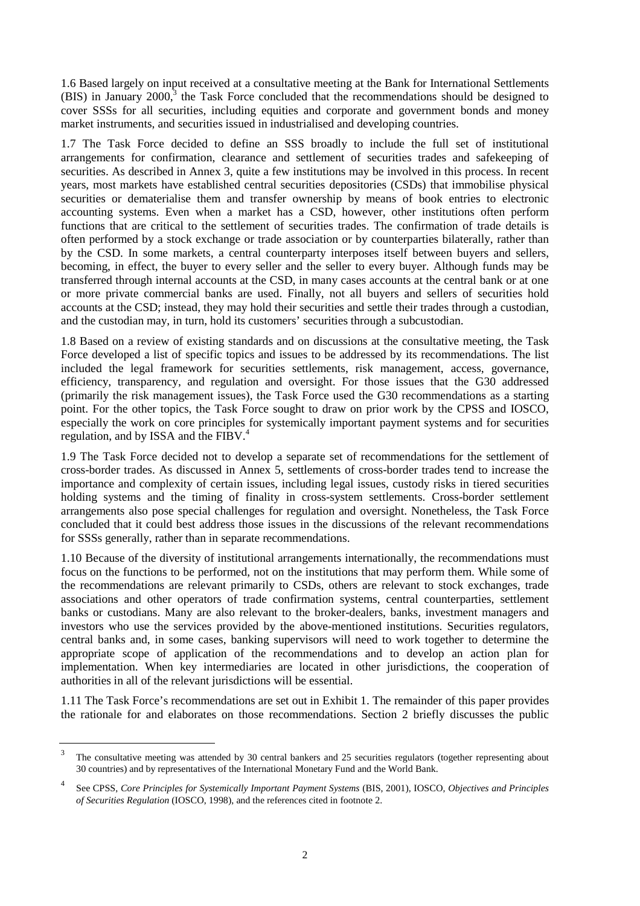1.6 Based largely on input received at a consultative meeting at the Bank for International Settlements (BIS) in January  $2000$ ,<sup>3</sup> the Task Force concluded that the recommendations should be designed to cover SSSs for all securities, including equities and corporate and government bonds and money market instruments, and securities issued in industrialised and developing countries.

1.7 The Task Force decided to define an SSS broadly to include the full set of institutional arrangements for confirmation, clearance and settlement of securities trades and safekeeping of securities. As described in Annex 3, quite a few institutions may be involved in this process. In recent years, most markets have established central securities depositories (CSDs) that immobilise physical securities or dematerialise them and transfer ownership by means of book entries to electronic accounting systems. Even when a market has a CSD, however, other institutions often perform functions that are critical to the settlement of securities trades. The confirmation of trade details is often performed by a stock exchange or trade association or by counterparties bilaterally, rather than by the CSD. In some markets, a central counterparty interposes itself between buyers and sellers, becoming, in effect, the buyer to every seller and the seller to every buyer. Although funds may be transferred through internal accounts at the CSD, in many cases accounts at the central bank or at one or more private commercial banks are used. Finally, not all buyers and sellers of securities hold accounts at the CSD; instead, they may hold their securities and settle their trades through a custodian, and the custodian may, in turn, hold its customers' securities through a subcustodian.

1.8 Based on a review of existing standards and on discussions at the consultative meeting, the Task Force developed a list of specific topics and issues to be addressed by its recommendations. The list included the legal framework for securities settlements, risk management, access, governance, efficiency, transparency, and regulation and oversight. For those issues that the G30 addressed (primarily the risk management issues), the Task Force used the G30 recommendations as a starting point. For the other topics, the Task Force sought to draw on prior work by the CPSS and IOSCO, especially the work on core principles for systemically important payment systems and for securities regulation, and by ISSA and the FIBV.<sup>4</sup>

1.9 The Task Force decided not to develop a separate set of recommendations for the settlement of cross-border trades. As discussed in Annex 5, settlements of cross-border trades tend to increase the importance and complexity of certain issues, including legal issues, custody risks in tiered securities holding systems and the timing of finality in cross-system settlements. Cross-border settlement arrangements also pose special challenges for regulation and oversight. Nonetheless, the Task Force concluded that it could best address those issues in the discussions of the relevant recommendations for SSSs generally, rather than in separate recommendations.

1.10 Because of the diversity of institutional arrangements internationally, the recommendations must focus on the functions to be performed, not on the institutions that may perform them. While some of the recommendations are relevant primarily to CSDs, others are relevant to stock exchanges, trade associations and other operators of trade confirmation systems, central counterparties, settlement banks or custodians. Many are also relevant to the broker-dealers, banks, investment managers and investors who use the services provided by the above-mentioned institutions. Securities regulators, central banks and, in some cases, banking supervisors will need to work together to determine the appropriate scope of application of the recommendations and to develop an action plan for implementation. When key intermediaries are located in other jurisdictions, the cooperation of authorities in all of the relevant jurisdictions will be essential.

1.11 The Task Force's recommendations are set out in Exhibit 1. The remainder of this paper provides the rationale for and elaborates on those recommendations. Section 2 briefly discusses the public

<sup>&</sup>lt;sup>3</sup> The consultative meeting was attended by 30 central bankers and 25 securities regulators (together representing about 30 countries) and by representatives of the International Monetary Fund and the World Bank.

<sup>4</sup> See CPSS, *Core Principles for Systemically Important Payment Systems* (BIS, 2001), IOSCO*, Objectives and Principles of Securities Regulation* (IOSCO, 1998), and the references cited in footnote 2.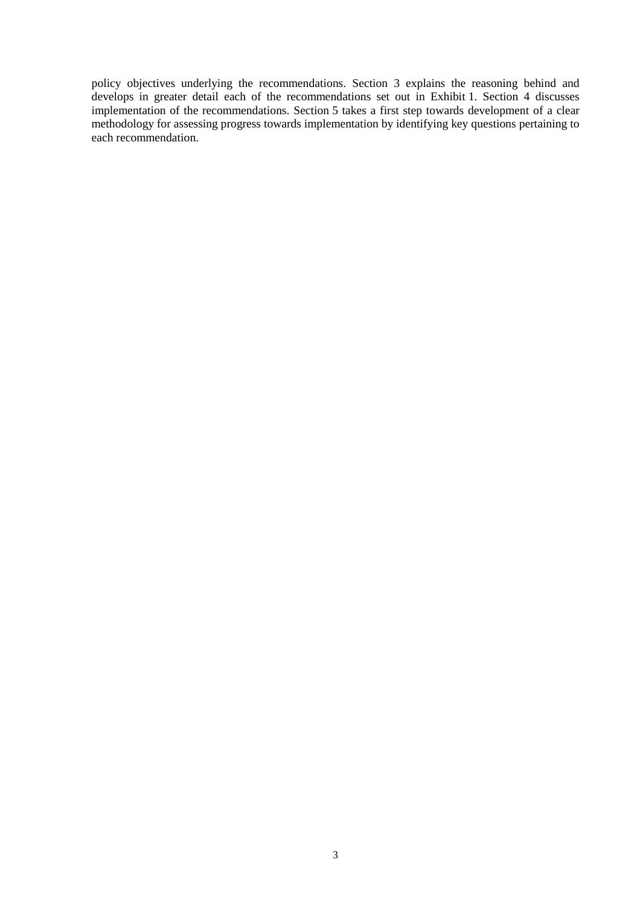policy objectives underlying the recommendations. Section 3 explains the reasoning behind and develops in greater detail each of the recommendations set out in Exhibit 1. Section 4 discusses implementation of the recommendations. Section 5 takes a first step towards development of a clear methodology for assessing progress towards implementation by identifying key questions pertaining to each recommendation.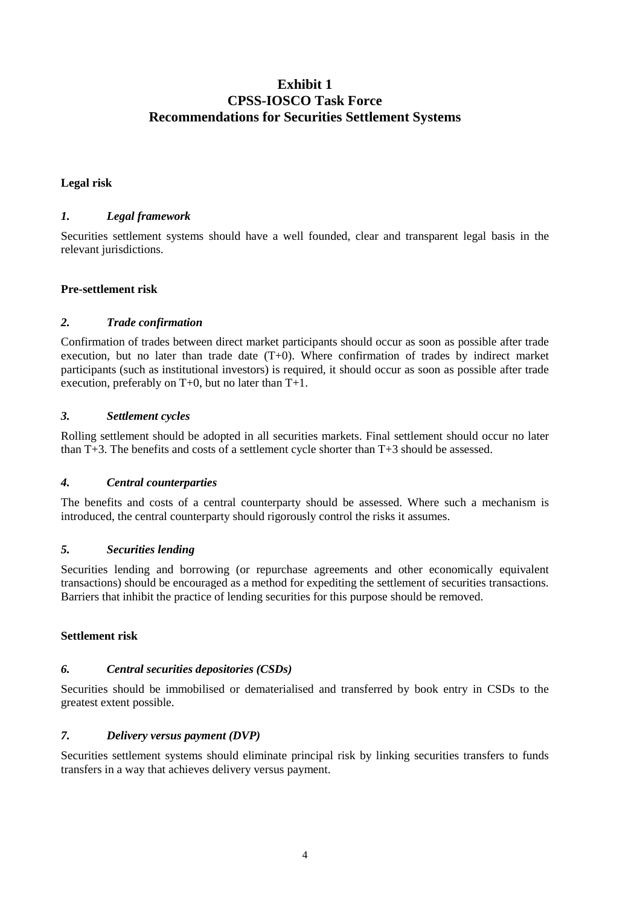## **Exhibit 1 CPSS-IOSCO Task Force Recommendations for Securities Settlement Systems**

## **Legal risk**

## *1. Legal framework*

Securities settlement systems should have a well founded, clear and transparent legal basis in the relevant jurisdictions.

## **Pre-settlement risk**

## *2. Trade confirmation*

Confirmation of trades between direct market participants should occur as soon as possible after trade execution, but no later than trade date (T+0). Where confirmation of trades by indirect market participants (such as institutional investors) is required, it should occur as soon as possible after trade execution, preferably on T+0, but no later than T+1.

## *3. Settlement cycles*

Rolling settlement should be adopted in all securities markets. Final settlement should occur no later than T+3. The benefits and costs of a settlement cycle shorter than T+3 should be assessed.

## *4. Central counterparties*

The benefits and costs of a central counterparty should be assessed. Where such a mechanism is introduced, the central counterparty should rigorously control the risks it assumes.

## *5. Securities lending*

Securities lending and borrowing (or repurchase agreements and other economically equivalent transactions) should be encouraged as a method for expediting the settlement of securities transactions. Barriers that inhibit the practice of lending securities for this purpose should be removed.

## **Settlement risk**

## *6. Central securities depositories (CSDs)*

Securities should be immobilised or dematerialised and transferred by book entry in CSDs to the greatest extent possible.

## *7. Delivery versus payment (DVP)*

Securities settlement systems should eliminate principal risk by linking securities transfers to funds transfers in a way that achieves delivery versus payment.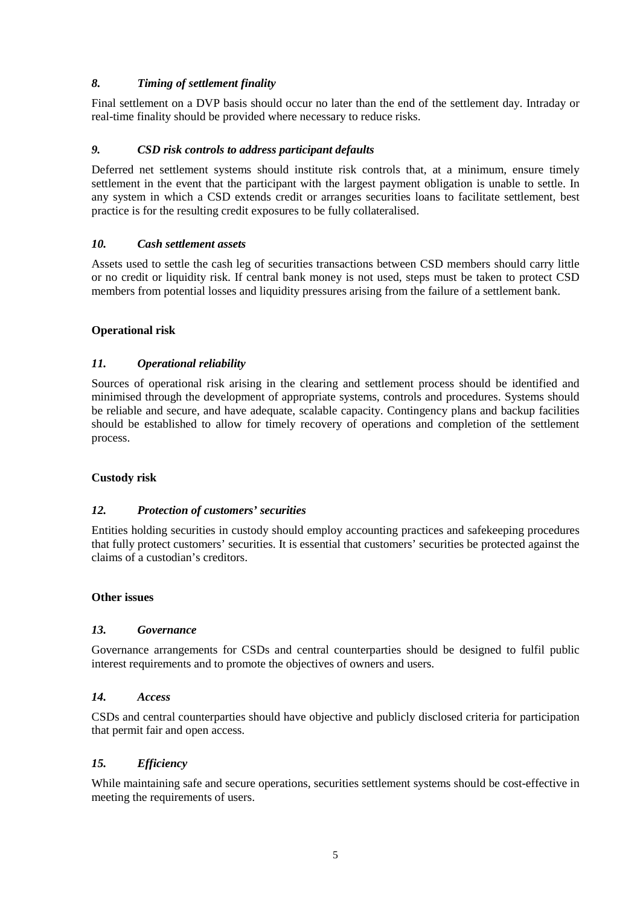## *8. Timing of settlement finality*

Final settlement on a DVP basis should occur no later than the end of the settlement day. Intraday or real-time finality should be provided where necessary to reduce risks.

## *9. CSD risk controls to address participant defaults*

Deferred net settlement systems should institute risk controls that, at a minimum, ensure timely settlement in the event that the participant with the largest payment obligation is unable to settle. In any system in which a CSD extends credit or arranges securities loans to facilitate settlement, best practice is for the resulting credit exposures to be fully collateralised.

## *10. Cash settlement assets*

Assets used to settle the cash leg of securities transactions between CSD members should carry little or no credit or liquidity risk. If central bank money is not used, steps must be taken to protect CSD members from potential losses and liquidity pressures arising from the failure of a settlement bank.

## **Operational risk**

## *11. Operational reliability*

Sources of operational risk arising in the clearing and settlement process should be identified and minimised through the development of appropriate systems, controls and procedures. Systems should be reliable and secure, and have adequate, scalable capacity. Contingency plans and backup facilities should be established to allow for timely recovery of operations and completion of the settlement process.

## **Custody risk**

## *12. Protection of customers' securities*

Entities holding securities in custody should employ accounting practices and safekeeping procedures that fully protect customers' securities. It is essential that customers' securities be protected against the claims of a custodian's creditors.

## **Other issues**

## *13. Governance*

Governance arrangements for CSDs and central counterparties should be designed to fulfil public interest requirements and to promote the objectives of owners and users.

## *14. Access*

CSDs and central counterparties should have objective and publicly disclosed criteria for participation that permit fair and open access.

## *15. Efficiency*

While maintaining safe and secure operations, securities settlement systems should be cost-effective in meeting the requirements of users.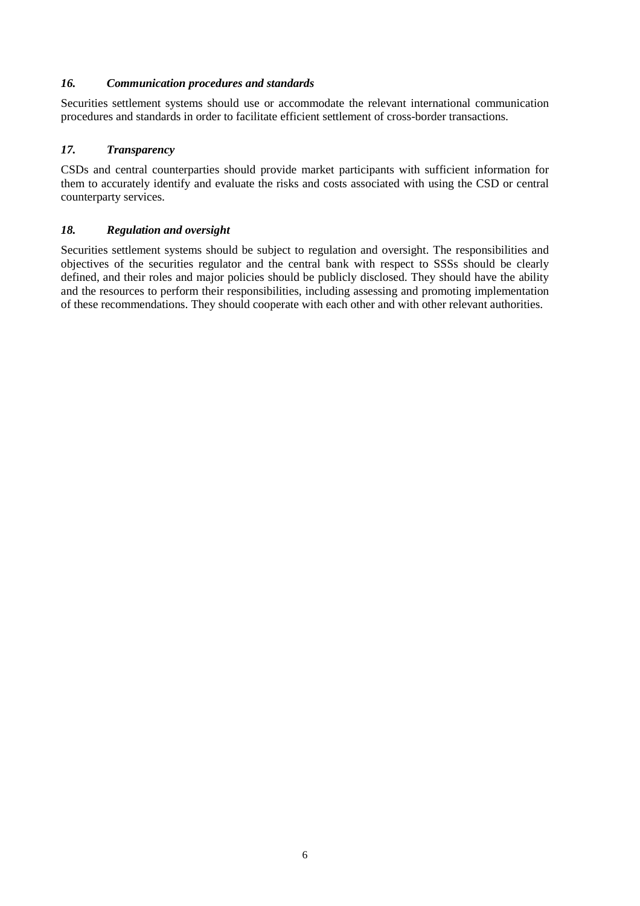## *16. Communication procedures and standards*

Securities settlement systems should use or accommodate the relevant international communication procedures and standards in order to facilitate efficient settlement of cross-border transactions.

## *17. Transparency*

CSDs and central counterparties should provide market participants with sufficient information for them to accurately identify and evaluate the risks and costs associated with using the CSD or central counterparty services.

## *18. Regulation and oversight*

Securities settlement systems should be subject to regulation and oversight. The responsibilities and objectives of the securities regulator and the central bank with respect to SSSs should be clearly defined, and their roles and major policies should be publicly disclosed. They should have the ability and the resources to perform their responsibilities, including assessing and promoting implementation of these recommendations. They should cooperate with each other and with other relevant authorities.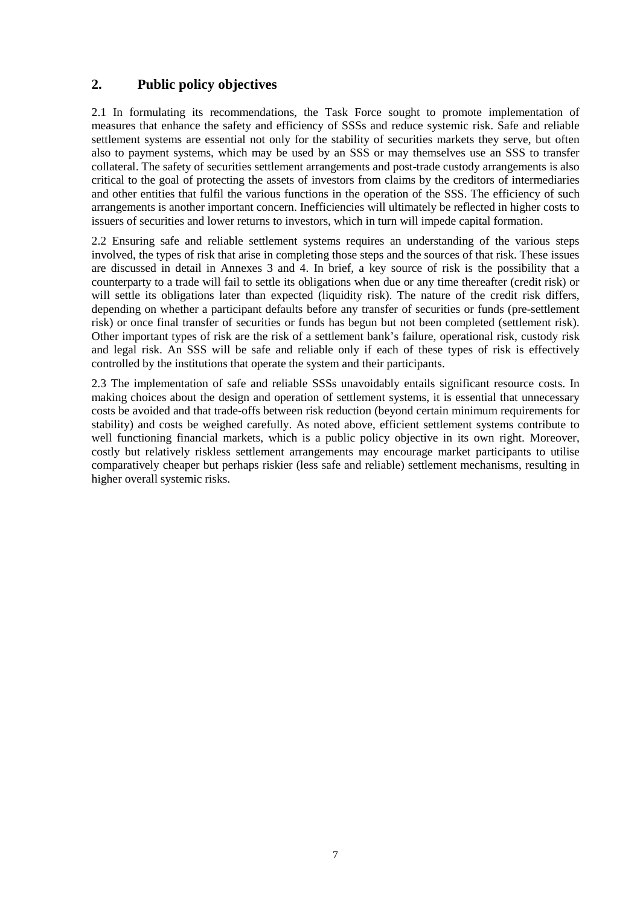## **2. Public policy objectives**

2.1 In formulating its recommendations, the Task Force sought to promote implementation of measures that enhance the safety and efficiency of SSSs and reduce systemic risk. Safe and reliable settlement systems are essential not only for the stability of securities markets they serve, but often also to payment systems, which may be used by an SSS or may themselves use an SSS to transfer collateral. The safety of securities settlement arrangements and post-trade custody arrangements is also critical to the goal of protecting the assets of investors from claims by the creditors of intermediaries and other entities that fulfil the various functions in the operation of the SSS. The efficiency of such arrangements is another important concern. Inefficiencies will ultimately be reflected in higher costs to issuers of securities and lower returns to investors, which in turn will impede capital formation.

2.2 Ensuring safe and reliable settlement systems requires an understanding of the various steps involved, the types of risk that arise in completing those steps and the sources of that risk. These issues are discussed in detail in Annexes 3 and 4. In brief, a key source of risk is the possibility that a counterparty to a trade will fail to settle its obligations when due or any time thereafter (credit risk) or will settle its obligations later than expected (liquidity risk). The nature of the credit risk differs, depending on whether a participant defaults before any transfer of securities or funds (pre-settlement risk) or once final transfer of securities or funds has begun but not been completed (settlement risk). Other important types of risk are the risk of a settlement bank's failure, operational risk, custody risk and legal risk. An SSS will be safe and reliable only if each of these types of risk is effectively controlled by the institutions that operate the system and their participants.

2.3 The implementation of safe and reliable SSSs unavoidably entails significant resource costs. In making choices about the design and operation of settlement systems, it is essential that unnecessary costs be avoided and that trade-offs between risk reduction (beyond certain minimum requirements for stability) and costs be weighed carefully. As noted above, efficient settlement systems contribute to well functioning financial markets, which is a public policy objective in its own right. Moreover, costly but relatively riskless settlement arrangements may encourage market participants to utilise comparatively cheaper but perhaps riskier (less safe and reliable) settlement mechanisms, resulting in higher overall systemic risks.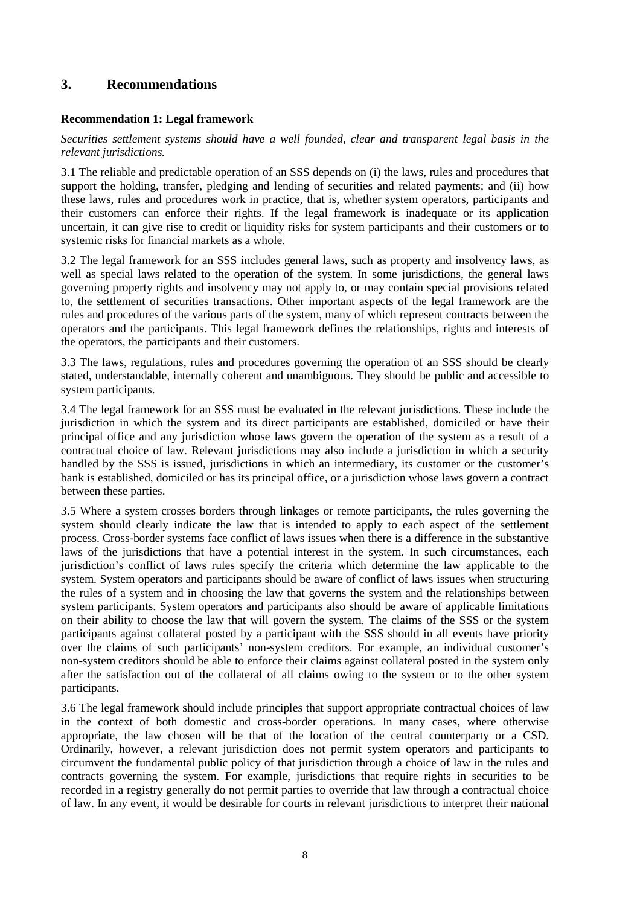## **3. Recommendations**

## **Recommendation 1: Legal framework**

*Securities settlement systems should have a well founded, clear and transparent legal basis in the relevant jurisdictions.*

3.1 The reliable and predictable operation of an SSS depends on (i) the laws, rules and procedures that support the holding, transfer, pledging and lending of securities and related payments; and (ii) how these laws, rules and procedures work in practice, that is, whether system operators, participants and their customers can enforce their rights. If the legal framework is inadequate or its application uncertain, it can give rise to credit or liquidity risks for system participants and their customers or to systemic risks for financial markets as a whole.

3.2 The legal framework for an SSS includes general laws, such as property and insolvency laws, as well as special laws related to the operation of the system. In some jurisdictions, the general laws governing property rights and insolvency may not apply to, or may contain special provisions related to, the settlement of securities transactions. Other important aspects of the legal framework are the rules and procedures of the various parts of the system, many of which represent contracts between the operators and the participants. This legal framework defines the relationships, rights and interests of the operators, the participants and their customers.

3.3 The laws, regulations, rules and procedures governing the operation of an SSS should be clearly stated, understandable, internally coherent and unambiguous. They should be public and accessible to system participants.

3.4 The legal framework for an SSS must be evaluated in the relevant jurisdictions. These include the jurisdiction in which the system and its direct participants are established, domiciled or have their principal office and any jurisdiction whose laws govern the operation of the system as a result of a contractual choice of law. Relevant jurisdictions may also include a jurisdiction in which a security handled by the SSS is issued, jurisdictions in which an intermediary, its customer or the customer's bank is established, domiciled or has its principal office, or a jurisdiction whose laws govern a contract between these parties.

3.5 Where a system crosses borders through linkages or remote participants, the rules governing the system should clearly indicate the law that is intended to apply to each aspect of the settlement process. Cross-border systems face conflict of laws issues when there is a difference in the substantive laws of the jurisdictions that have a potential interest in the system. In such circumstances, each jurisdiction's conflict of laws rules specify the criteria which determine the law applicable to the system. System operators and participants should be aware of conflict of laws issues when structuring the rules of a system and in choosing the law that governs the system and the relationships between system participants. System operators and participants also should be aware of applicable limitations on their ability to choose the law that will govern the system. The claims of the SSS or the system participants against collateral posted by a participant with the SSS should in all events have priority over the claims of such participants' non-system creditors. For example, an individual customer's non-system creditors should be able to enforce their claims against collateral posted in the system only after the satisfaction out of the collateral of all claims owing to the system or to the other system participants.

3.6 The legal framework should include principles that support appropriate contractual choices of law in the context of both domestic and cross-border operations. In many cases, where otherwise appropriate, the law chosen will be that of the location of the central counterparty or a CSD. Ordinarily, however, a relevant jurisdiction does not permit system operators and participants to circumvent the fundamental public policy of that jurisdiction through a choice of law in the rules and contracts governing the system. For example, jurisdictions that require rights in securities to be recorded in a registry generally do not permit parties to override that law through a contractual choice of law. In any event, it would be desirable for courts in relevant jurisdictions to interpret their national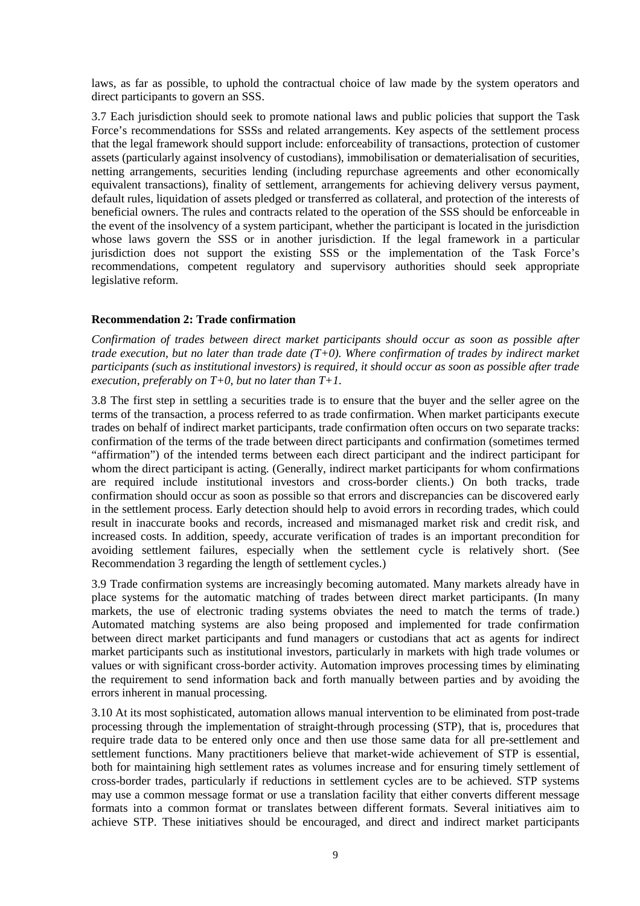laws, as far as possible, to uphold the contractual choice of law made by the system operators and direct participants to govern an SSS.

3.7 Each jurisdiction should seek to promote national laws and public policies that support the Task Force's recommendations for SSSs and related arrangements. Key aspects of the settlement process that the legal framework should support include: enforceability of transactions, protection of customer assets (particularly against insolvency of custodians), immobilisation or dematerialisation of securities, netting arrangements, securities lending (including repurchase agreements and other economically equivalent transactions), finality of settlement, arrangements for achieving delivery versus payment, default rules, liquidation of assets pledged or transferred as collateral, and protection of the interests of beneficial owners. The rules and contracts related to the operation of the SSS should be enforceable in the event of the insolvency of a system participant, whether the participant is located in the jurisdiction whose laws govern the SSS or in another jurisdiction. If the legal framework in a particular jurisdiction does not support the existing SSS or the implementation of the Task Force's recommendations, competent regulatory and supervisory authorities should seek appropriate legislative reform.

## **Recommendation 2: Trade confirmation**

*Confirmation of trades between direct market participants should occur as soon as possible after trade execution, but no later than trade date (T+0). Where confirmation of trades by indirect market participants (such as institutional investors) is required, it should occur as soon as possible after trade execution, preferably on T+0, but no later than T+1.*

3.8 The first step in settling a securities trade is to ensure that the buyer and the seller agree on the terms of the transaction, a process referred to as trade confirmation. When market participants execute trades on behalf of indirect market participants, trade confirmation often occurs on two separate tracks: confirmation of the terms of the trade between direct participants and confirmation (sometimes termed "affirmation") of the intended terms between each direct participant and the indirect participant for whom the direct participant is acting. (Generally, indirect market participants for whom confirmations are required include institutional investors and cross-border clients.) On both tracks, trade confirmation should occur as soon as possible so that errors and discrepancies can be discovered early in the settlement process. Early detection should help to avoid errors in recording trades, which could result in inaccurate books and records, increased and mismanaged market risk and credit risk, and increased costs. In addition, speedy, accurate verification of trades is an important precondition for avoiding settlement failures, especially when the settlement cycle is relatively short. (See Recommendation 3 regarding the length of settlement cycles.)

3.9 Trade confirmation systems are increasingly becoming automated. Many markets already have in place systems for the automatic matching of trades between direct market participants. (In many markets, the use of electronic trading systems obviates the need to match the terms of trade.) Automated matching systems are also being proposed and implemented for trade confirmation between direct market participants and fund managers or custodians that act as agents for indirect market participants such as institutional investors, particularly in markets with high trade volumes or values or with significant cross-border activity. Automation improves processing times by eliminating the requirement to send information back and forth manually between parties and by avoiding the errors inherent in manual processing.

3.10 At its most sophisticated, automation allows manual intervention to be eliminated from post-trade processing through the implementation of straight-through processing (STP), that is, procedures that require trade data to be entered only once and then use those same data for all pre-settlement and settlement functions. Many practitioners believe that market-wide achievement of STP is essential, both for maintaining high settlement rates as volumes increase and for ensuring timely settlement of cross-border trades, particularly if reductions in settlement cycles are to be achieved. STP systems may use a common message format or use a translation facility that either converts different message formats into a common format or translates between different formats. Several initiatives aim to achieve STP. These initiatives should be encouraged, and direct and indirect market participants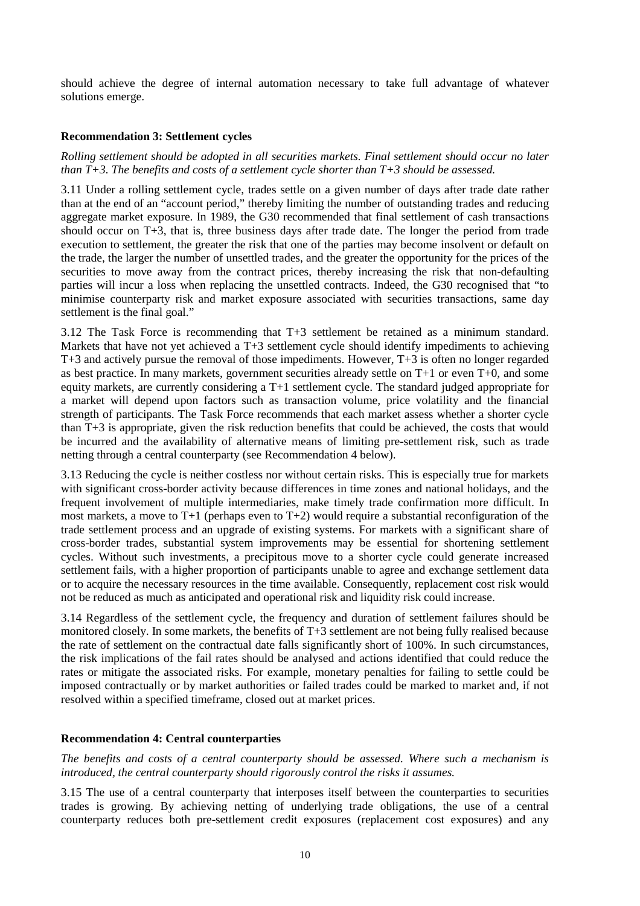should achieve the degree of internal automation necessary to take full advantage of whatever solutions emerge.

## **Recommendation 3: Settlement cycles**

*Rolling settlement should be adopted in all securities markets. Final settlement should occur no later than T+3. The benefits and costs of a settlement cycle shorter than T+3 should be assessed.*

3.11 Under a rolling settlement cycle, trades settle on a given number of days after trade date rather than at the end of an "account period," thereby limiting the number of outstanding trades and reducing aggregate market exposure. In 1989, the G30 recommended that final settlement of cash transactions should occur on  $T+\overline{3}$ , that is, three business days after trade date. The longer the period from trade execution to settlement, the greater the risk that one of the parties may become insolvent or default on the trade, the larger the number of unsettled trades, and the greater the opportunity for the prices of the securities to move away from the contract prices, thereby increasing the risk that non-defaulting parties will incur a loss when replacing the unsettled contracts. Indeed, the G30 recognised that "to minimise counterparty risk and market exposure associated with securities transactions, same day settlement is the final goal."

3.12 The Task Force is recommending that T+3 settlement be retained as a minimum standard. Markets that have not yet achieved a T+3 settlement cycle should identify impediments to achieving T+3 and actively pursue the removal of those impediments. However, T+3 is often no longer regarded as best practice. In many markets, government securities already settle on T+1 or even T+0, and some equity markets, are currently considering a T+1 settlement cycle. The standard judged appropriate for a market will depend upon factors such as transaction volume, price volatility and the financial strength of participants. The Task Force recommends that each market assess whether a shorter cycle than T+3 is appropriate, given the risk reduction benefits that could be achieved, the costs that would be incurred and the availability of alternative means of limiting pre-settlement risk, such as trade netting through a central counterparty (see Recommendation 4 below).

3.13 Reducing the cycle is neither costless nor without certain risks. This is especially true for markets with significant cross-border activity because differences in time zones and national holidays, and the frequent involvement of multiple intermediaries, make timely trade confirmation more difficult. In most markets, a move to T+1 (perhaps even to T+2) would require a substantial reconfiguration of the trade settlement process and an upgrade of existing systems. For markets with a significant share of cross-border trades, substantial system improvements may be essential for shortening settlement cycles. Without such investments, a precipitous move to a shorter cycle could generate increased settlement fails, with a higher proportion of participants unable to agree and exchange settlement data or to acquire the necessary resources in the time available. Consequently, replacement cost risk would not be reduced as much as anticipated and operational risk and liquidity risk could increase.

3.14 Regardless of the settlement cycle, the frequency and duration of settlement failures should be monitored closely. In some markets, the benefits of T+3 settlement are not being fully realised because the rate of settlement on the contractual date falls significantly short of 100%. In such circumstances, the risk implications of the fail rates should be analysed and actions identified that could reduce the rates or mitigate the associated risks. For example, monetary penalties for failing to settle could be imposed contractually or by market authorities or failed trades could be marked to market and, if not resolved within a specified timeframe, closed out at market prices.

## **Recommendation 4: Central counterparties**

*The benefits and costs of a central counterparty should be assessed. Where such a mechanism is introduced, the central counterparty should rigorously control the risks it assumes.*

3.15 The use of a central counterparty that interposes itself between the counterparties to securities trades is growing. By achieving netting of underlying trade obligations, the use of a central counterparty reduces both pre-settlement credit exposures (replacement cost exposures) and any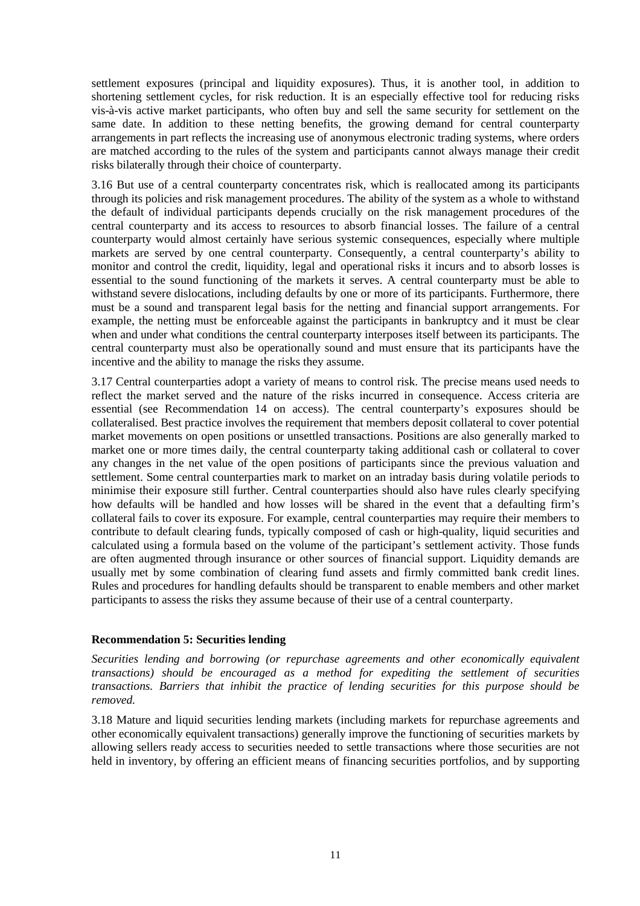settlement exposures (principal and liquidity exposures). Thus, it is another tool, in addition to shortening settlement cycles, for risk reduction. It is an especially effective tool for reducing risks vis-à-vis active market participants, who often buy and sell the same security for settlement on the same date. In addition to these netting benefits, the growing demand for central counterparty arrangements in part reflects the increasing use of anonymous electronic trading systems, where orders are matched according to the rules of the system and participants cannot always manage their credit risks bilaterally through their choice of counterparty.

3.16 But use of a central counterparty concentrates risk, which is reallocated among its participants through its policies and risk management procedures. The ability of the system as a whole to withstand the default of individual participants depends crucially on the risk management procedures of the central counterparty and its access to resources to absorb financial losses. The failure of a central counterparty would almost certainly have serious systemic consequences, especially where multiple markets are served by one central counterparty. Consequently, a central counterparty's ability to monitor and control the credit, liquidity, legal and operational risks it incurs and to absorb losses is essential to the sound functioning of the markets it serves. A central counterparty must be able to withstand severe dislocations, including defaults by one or more of its participants. Furthermore, there must be a sound and transparent legal basis for the netting and financial support arrangements. For example, the netting must be enforceable against the participants in bankruptcy and it must be clear when and under what conditions the central counterparty interposes itself between its participants. The central counterparty must also be operationally sound and must ensure that its participants have the incentive and the ability to manage the risks they assume.

3.17 Central counterparties adopt a variety of means to control risk. The precise means used needs to reflect the market served and the nature of the risks incurred in consequence. Access criteria are essential (see Recommendation 14 on access). The central counterparty's exposures should be collateralised. Best practice involves the requirement that members deposit collateral to cover potential market movements on open positions or unsettled transactions. Positions are also generally marked to market one or more times daily, the central counterparty taking additional cash or collateral to cover any changes in the net value of the open positions of participants since the previous valuation and settlement. Some central counterparties mark to market on an intraday basis during volatile periods to minimise their exposure still further. Central counterparties should also have rules clearly specifying how defaults will be handled and how losses will be shared in the event that a defaulting firm's collateral fails to cover its exposure. For example, central counterparties may require their members to contribute to default clearing funds, typically composed of cash or high-quality, liquid securities and calculated using a formula based on the volume of the participant's settlement activity. Those funds are often augmented through insurance or other sources of financial support. Liquidity demands are usually met by some combination of clearing fund assets and firmly committed bank credit lines. Rules and procedures for handling defaults should be transparent to enable members and other market participants to assess the risks they assume because of their use of a central counterparty.

## **Recommendation 5: Securities lending**

*Securities lending and borrowing (or repurchase agreements and other economically equivalent transactions) should be encouraged as a method for expediting the settlement of securities transactions. Barriers that inhibit the practice of lending securities for this purpose should be removed.*

3.18 Mature and liquid securities lending markets (including markets for repurchase agreements and other economically equivalent transactions) generally improve the functioning of securities markets by allowing sellers ready access to securities needed to settle transactions where those securities are not held in inventory, by offering an efficient means of financing securities portfolios, and by supporting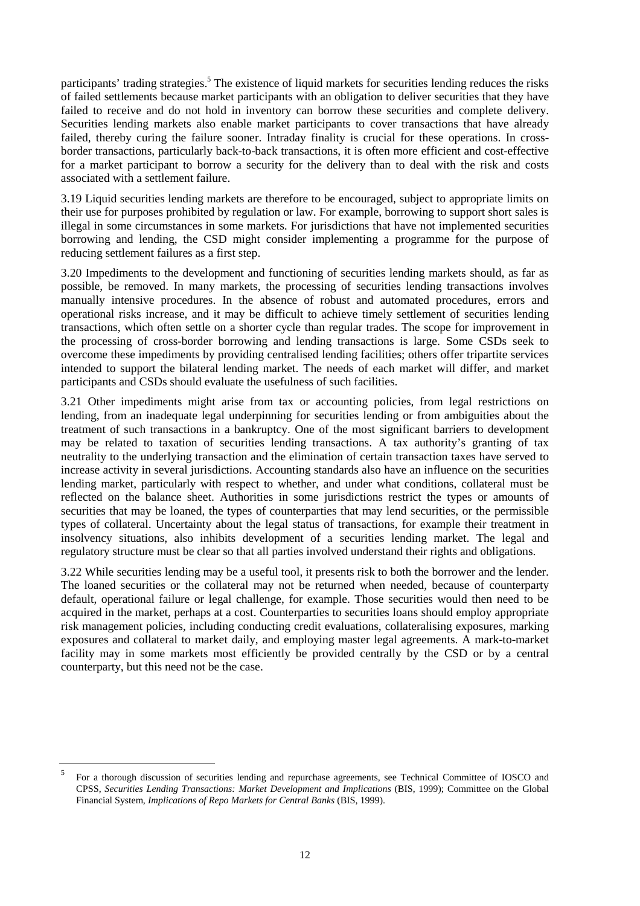participants' trading strategies.<sup>5</sup> The existence of liquid markets for securities lending reduces the risks of failed settlements because market participants with an obligation to deliver securities that they have failed to receive and do not hold in inventory can borrow these securities and complete delivery. Securities lending markets also enable market participants to cover transactions that have already failed, thereby curing the failure sooner. Intraday finality is crucial for these operations. In crossborder transactions, particularly back-to-back transactions, it is often more efficient and cost-effective for a market participant to borrow a security for the delivery than to deal with the risk and costs associated with a settlement failure.

3.19 Liquid securities lending markets are therefore to be encouraged, subject to appropriate limits on their use for purposes prohibited by regulation or law. For example, borrowing to support short sales is illegal in some circumstances in some markets. For jurisdictions that have not implemented securities borrowing and lending, the CSD might consider implementing a programme for the purpose of reducing settlement failures as a first step.

3.20 Impediments to the development and functioning of securities lending markets should, as far as possible, be removed. In many markets, the processing of securities lending transactions involves manually intensive procedures. In the absence of robust and automated procedures, errors and operational risks increase, and it may be difficult to achieve timely settlement of securities lending transactions, which often settle on a shorter cycle than regular trades. The scope for improvement in the processing of cross-border borrowing and lending transactions is large. Some CSDs seek to overcome these impediments by providing centralised lending facilities; others offer tripartite services intended to support the bilateral lending market. The needs of each market will differ, and market participants and CSDs should evaluate the usefulness of such facilities.

3.21 Other impediments might arise from tax or accounting policies, from legal restrictions on lending, from an inadequate legal underpinning for securities lending or from ambiguities about the treatment of such transactions in a bankruptcy. One of the most significant barriers to development may be related to taxation of securities lending transactions. A tax authority's granting of tax neutrality to the underlying transaction and the elimination of certain transaction taxes have served to increase activity in several jurisdictions. Accounting standards also have an influence on the securities lending market, particularly with respect to whether, and under what conditions, collateral must be reflected on the balance sheet. Authorities in some jurisdictions restrict the types or amounts of securities that may be loaned, the types of counterparties that may lend securities, or the permissible types of collateral. Uncertainty about the legal status of transactions, for example their treatment in insolvency situations, also inhibits development of a securities lending market. The legal and regulatory structure must be clear so that all parties involved understand their rights and obligations.

3.22 While securities lending may be a useful tool, it presents risk to both the borrower and the lender. The loaned securities or the collateral may not be returned when needed, because of counterparty default, operational failure or legal challenge, for example. Those securities would then need to be acquired in the market, perhaps at a cost. Counterparties to securities loans should employ appropriate risk management policies, including conducting credit evaluations, collateralising exposures, marking exposures and collateral to market daily, and employing master legal agreements. A mark-to-market facility may in some markets most efficiently be provided centrally by the CSD or by a central counterparty, but this need not be the case.

<sup>5</sup> For a thorough discussion of securities lending and repurchase agreements, see Technical Committee of IOSCO and CPSS, *Securities Lending Transactions: Market Development and Implications* (BIS, 1999); Committee on the Global Financial System, *Implications of Repo Markets for Central Banks* (BIS, 1999).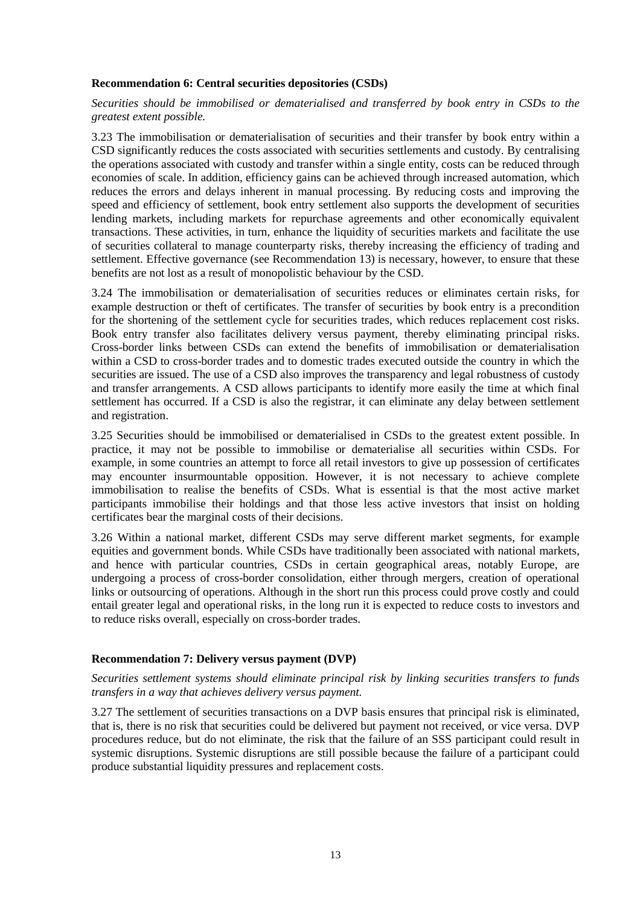#### **Recommendation 6: Central securities depositories (CSDs)**

*Securities should be immobilised or dematerialised and transferred by book entry in CSDs to the greatest extent possible.*

3.23 The immobilisation or dematerialisation of securities and their transfer by book entry within a CSD significantly reduces the costs associated with securities settlements and custody. By centralising the operations associated with custody and transfer within a single entity, costs can be reduced through economies of scale. In addition, efficiency gains can be achieved through increased automation, which reduces the errors and delays inherent in manual processing. By reducing costs and improving the speed and efficiency of settlement, book entry settlement also supports the development of securities lending markets, including markets for repurchase agreements and other economically equivalent transactions. These activities, in turn, enhance the liquidity of securities markets and facilitate the use of securities collateral to manage counterparty risks, thereby increasing the efficiency of trading and settlement. Effective governance (see Recommendation 13) is necessary, however, to ensure that these benefits are not lost as a result of monopolistic behaviour by the CSD.

3.24 The immobilisation or dematerialisation of securities reduces or eliminates certain risks, for example destruction or theft of certificates. The transfer of securities by book entry is a precondition for the shortening of the settlement cycle for securities trades, which reduces replacement cost risks. Book entry transfer also facilitates delivery versus payment, thereby eliminating principal risks. Cross-border links between CSDs can extend the benefits of immobilisation or dematerialisation within a CSD to cross-border trades and to domestic trades executed outside the country in which the securities are issued. The use of a CSD also improves the transparency and legal robustness of custody and transfer arrangements. A CSD allows participants to identify more easily the time at which final settlement has occurred. If a CSD is also the registrar, it can eliminate any delay between settlement and registration.

3.25 Securities should be immobilised or dematerialised in CSDs to the greatest extent possible. In practice, it may not be possible to immobilise or dematerialise all securities within CSDs. For example, in some countries an attempt to force all retail investors to give up possession of certificates may encounter insurmountable opposition. However, it is not necessary to achieve complete immobilisation to realise the benefits of CSDs. What is essential is that the most active market participants immobilise their holdings and that those less active investors that insist on holding certificates bear the marginal costs of their decisions.

3.26 Within a national market, different CSDs may serve different market segments, for example equities and government bonds. While CSDs have traditionally been associated with national markets, and hence with particular countries, CSDs in certain geographical areas, notably Europe, are undergoing a process of cross-border consolidation, either through mergers, creation of operational links or outsourcing of operations. Although in the short run this process could prove costly and could entail greater legal and operational risks, in the long run it is expected to reduce costs to investors and to reduce risks overall, especially on cross-border trades.

#### **Recommendation 7: Delivery versus payment (DVP)**

*Securities settlement systems should eliminate principal risk by linking securities transfers to funds transfers in a way that achieves delivery versus payment.*

3.27 The settlement of securities transactions on a DVP basis ensures that principal risk is eliminated, that is, there is no risk that securities could be delivered but payment not received, or vice versa. DVP procedures reduce, but do not eliminate, the risk that the failure of an SSS participant could result in systemic disruptions. Systemic disruptions are still possible because the failure of a participant could produce substantial liquidity pressures and replacement costs.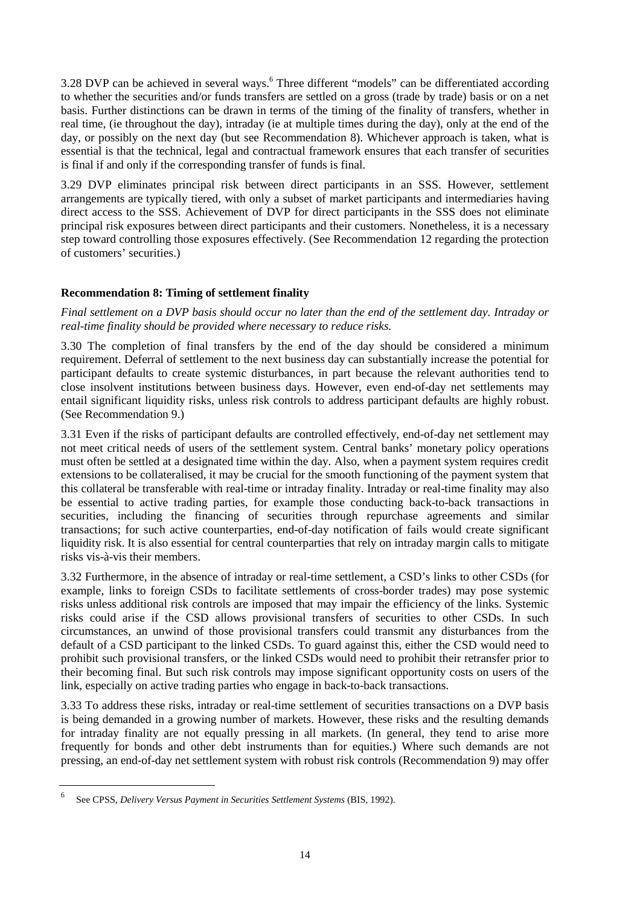3.28 DVP can be achieved in several ways.<sup>6</sup> Three different "models" can be differentiated according to whether the securities and/or funds transfers are settled on a gross (trade by trade) basis or on a net basis. Further distinctions can be drawn in terms of the timing of the finality of transfers, whether in real time, (ie throughout the day), intraday (ie at multiple times during the day), only at the end of the day, or possibly on the next day (but see Recommendation 8). Whichever approach is taken, what is essential is that the technical, legal and contractual framework ensures that each transfer of securities is final if and only if the corresponding transfer of funds is final.

3.29 DVP eliminates principal risk between direct participants in an SSS. However, settlement arrangements are typically tiered, with only a subset of market participants and intermediaries having direct access to the SSS. Achievement of DVP for direct participants in the SSS does not eliminate principal risk exposures between direct participants and their customers. Nonetheless, it is a necessary step toward controlling those exposures effectively. (See Recommendation 12 regarding the protection of customers' securities.)

## **Recommendation 8: Timing of settlement finality**

*Final settlement on a DVP basis should occur no later than the end of the settlement day. Intraday or real-time finality should be provided where necessary to reduce risks.*

3.30 The completion of final transfers by the end of the day should be considered a minimum requirement. Deferral of settlement to the next business day can substantially increase the potential for participant defaults to create systemic disturbances, in part because the relevant authorities tend to close insolvent institutions between business days. However, even end-of-day net settlements may entail significant liquidity risks, unless risk controls to address participant defaults are highly robust. (See Recommendation 9.)

3.31 Even if the risks of participant defaults are controlled effectively, end-of-day net settlement may not meet critical needs of users of the settlement system. Central banks' monetary policy operations must often be settled at a designated time within the day. Also, when a payment system requires credit extensions to be collateralised, it may be crucial for the smooth functioning of the payment system that this collateral be transferable with real-time or intraday finality. Intraday or real-time finality may also be essential to active trading parties, for example those conducting back-to-back transactions in securities, including the financing of securities through repurchase agreements and similar transactions; for such active counterparties, end-of-day notification of fails would create significant liquidity risk. It is also essential for central counterparties that rely on intraday margin calls to mitigate risks vis-à-vis their members.

3.32 Furthermore, in the absence of intraday or real-time settlement, a CSD's links to other CSDs (for example, links to foreign CSDs to facilitate settlements of cross-border trades) may pose systemic risks unless additional risk controls are imposed that may impair the efficiency of the links. Systemic risks could arise if the CSD allows provisional transfers of securities to other CSDs. In such circumstances, an unwind of those provisional transfers could transmit any disturbances from the default of a CSD participant to the linked CSDs. To guard against this, either the CSD would need to prohibit such provisional transfers, or the linked CSDs would need to prohibit their retransfer prior to their becoming final. But such risk controls may impose significant opportunity costs on users of the link, especially on active trading parties who engage in back-to-back transactions.

3.33 To address these risks, intraday or real-time settlement of securities transactions on a DVP basis is being demanded in a growing number of markets. However, these risks and the resulting demands for intraday finality are not equally pressing in all markets. (In general, they tend to arise more frequently for bonds and other debt instruments than for equities.) Where such demands are not pressing, an end-of-day net settlement system with robust risk controls (Recommendation 9) may offer

<sup>6</sup> See CPSS, *Delivery Versus Payment in Securities Settlement Systems* (BIS, 1992).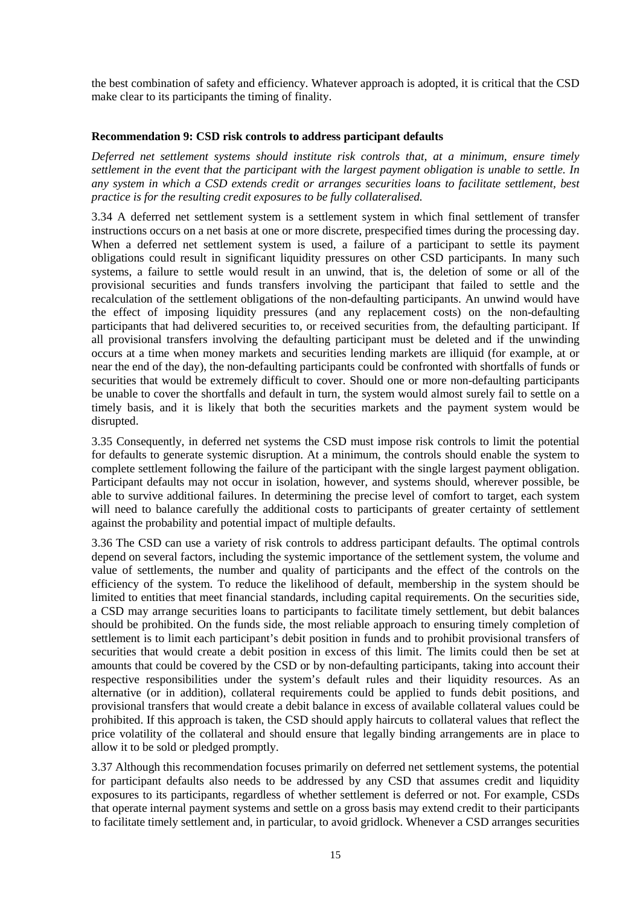the best combination of safety and efficiency. Whatever approach is adopted, it is critical that the CSD make clear to its participants the timing of finality.

## **Recommendation 9: CSD risk controls to address participant defaults**

*Deferred net settlement systems should institute risk controls that, at a minimum, ensure timely settlement in the event that the participant with the largest payment obligation is unable to settle. In any system in which a CSD extends credit or arranges securities loans to facilitate settlement, best practice is for the resulting credit exposures to be fully collateralised.*

3.34 A deferred net settlement system is a settlement system in which final settlement of transfer instructions occurs on a net basis at one or more discrete, prespecified times during the processing day. When a deferred net settlement system is used, a failure of a participant to settle its payment obligations could result in significant liquidity pressures on other CSD participants. In many such systems, a failure to settle would result in an unwind, that is, the deletion of some or all of the provisional securities and funds transfers involving the participant that failed to settle and the recalculation of the settlement obligations of the non-defaulting participants. An unwind would have the effect of imposing liquidity pressures (and any replacement costs) on the non-defaulting participants that had delivered securities to, or received securities from, the defaulting participant. If all provisional transfers involving the defaulting participant must be deleted and if the unwinding occurs at a time when money markets and securities lending markets are illiquid (for example, at or near the end of the day), the non-defaulting participants could be confronted with shortfalls of funds or securities that would be extremely difficult to cover. Should one or more non-defaulting participants be unable to cover the shortfalls and default in turn, the system would almost surely fail to settle on a timely basis, and it is likely that both the securities markets and the payment system would be disrupted.

3.35 Consequently, in deferred net systems the CSD must impose risk controls to limit the potential for defaults to generate systemic disruption. At a minimum, the controls should enable the system to complete settlement following the failure of the participant with the single largest payment obligation. Participant defaults may not occur in isolation, however, and systems should, wherever possible, be able to survive additional failures. In determining the precise level of comfort to target, each system will need to balance carefully the additional costs to participants of greater certainty of settlement against the probability and potential impact of multiple defaults.

3.36 The CSD can use a variety of risk controls to address participant defaults. The optimal controls depend on several factors, including the systemic importance of the settlement system, the volume and value of settlements, the number and quality of participants and the effect of the controls on the efficiency of the system. To reduce the likelihood of default, membership in the system should be limited to entities that meet financial standards, including capital requirements. On the securities side, a CSD may arrange securities loans to participants to facilitate timely settlement, but debit balances should be prohibited. On the funds side, the most reliable approach to ensuring timely completion of settlement is to limit each participant's debit position in funds and to prohibit provisional transfers of securities that would create a debit position in excess of this limit. The limits could then be set at amounts that could be covered by the CSD or by non-defaulting participants, taking into account their respective responsibilities under the system's default rules and their liquidity resources. As an alternative (or in addition), collateral requirements could be applied to funds debit positions, and provisional transfers that would create a debit balance in excess of available collateral values could be prohibited. If this approach is taken, the CSD should apply haircuts to collateral values that reflect the price volatility of the collateral and should ensure that legally binding arrangements are in place to allow it to be sold or pledged promptly.

3.37 Although this recommendation focuses primarily on deferred net settlement systems, the potential for participant defaults also needs to be addressed by any CSD that assumes credit and liquidity exposures to its participants, regardless of whether settlement is deferred or not. For example, CSDs that operate internal payment systems and settle on a gross basis may extend credit to their participants to facilitate timely settlement and, in particular, to avoid gridlock. Whenever a CSD arranges securities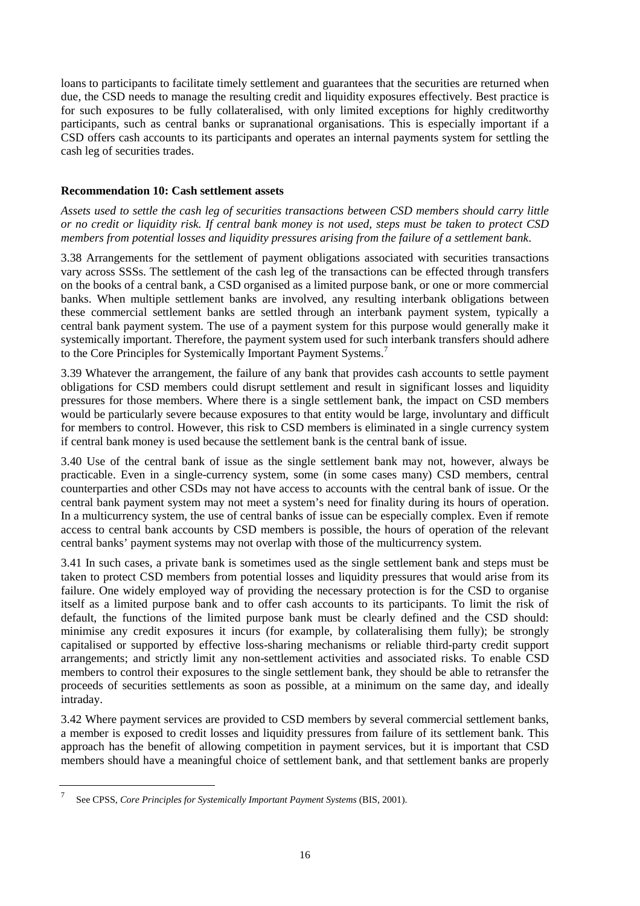loans to participants to facilitate timely settlement and guarantees that the securities are returned when due, the CSD needs to manage the resulting credit and liquidity exposures effectively. Best practice is for such exposures to be fully collateralised, with only limited exceptions for highly creditworthy participants, such as central banks or supranational organisations. This is especially important if a CSD offers cash accounts to its participants and operates an internal payments system for settling the cash leg of securities trades.

## **Recommendation 10: Cash settlement assets**

*Assets used to settle the cash leg of securities transactions between CSD members should carry little or no credit or liquidity risk. If central bank money is not used, steps must be taken to protect CSD members from potential losses and liquidity pressures arising from the failure of a settlement bank*.

3.38 Arrangements for the settlement of payment obligations associated with securities transactions vary across SSSs. The settlement of the cash leg of the transactions can be effected through transfers on the books of a central bank, a CSD organised as a limited purpose bank, or one or more commercial banks. When multiple settlement banks are involved, any resulting interbank obligations between these commercial settlement banks are settled through an interbank payment system, typically a central bank payment system. The use of a payment system for this purpose would generally make it systemically important. Therefore, the payment system used for such interbank transfers should adhere to the Core Principles for Systemically Important Payment Systems.<sup>7</sup>

3.39 Whatever the arrangement, the failure of any bank that provides cash accounts to settle payment obligations for CSD members could disrupt settlement and result in significant losses and liquidity pressures for those members. Where there is a single settlement bank, the impact on CSD members would be particularly severe because exposures to that entity would be large, involuntary and difficult for members to control. However, this risk to CSD members is eliminated in a single currency system if central bank money is used because the settlement bank is the central bank of issue.

3.40 Use of the central bank of issue as the single settlement bank may not, however, always be practicable. Even in a single-currency system, some (in some cases many) CSD members, central counterparties and other CSDs may not have access to accounts with the central bank of issue. Or the central bank payment system may not meet a system's need for finality during its hours of operation. In a multicurrency system, the use of central banks of issue can be especially complex. Even if remote access to central bank accounts by CSD members is possible, the hours of operation of the relevant central banks' payment systems may not overlap with those of the multicurrency system.

3.41 In such cases, a private bank is sometimes used as the single settlement bank and steps must be taken to protect CSD members from potential losses and liquidity pressures that would arise from its failure. One widely employed way of providing the necessary protection is for the CSD to organise itself as a limited purpose bank and to offer cash accounts to its participants. To limit the risk of default, the functions of the limited purpose bank must be clearly defined and the CSD should: minimise any credit exposures it incurs (for example, by collateralising them fully); be strongly capitalised or supported by effective loss-sharing mechanisms or reliable third-party credit support arrangements; and strictly limit any non-settlement activities and associated risks. To enable CSD members to control their exposures to the single settlement bank, they should be able to retransfer the proceeds of securities settlements as soon as possible, at a minimum on the same day, and ideally intraday.

3.42 Where payment services are provided to CSD members by several commercial settlement banks, a member is exposed to credit losses and liquidity pressures from failure of its settlement bank. This approach has the benefit of allowing competition in payment services, but it is important that CSD members should have a meaningful choice of settlement bank, and that settlement banks are properly

<sup>7</sup> See CPSS, *Core Principles for Systemically Important Payment Systems* (BIS, 2001).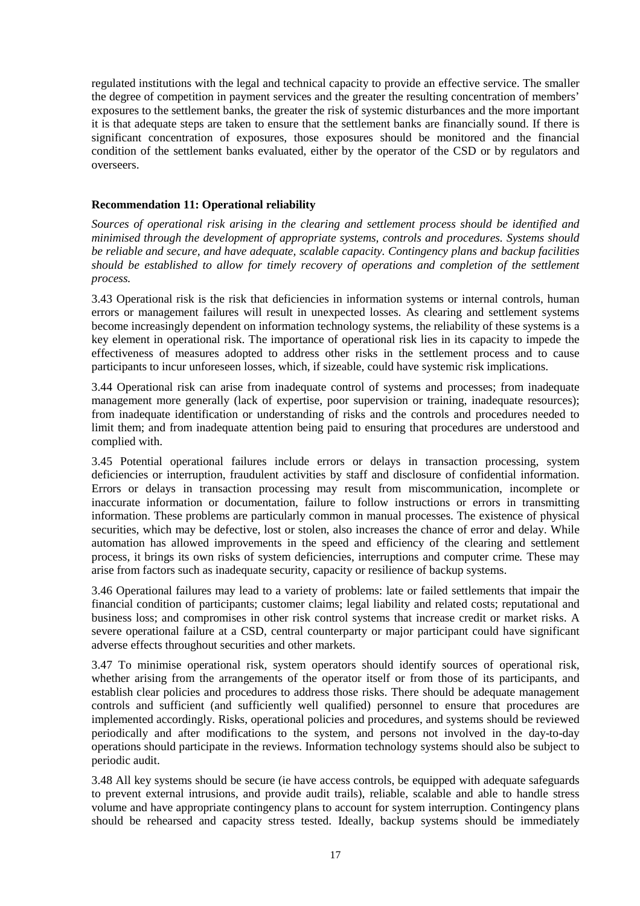regulated institutions with the legal and technical capacity to provide an effective service. The smaller the degree of competition in payment services and the greater the resulting concentration of members' exposures to the settlement banks, the greater the risk of systemic disturbances and the more important it is that adequate steps are taken to ensure that the settlement banks are financially sound. If there is significant concentration of exposures, those exposures should be monitored and the financial condition of the settlement banks evaluated, either by the operator of the CSD or by regulators and overseers.

#### **Recommendation 11: Operational reliability**

*Sources of operational risk arising in the clearing and settlement process should be identified and minimised through the development of appropriate systems, controls and procedures. Systems should be reliable and secure, and have adequate, scalable capacity. Contingency plans and backup facilities should be established to allow for timely recovery of operations and completion of the settlement process.*

3.43 Operational risk is the risk that deficiencies in information systems or internal controls, human errors or management failures will result in unexpected losses. As clearing and settlement systems become increasingly dependent on information technology systems, the reliability of these systems is a key element in operational risk. The importance of operational risk lies in its capacity to impede the effectiveness of measures adopted to address other risks in the settlement process and to cause participants to incur unforeseen losses, which, if sizeable, could have systemic risk implications.

3.44 Operational risk can arise from inadequate control of systems and processes; from inadequate management more generally (lack of expertise, poor supervision or training, inadequate resources); from inadequate identification or understanding of risks and the controls and procedures needed to limit them; and from inadequate attention being paid to ensuring that procedures are understood and complied with.

3.45 Potential operational failures include errors or delays in transaction processing, system deficiencies or interruption, fraudulent activities by staff and disclosure of confidential information. Errors or delays in transaction processing may result from miscommunication, incomplete or inaccurate information or documentation, failure to follow instructions or errors in transmitting information. These problems are particularly common in manual processes. The existence of physical securities, which may be defective, lost or stolen, also increases the chance of error and delay. While automation has allowed improvements in the speed and efficiency of the clearing and settlement process, it brings its own risks of system deficiencies, interruptions and computer crime*.* These may arise from factors such as inadequate security, capacity or resilience of backup systems.

3.46 Operational failures may lead to a variety of problems: late or failed settlements that impair the financial condition of participants; customer claims; legal liability and related costs; reputational and business loss; and compromises in other risk control systems that increase credit or market risks. A severe operational failure at a CSD, central counterparty or major participant could have significant adverse effects throughout securities and other markets.

3.47 To minimise operational risk, system operators should identify sources of operational risk, whether arising from the arrangements of the operator itself or from those of its participants, and establish clear policies and procedures to address those risks. There should be adequate management controls and sufficient (and sufficiently well qualified) personnel to ensure that procedures are implemented accordingly. Risks, operational policies and procedures, and systems should be reviewed periodically and after modifications to the system, and persons not involved in the day-to-day operations should participate in the reviews. Information technology systems should also be subject to periodic audit.

3.48 All key systems should be secure (ie have access controls, be equipped with adequate safeguards to prevent external intrusions, and provide audit trails), reliable, scalable and able to handle stress volume and have appropriate contingency plans to account for system interruption. Contingency plans should be rehearsed and capacity stress tested. Ideally, backup systems should be immediately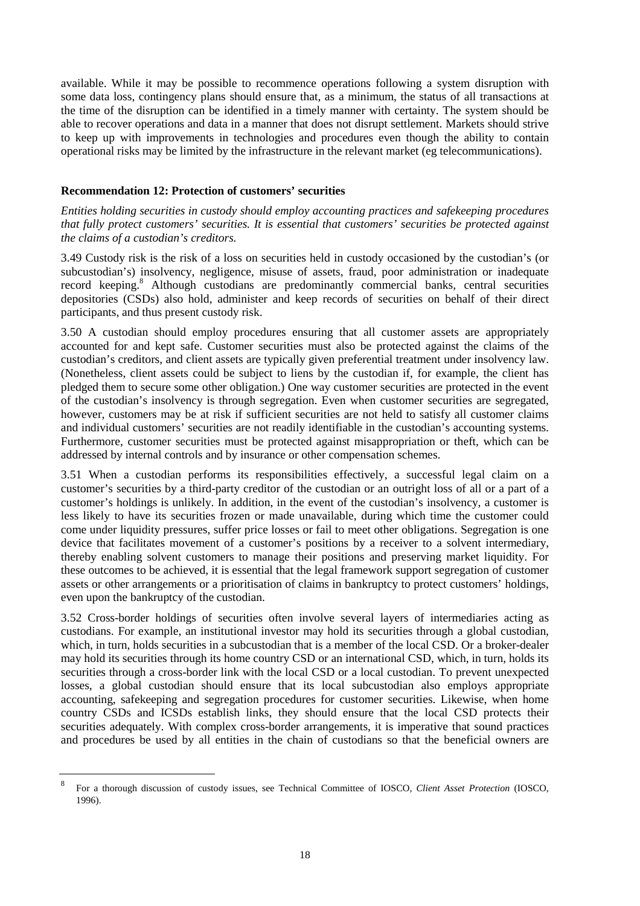available. While it may be possible to recommence operations following a system disruption with some data loss, contingency plans should ensure that, as a minimum, the status of all transactions at the time of the disruption can be identified in a timely manner with certainty. The system should be able to recover operations and data in a manner that does not disrupt settlement. Markets should strive to keep up with improvements in technologies and procedures even though the ability to contain operational risks may be limited by the infrastructure in the relevant market (eg telecommunications).

## **Recommendation 12: Protection of customers' securities**

*Entities holding securities in custody should employ accounting practices and safekeeping procedures that fully protect customers' securities. It is essential that customers' securities be protected against the claims of a custodian's creditors.*

3.49 Custody risk is the risk of a loss on securities held in custody occasioned by the custodian's (or subcustodian's) insolvency, negligence, misuse of assets, fraud, poor administration or inadequate record keeping.<sup>8</sup> Although custodians are predominantly commercial banks, central securities depositories (CSDs) also hold, administer and keep records of securities on behalf of their direct participants, and thus present custody risk.

3.50 A custodian should employ procedures ensuring that all customer assets are appropriately accounted for and kept safe. Customer securities must also be protected against the claims of the custodian's creditors, and client assets are typically given preferential treatment under insolvency law. (Nonetheless, client assets could be subject to liens by the custodian if, for example, the client has pledged them to secure some other obligation.) One way customer securities are protected in the event of the custodian's insolvency is through segregation. Even when customer securities are segregated, however, customers may be at risk if sufficient securities are not held to satisfy all customer claims and individual customers' securities are not readily identifiable in the custodian's accounting systems. Furthermore, customer securities must be protected against misappropriation or theft, which can be addressed by internal controls and by insurance or other compensation schemes.

3.51 When a custodian performs its responsibilities effectively, a successful legal claim on a customer's securities by a third-party creditor of the custodian or an outright loss of all or a part of a customer's holdings is unlikely. In addition, in the event of the custodian's insolvency, a customer is less likely to have its securities frozen or made unavailable, during which time the customer could come under liquidity pressures, suffer price losses or fail to meet other obligations. Segregation is one device that facilitates movement of a customer's positions by a receiver to a solvent intermediary, thereby enabling solvent customers to manage their positions and preserving market liquidity. For these outcomes to be achieved, it is essential that the legal framework support segregation of customer assets or other arrangements or a prioritisation of claims in bankruptcy to protect customers' holdings, even upon the bankruptcy of the custodian.

3.52 Cross-border holdings of securities often involve several layers of intermediaries acting as custodians. For example, an institutional investor may hold its securities through a global custodian, which, in turn, holds securities in a subcustodian that is a member of the local CSD. Or a broker-dealer may hold its securities through its home country CSD or an international CSD, which, in turn, holds its securities through a cross-border link with the local CSD or a local custodian. To prevent unexpected losses, a global custodian should ensure that its local subcustodian also employs appropriate accounting, safekeeping and segregation procedures for customer securities. Likewise, when home country CSDs and ICSDs establish links, they should ensure that the local CSD protects their securities adequately. With complex cross-border arrangements, it is imperative that sound practices and procedures be used by all entities in the chain of custodians so that the beneficial owners are

<sup>8</sup> For a thorough discussion of custody issues, see Technical Committee of IOSCO, *Client Asset Protection* (IOSCO, 1996).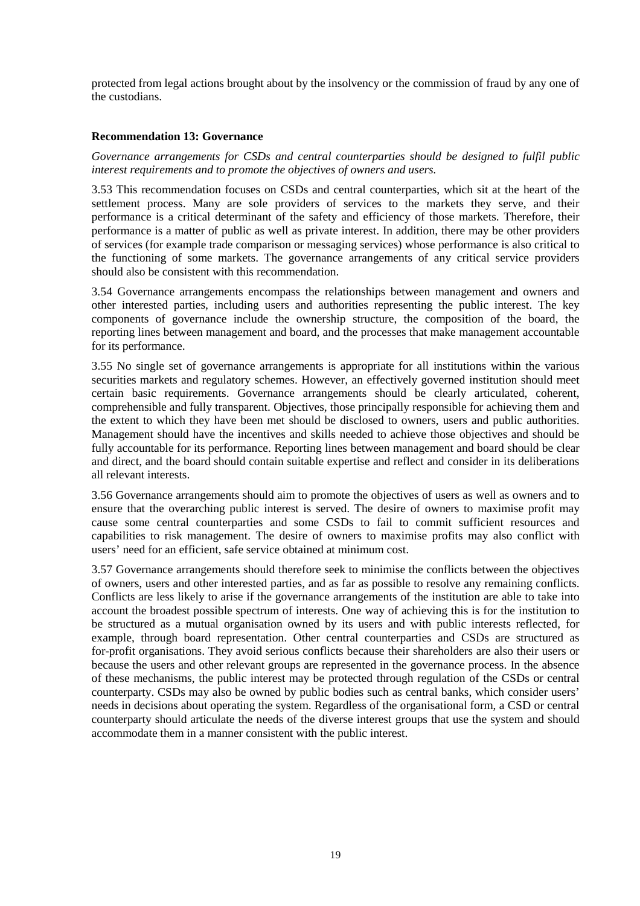protected from legal actions brought about by the insolvency or the commission of fraud by any one of the custodians.

## **Recommendation 13: Governance**

*Governance arrangements for CSDs and central counterparties should be designed to fulfil public interest requirements and to promote the objectives of owners and users.*

3.53 This recommendation focuses on CSDs and central counterparties, which sit at the heart of the settlement process. Many are sole providers of services to the markets they serve, and their performance is a critical determinant of the safety and efficiency of those markets. Therefore, their performance is a matter of public as well as private interest. In addition, there may be other providers of services (for example trade comparison or messaging services) whose performance is also critical to the functioning of some markets. The governance arrangements of any critical service providers should also be consistent with this recommendation.

3.54 Governance arrangements encompass the relationships between management and owners and other interested parties, including users and authorities representing the public interest. The key components of governance include the ownership structure, the composition of the board, the reporting lines between management and board, and the processes that make management accountable for its performance.

3.55 No single set of governance arrangements is appropriate for all institutions within the various securities markets and regulatory schemes. However, an effectively governed institution should meet certain basic requirements. Governance arrangements should be clearly articulated, coherent, comprehensible and fully transparent. Objectives, those principally responsible for achieving them and the extent to which they have been met should be disclosed to owners, users and public authorities. Management should have the incentives and skills needed to achieve those objectives and should be fully accountable for its performance. Reporting lines between management and board should be clear and direct, and the board should contain suitable expertise and reflect and consider in its deliberations all relevant interests.

3.56 Governance arrangements should aim to promote the objectives of users as well as owners and to ensure that the overarching public interest is served. The desire of owners to maximise profit may cause some central counterparties and some CSDs to fail to commit sufficient resources and capabilities to risk management. The desire of owners to maximise profits may also conflict with users' need for an efficient, safe service obtained at minimum cost.

3.57 Governance arrangements should therefore seek to minimise the conflicts between the objectives of owners, users and other interested parties, and as far as possible to resolve any remaining conflicts. Conflicts are less likely to arise if the governance arrangements of the institution are able to take into account the broadest possible spectrum of interests. One way of achieving this is for the institution to be structured as a mutual organisation owned by its users and with public interests reflected, for example, through board representation. Other central counterparties and CSDs are structured as for-profit organisations. They avoid serious conflicts because their shareholders are also their users or because the users and other relevant groups are represented in the governance process. In the absence of these mechanisms, the public interest may be protected through regulation of the CSDs or central counterparty. CSDs may also be owned by public bodies such as central banks, which consider users' needs in decisions about operating the system. Regardless of the organisational form, a CSD or central counterparty should articulate the needs of the diverse interest groups that use the system and should accommodate them in a manner consistent with the public interest.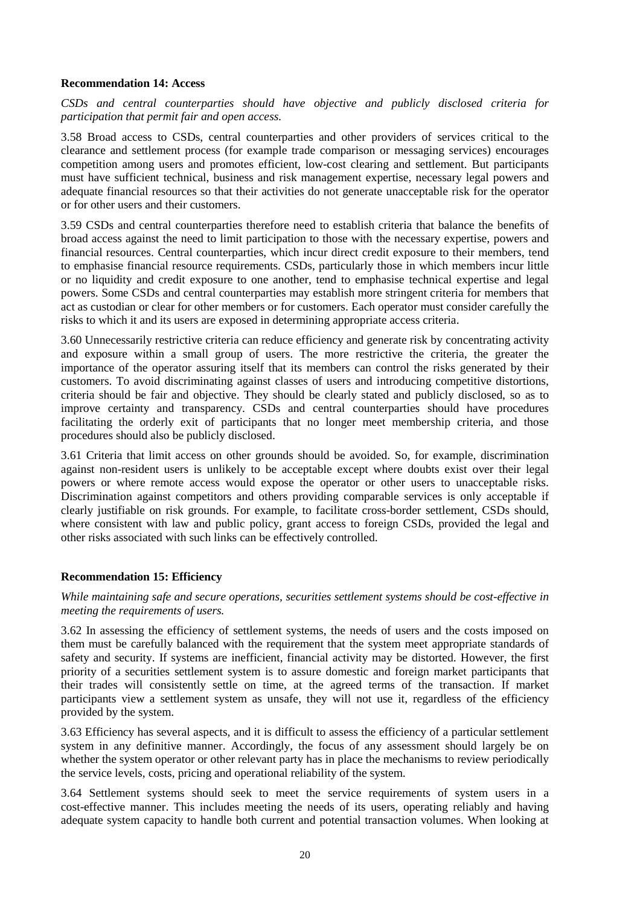#### **Recommendation 14: Access**

*CSDs and central counterparties should have objective and publicly disclosed criteria for participation that permit fair and open access.*

3.58 Broad access to CSDs, central counterparties and other providers of services critical to the clearance and settlement process (for example trade comparison or messaging services) encourages competition among users and promotes efficient, low-cost clearing and settlement. But participants must have sufficient technical, business and risk management expertise, necessary legal powers and adequate financial resources so that their activities do not generate unacceptable risk for the operator or for other users and their customers.

3.59 CSDs and central counterparties therefore need to establish criteria that balance the benefits of broad access against the need to limit participation to those with the necessary expertise, powers and financial resources. Central counterparties, which incur direct credit exposure to their members, tend to emphasise financial resource requirements. CSDs, particularly those in which members incur little or no liquidity and credit exposure to one another, tend to emphasise technical expertise and legal powers. Some CSDs and central counterparties may establish more stringent criteria for members that act as custodian or clear for other members or for customers. Each operator must consider carefully the risks to which it and its users are exposed in determining appropriate access criteria.

3.60 Unnecessarily restrictive criteria can reduce efficiency and generate risk by concentrating activity and exposure within a small group of users. The more restrictive the criteria, the greater the importance of the operator assuring itself that its members can control the risks generated by their customers. To avoid discriminating against classes of users and introducing competitive distortions, criteria should be fair and objective. They should be clearly stated and publicly disclosed, so as to improve certainty and transparency. CSDs and central counterparties should have procedures facilitating the orderly exit of participants that no longer meet membership criteria, and those procedures should also be publicly disclosed.

3.61 Criteria that limit access on other grounds should be avoided. So, for example, discrimination against non-resident users is unlikely to be acceptable except where doubts exist over their legal powers or where remote access would expose the operator or other users to unacceptable risks. Discrimination against competitors and others providing comparable services is only acceptable if clearly justifiable on risk grounds. For example, to facilitate cross-border settlement, CSDs should, where consistent with law and public policy, grant access to foreign CSDs, provided the legal and other risks associated with such links can be effectively controlled.

## **Recommendation 15: Efficiency**

*While maintaining safe and secure operations, securities settlement systems should be cost-effective in meeting the requirements of users.*

3.62 In assessing the efficiency of settlement systems, the needs of users and the costs imposed on them must be carefully balanced with the requirement that the system meet appropriate standards of safety and security. If systems are inefficient, financial activity may be distorted. However, the first priority of a securities settlement system is to assure domestic and foreign market participants that their trades will consistently settle on time, at the agreed terms of the transaction. If market participants view a settlement system as unsafe, they will not use it, regardless of the efficiency provided by the system.

3.63 Efficiency has several aspects, and it is difficult to assess the efficiency of a particular settlement system in any definitive manner. Accordingly, the focus of any assessment should largely be on whether the system operator or other relevant party has in place the mechanisms to review periodically the service levels, costs, pricing and operational reliability of the system.

3.64 Settlement systems should seek to meet the service requirements of system users in a cost-effective manner. This includes meeting the needs of its users, operating reliably and having adequate system capacity to handle both current and potential transaction volumes. When looking at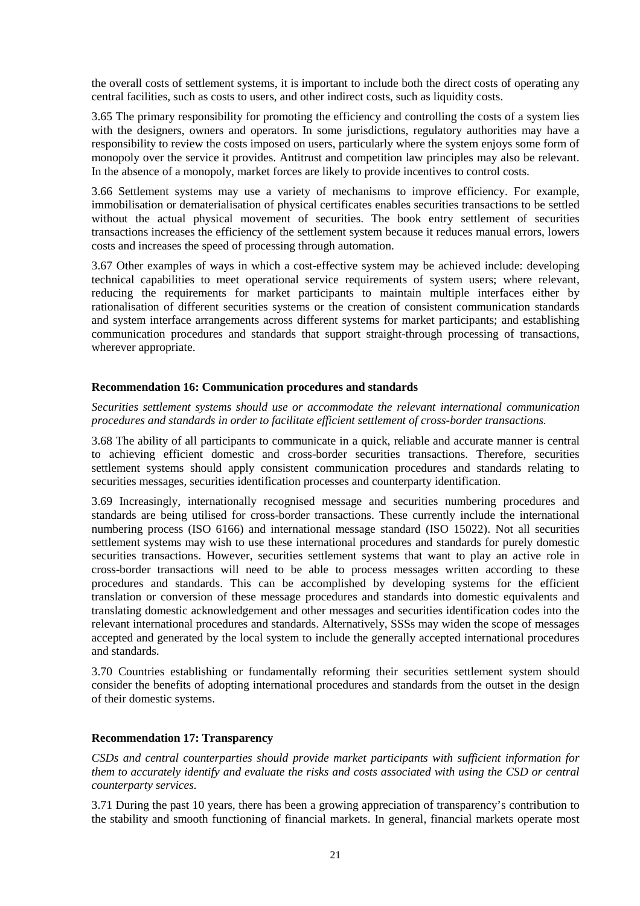the overall costs of settlement systems, it is important to include both the direct costs of operating any central facilities, such as costs to users, and other indirect costs, such as liquidity costs.

3.65 The primary responsibility for promoting the efficiency and controlling the costs of a system lies with the designers, owners and operators. In some jurisdictions, regulatory authorities may have a responsibility to review the costs imposed on users, particularly where the system enjoys some form of monopoly over the service it provides. Antitrust and competition law principles may also be relevant. In the absence of a monopoly, market forces are likely to provide incentives to control costs.

3.66 Settlement systems may use a variety of mechanisms to improve efficiency. For example, immobilisation or dematerialisation of physical certificates enables securities transactions to be settled without the actual physical movement of securities. The book entry settlement of securities transactions increases the efficiency of the settlement system because it reduces manual errors, lowers costs and increases the speed of processing through automation.

3.67 Other examples of ways in which a cost-effective system may be achieved include: developing technical capabilities to meet operational service requirements of system users; where relevant, reducing the requirements for market participants to maintain multiple interfaces either by rationalisation of different securities systems or the creation of consistent communication standards and system interface arrangements across different systems for market participants; and establishing communication procedures and standards that support straight-through processing of transactions, wherever appropriate.

## **Recommendation 16: Communication procedures and standards**

## *Securities settlement systems should use or accommodate the relevant international communication procedures and standards in order to facilitate efficient settlement of cross-border transactions.*

3.68 The ability of all participants to communicate in a quick, reliable and accurate manner is central to achieving efficient domestic and cross-border securities transactions. Therefore, securities settlement systems should apply consistent communication procedures and standards relating to securities messages, securities identification processes and counterparty identification.

3.69 Increasingly, internationally recognised message and securities numbering procedures and standards are being utilised for cross-border transactions. These currently include the international numbering process (ISO 6166) and international message standard (ISO 15022). Not all securities settlement systems may wish to use these international procedures and standards for purely domestic securities transactions. However, securities settlement systems that want to play an active role in cross-border transactions will need to be able to process messages written according to these procedures and standards. This can be accomplished by developing systems for the efficient translation or conversion of these message procedures and standards into domestic equivalents and translating domestic acknowledgement and other messages and securities identification codes into the relevant international procedures and standards. Alternatively, SSSs may widen the scope of messages accepted and generated by the local system to include the generally accepted international procedures and standards.

3.70 Countries establishing or fundamentally reforming their securities settlement system should consider the benefits of adopting international procedures and standards from the outset in the design of their domestic systems.

## **Recommendation 17: Transparency**

*CSDs and central counterparties should provide market participants with sufficient information for them to accurately identify and evaluate the risks and costs associated with using the CSD or central counterparty services.*

3.71 During the past 10 years, there has been a growing appreciation of transparency's contribution to the stability and smooth functioning of financial markets. In general, financial markets operate most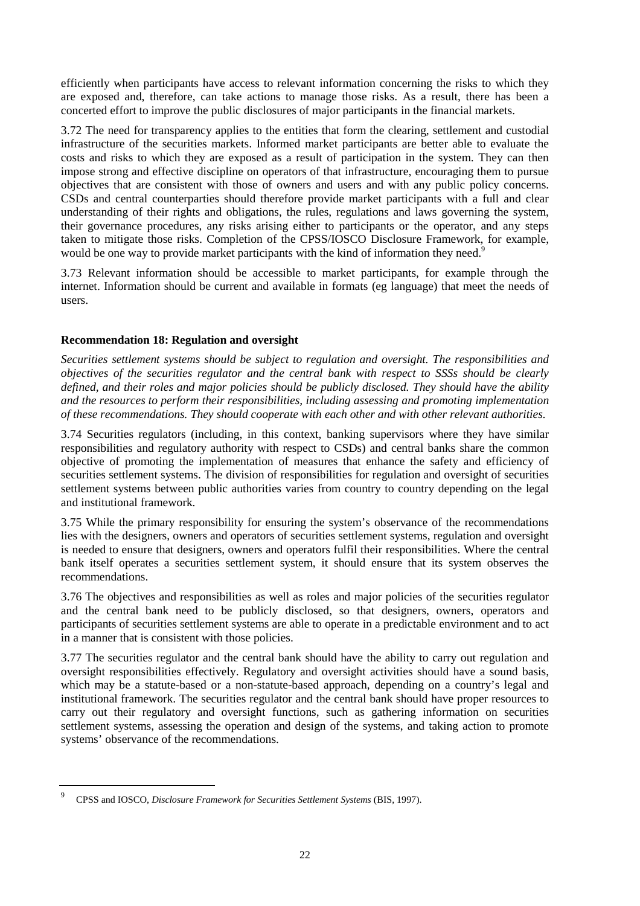efficiently when participants have access to relevant information concerning the risks to which they are exposed and, therefore, can take actions to manage those risks. As a result, there has been a concerted effort to improve the public disclosures of major participants in the financial markets.

3.72 The need for transparency applies to the entities that form the clearing, settlement and custodial infrastructure of the securities markets. Informed market participants are better able to evaluate the costs and risks to which they are exposed as a result of participation in the system. They can then impose strong and effective discipline on operators of that infrastructure, encouraging them to pursue objectives that are consistent with those of owners and users and with any public policy concerns. CSDs and central counterparties should therefore provide market participants with a full and clear understanding of their rights and obligations, the rules, regulations and laws governing the system, their governance procedures, any risks arising either to participants or the operator, and any steps taken to mitigate those risks. Completion of the CPSS/IOSCO Disclosure Framework, for example, would be one way to provide market participants with the kind of information they need.<sup>9</sup>

3.73 Relevant information should be accessible to market participants, for example through the internet. Information should be current and available in formats (eg language) that meet the needs of users.

## **Recommendation 18: Regulation and oversight**

*Securities settlement systems should be subject to regulation and oversight. The responsibilities and objectives of the securities regulator and the central bank with respect to SSSs should be clearly defined, and their roles and major policies should be publicly disclosed. They should have the ability and the resources to perform their responsibilities, including assessing and promoting implementation of these recommendations. They should cooperate with each other and with other relevant authorities.*

3.74 Securities regulators (including, in this context, banking supervisors where they have similar responsibilities and regulatory authority with respect to CSDs) and central banks share the common objective of promoting the implementation of measures that enhance the safety and efficiency of securities settlement systems. The division of responsibilities for regulation and oversight of securities settlement systems between public authorities varies from country to country depending on the legal and institutional framework.

3.75 While the primary responsibility for ensuring the system's observance of the recommendations lies with the designers, owners and operators of securities settlement systems, regulation and oversight is needed to ensure that designers, owners and operators fulfil their responsibilities. Where the central bank itself operates a securities settlement system, it should ensure that its system observes the recommendations.

3.76 The objectives and responsibilities as well as roles and major policies of the securities regulator and the central bank need to be publicly disclosed, so that designers, owners, operators and participants of securities settlement systems are able to operate in a predictable environment and to act in a manner that is consistent with those policies.

3.77 The securities regulator and the central bank should have the ability to carry out regulation and oversight responsibilities effectively. Regulatory and oversight activities should have a sound basis, which may be a statute-based or a non-statute-based approach, depending on a country's legal and institutional framework. The securities regulator and the central bank should have proper resources to carry out their regulatory and oversight functions, such as gathering information on securities settlement systems, assessing the operation and design of the systems, and taking action to promote systems' observance of the recommendations.

<sup>9</sup> CPSS and IOSCO, *Disclosure Framework for Securities Settlement Systems* (BIS, 1997).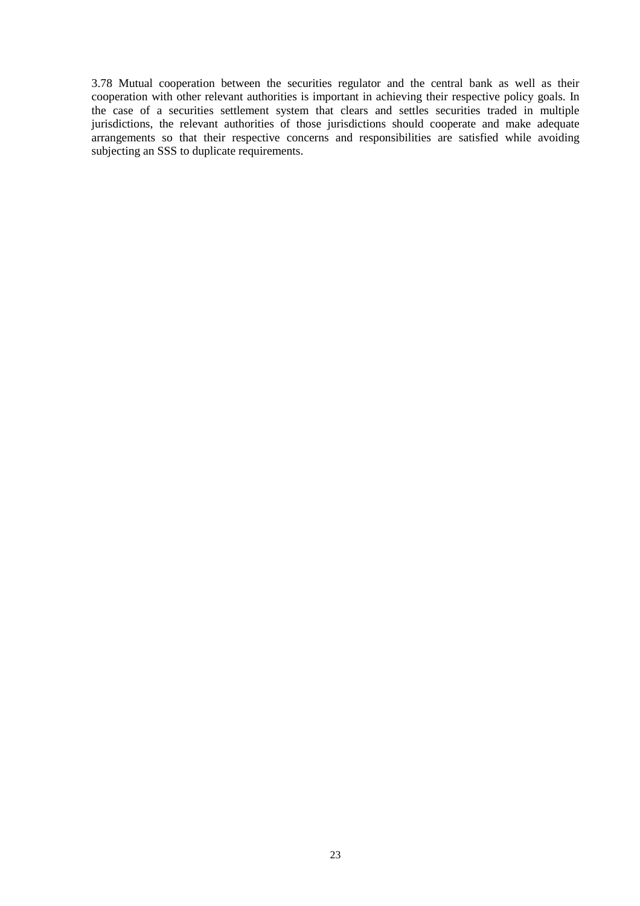3.78 Mutual cooperation between the securities regulator and the central bank as well as their cooperation with other relevant authorities is important in achieving their respective policy goals. In the case of a securities settlement system that clears and settles securities traded in multiple jurisdictions, the relevant authorities of those jurisdictions should cooperate and make adequate arrangements so that their respective concerns and responsibilities are satisfied while avoiding subjecting an SSS to duplicate requirements.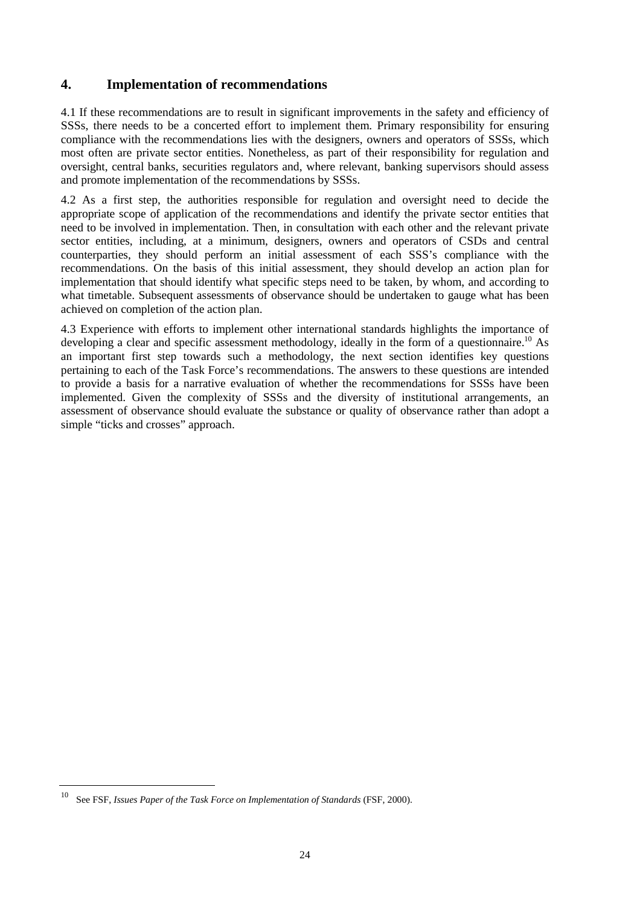## **4. Implementation of recommendations**

4.1 If these recommendations are to result in significant improvements in the safety and efficiency of SSSs, there needs to be a concerted effort to implement them. Primary responsibility for ensuring compliance with the recommendations lies with the designers, owners and operators of SSSs, which most often are private sector entities. Nonetheless, as part of their responsibility for regulation and oversight, central banks, securities regulators and, where relevant, banking supervisors should assess and promote implementation of the recommendations by SSSs.

4.2 As a first step, the authorities responsible for regulation and oversight need to decide the appropriate scope of application of the recommendations and identify the private sector entities that need to be involved in implementation. Then, in consultation with each other and the relevant private sector entities, including, at a minimum, designers, owners and operators of CSDs and central counterparties, they should perform an initial assessment of each SSS's compliance with the recommendations. On the basis of this initial assessment, they should develop an action plan for implementation that should identify what specific steps need to be taken, by whom, and according to what timetable. Subsequent assessments of observance should be undertaken to gauge what has been achieved on completion of the action plan.

4.3 Experience with efforts to implement other international standards highlights the importance of developing a clear and specific assessment methodology, ideally in the form of a questionnaire.<sup>10</sup> As an important first step towards such a methodology, the next section identifies key questions pertaining to each of the Task Force's recommendations. The answers to these questions are intended to provide a basis for a narrative evaluation of whether the recommendations for SSSs have been implemented. Given the complexity of SSSs and the diversity of institutional arrangements, an assessment of observance should evaluate the substance or quality of observance rather than adopt a simple "ticks and crosses" approach.

<sup>10</sup> See FSF, *Issues Paper of the Task Force on Implementation of Standards* (FSF, 2000).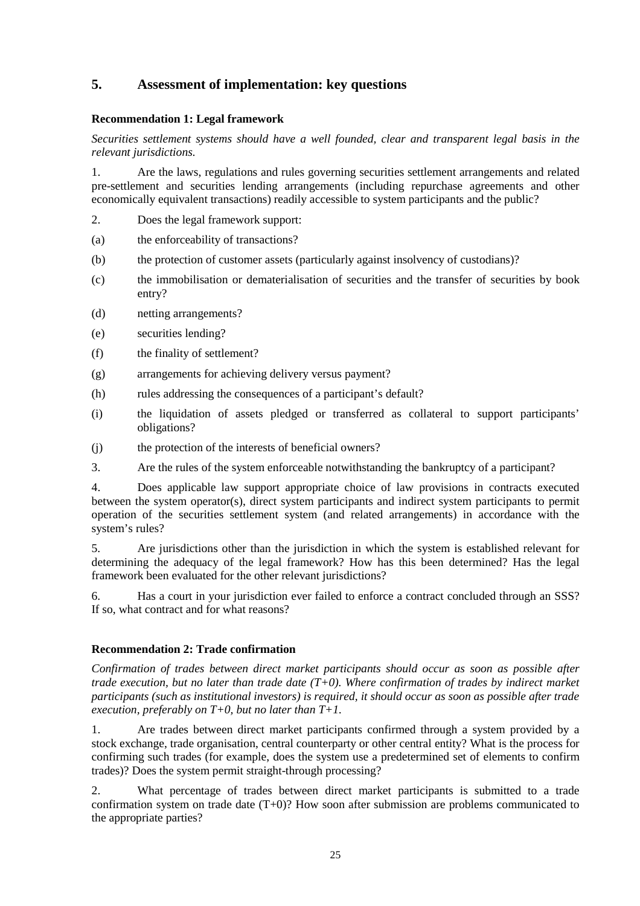## **5. Assessment of implementation: key questions**

## **Recommendation 1: Legal framework**

*Securities settlement systems should have a well founded, clear and transparent legal basis in the relevant jurisdictions.*

1. Are the laws, regulations and rules governing securities settlement arrangements and related pre-settlement and securities lending arrangements (including repurchase agreements and other economically equivalent transactions) readily accessible to system participants and the public?

- 2. Does the legal framework support:
- (a) the enforceability of transactions?
- (b) the protection of customer assets (particularly against insolvency of custodians)?
- (c) the immobilisation or dematerialisation of securities and the transfer of securities by book entry?
- (d) netting arrangements?
- (e) securities lending?
- (f) the finality of settlement?
- (g) arrangements for achieving delivery versus payment?
- (h) rules addressing the consequences of a participant's default?
- (i) the liquidation of assets pledged or transferred as collateral to support participants' obligations?
- (j) the protection of the interests of beneficial owners?
- 3. Are the rules of the system enforceable notwithstanding the bankruptcy of a participant?

4. Does applicable law support appropriate choice of law provisions in contracts executed between the system operator(s), direct system participants and indirect system participants to permit operation of the securities settlement system (and related arrangements) in accordance with the system's rules?

5. Are jurisdictions other than the jurisdiction in which the system is established relevant for determining the adequacy of the legal framework? How has this been determined? Has the legal framework been evaluated for the other relevant jurisdictions?

6. Has a court in your jurisdiction ever failed to enforce a contract concluded through an SSS? If so, what contract and for what reasons?

## **Recommendation 2: Trade confirmation**

*Confirmation of trades between direct market participants should occur as soon as possible after trade execution, but no later than trade date (T+0). Where confirmation of trades by indirect market participants (such as institutional investors) is required, it should occur as soon as possible after trade execution, preferably on T+0, but no later than T+1.*

1. Are trades between direct market participants confirmed through a system provided by a stock exchange, trade organisation, central counterparty or other central entity? What is the process for confirming such trades (for example, does the system use a predetermined set of elements to confirm trades)? Does the system permit straight-through processing?

2. What percentage of trades between direct market participants is submitted to a trade confirmation system on trade date (T+0)? How soon after submission are problems communicated to the appropriate parties?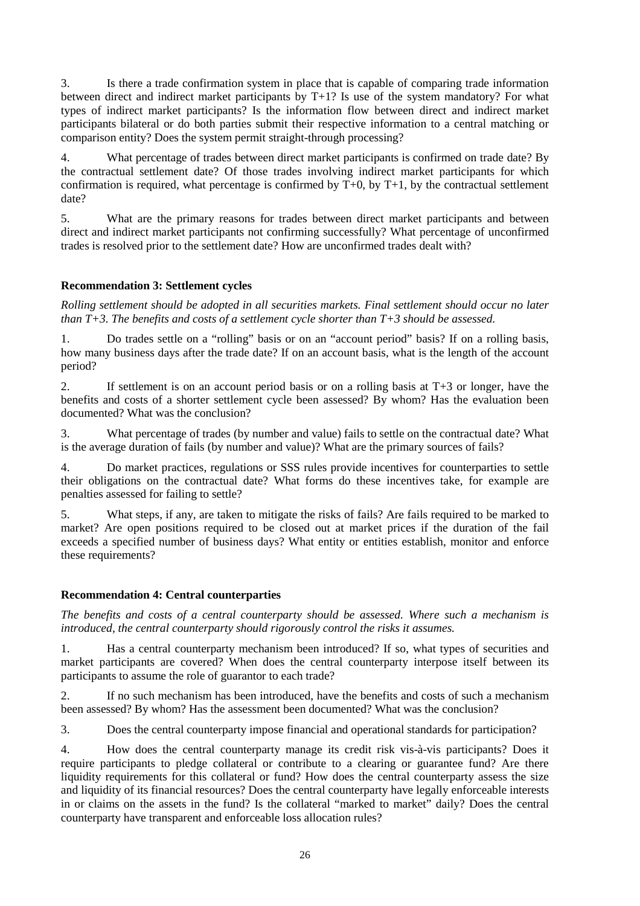3. Is there a trade confirmation system in place that is capable of comparing trade information between direct and indirect market participants by T+1? Is use of the system mandatory? For what types of indirect market participants? Is the information flow between direct and indirect market participants bilateral or do both parties submit their respective information to a central matching or comparison entity? Does the system permit straight-through processing?

4. What percentage of trades between direct market participants is confirmed on trade date? By the contractual settlement date? Of those trades involving indirect market participants for which confirmation is required, what percentage is confirmed by  $T+0$ , by  $T+1$ , by the contractual settlement date?

5. What are the primary reasons for trades between direct market participants and between direct and indirect market participants not confirming successfully? What percentage of unconfirmed trades is resolved prior to the settlement date? How are unconfirmed trades dealt with?

## **Recommendation 3: Settlement cycles**

*Rolling settlement should be adopted in all securities markets. Final settlement should occur no later than T+3. The benefits and costs of a settlement cycle shorter than T+3 should be assessed.*

1. Do trades settle on a "rolling" basis or on an "account period" basis? If on a rolling basis, how many business days after the trade date? If on an account basis, what is the length of the account period?

2. If settlement is on an account period basis or on a rolling basis at T+3 or longer, have the benefits and costs of a shorter settlement cycle been assessed? By whom? Has the evaluation been documented? What was the conclusion?

3. What percentage of trades (by number and value) fails to settle on the contractual date? What is the average duration of fails (by number and value)? What are the primary sources of fails?

4. Do market practices, regulations or SSS rules provide incentives for counterparties to settle their obligations on the contractual date? What forms do these incentives take, for example are penalties assessed for failing to settle?

5. What steps, if any, are taken to mitigate the risks of fails? Are fails required to be marked to market? Are open positions required to be closed out at market prices if the duration of the fail exceeds a specified number of business days? What entity or entities establish, monitor and enforce these requirements?

## **Recommendation 4: Central counterparties**

*The benefits and costs of a central counterparty should be assessed. Where such a mechanism is introduced, the central counterparty should rigorously control the risks it assumes.*

1. Has a central counterparty mechanism been introduced? If so, what types of securities and market participants are covered? When does the central counterparty interpose itself between its participants to assume the role of guarantor to each trade?

2. If no such mechanism has been introduced, have the benefits and costs of such a mechanism been assessed? By whom? Has the assessment been documented? What was the conclusion?

3. Does the central counterparty impose financial and operational standards for participation?

4. How does the central counterparty manage its credit risk vis-à-vis participants? Does it require participants to pledge collateral or contribute to a clearing or guarantee fund? Are there liquidity requirements for this collateral or fund? How does the central counterparty assess the size and liquidity of its financial resources? Does the central counterparty have legally enforceable interests in or claims on the assets in the fund? Is the collateral "marked to market" daily? Does the central counterparty have transparent and enforceable loss allocation rules?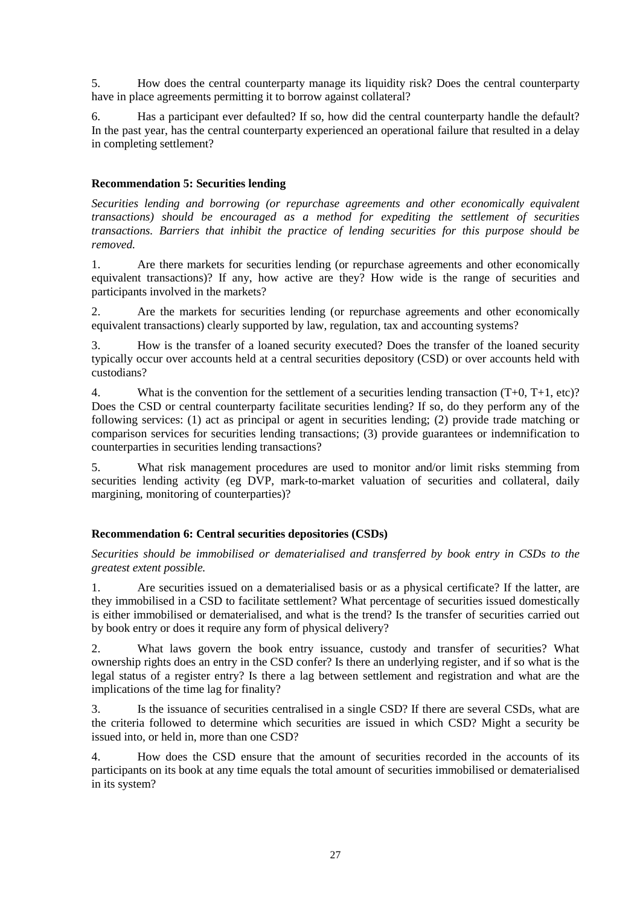5. How does the central counterparty manage its liquidity risk? Does the central counterparty have in place agreements permitting it to borrow against collateral?

6. Has a participant ever defaulted? If so, how did the central counterparty handle the default? In the past year, has the central counterparty experienced an operational failure that resulted in a delay in completing settlement?

## **Recommendation 5: Securities lending**

*Securities lending and borrowing (or repurchase agreements and other economically equivalent transactions) should be encouraged as a method for expediting the settlement of securities transactions. Barriers that inhibit the practice of lending securities for this purpose should be removed.*

1. Are there markets for securities lending (or repurchase agreements and other economically equivalent transactions)? If any, how active are they? How wide is the range of securities and participants involved in the markets?

2. Are the markets for securities lending (or repurchase agreements and other economically equivalent transactions) clearly supported by law, regulation, tax and accounting systems?

3. How is the transfer of a loaned security executed? Does the transfer of the loaned security typically occur over accounts held at a central securities depository (CSD) or over accounts held with custodians?

4. What is the convention for the settlement of a securities lending transaction (T+0, T+1, etc)? Does the CSD or central counterparty facilitate securities lending? If so, do they perform any of the following services: (1) act as principal or agent in securities lending; (2) provide trade matching or comparison services for securities lending transactions; (3) provide guarantees or indemnification to counterparties in securities lending transactions?

5. What risk management procedures are used to monitor and/or limit risks stemming from securities lending activity (eg DVP, mark-to-market valuation of securities and collateral, daily margining, monitoring of counterparties)?

## **Recommendation 6: Central securities depositories (CSDs)**

*Securities should be immobilised or dematerialised and transferred by book entry in CSDs to the greatest extent possible.*

1. Are securities issued on a dematerialised basis or as a physical certificate? If the latter, are they immobilised in a CSD to facilitate settlement? What percentage of securities issued domestically is either immobilised or dematerialised, and what is the trend? Is the transfer of securities carried out by book entry or does it require any form of physical delivery?

2. What laws govern the book entry issuance, custody and transfer of securities? What ownership rights does an entry in the CSD confer? Is there an underlying register, and if so what is the legal status of a register entry? Is there a lag between settlement and registration and what are the implications of the time lag for finality?

3. Is the issuance of securities centralised in a single CSD? If there are several CSDs, what are the criteria followed to determine which securities are issued in which CSD? Might a security be issued into, or held in, more than one CSD?

4. How does the CSD ensure that the amount of securities recorded in the accounts of its participants on its book at any time equals the total amount of securities immobilised or dematerialised in its system?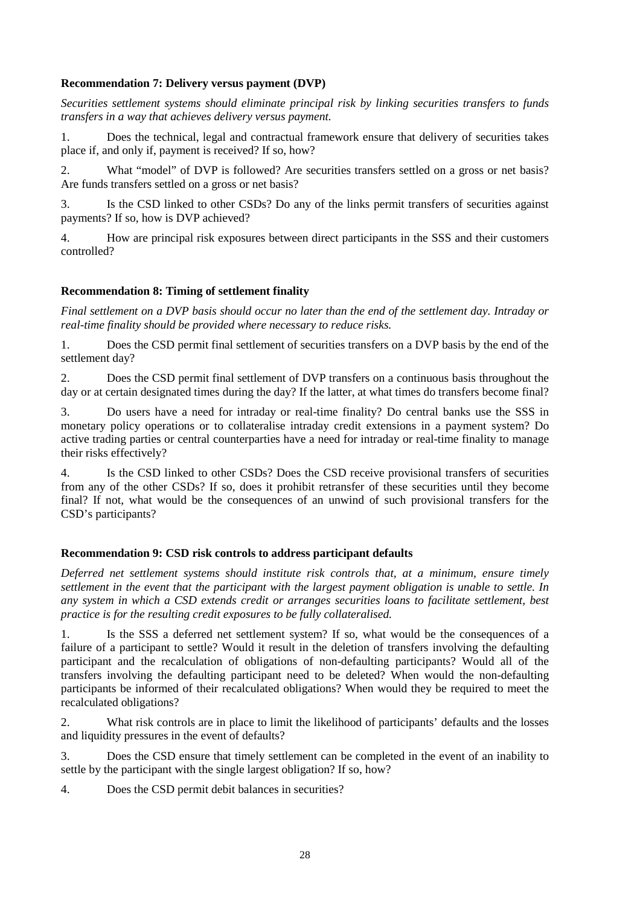## **Recommendation 7: Delivery versus payment (DVP)**

*Securities settlement systems should eliminate principal risk by linking securities transfers to funds transfers in a way that achieves delivery versus payment.*

1. Does the technical, legal and contractual framework ensure that delivery of securities takes place if, and only if, payment is received? If so, how?

2. What "model" of DVP is followed? Are securities transfers settled on a gross or net basis? Are funds transfers settled on a gross or net basis?

3. Is the CSD linked to other CSDs? Do any of the links permit transfers of securities against payments? If so, how is DVP achieved?

4. How are principal risk exposures between direct participants in the SSS and their customers controlled?

## **Recommendation 8: Timing of settlement finality**

*Final settlement on a DVP basis should occur no later than the end of the settlement day. Intraday or real-time finality should be provided where necessary to reduce risks.*

1. Does the CSD permit final settlement of securities transfers on a DVP basis by the end of the settlement day?

2. Does the CSD permit final settlement of DVP transfers on a continuous basis throughout the day or at certain designated times during the day? If the latter, at what times do transfers become final?

3. Do users have a need for intraday or real-time finality? Do central banks use the SSS in monetary policy operations or to collateralise intraday credit extensions in a payment system? Do active trading parties or central counterparties have a need for intraday or real-time finality to manage their risks effectively?

4. Is the CSD linked to other CSDs? Does the CSD receive provisional transfers of securities from any of the other CSDs? If so, does it prohibit retransfer of these securities until they become final? If not, what would be the consequences of an unwind of such provisional transfers for the CSD's participants?

## **Recommendation 9: CSD risk controls to address participant defaults**

*Deferred net settlement systems should institute risk controls that, at a minimum, ensure timely settlement in the event that the participant with the largest payment obligation is unable to settle. In any system in which a CSD extends credit or arranges securities loans to facilitate settlement, best practice is for the resulting credit exposures to be fully collateralised.*

1. Is the SSS a deferred net settlement system? If so, what would be the consequences of a failure of a participant to settle? Would it result in the deletion of transfers involving the defaulting participant and the recalculation of obligations of non-defaulting participants? Would all of the transfers involving the defaulting participant need to be deleted? When would the non-defaulting participants be informed of their recalculated obligations? When would they be required to meet the recalculated obligations?

2. What risk controls are in place to limit the likelihood of participants' defaults and the losses and liquidity pressures in the event of defaults?

3. Does the CSD ensure that timely settlement can be completed in the event of an inability to settle by the participant with the single largest obligation? If so, how?

4. Does the CSD permit debit balances in securities?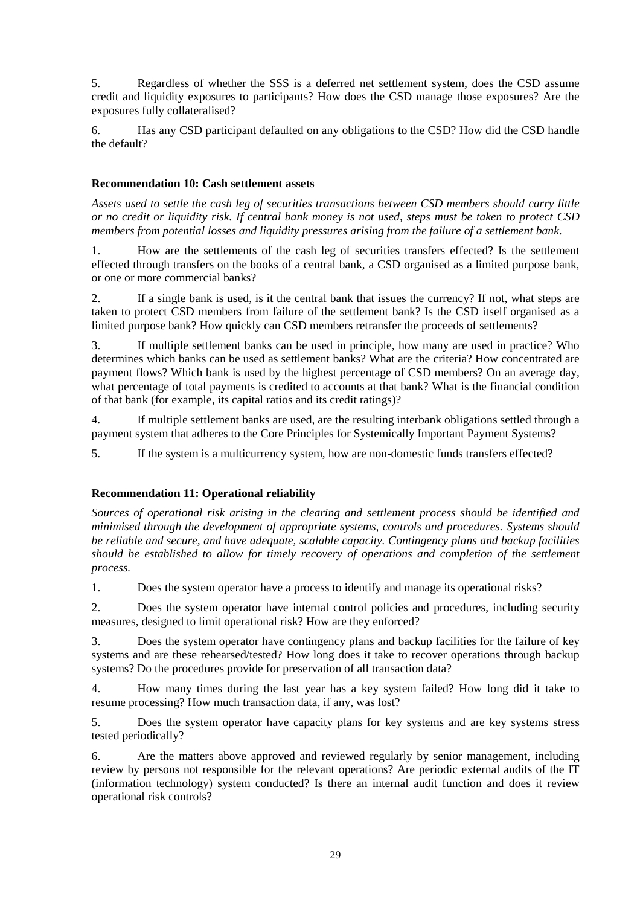5. Regardless of whether the SSS is a deferred net settlement system, does the CSD assume credit and liquidity exposures to participants? How does the CSD manage those exposures? Are the exposures fully collateralised?

6. Has any CSD participant defaulted on any obligations to the CSD? How did the CSD handle the default?

## **Recommendation 10: Cash settlement assets**

*Assets used to settle the cash leg of securities transactions between CSD members should carry little or no credit or liquidity risk. If central bank money is not used, steps must be taken to protect CSD members from potential losses and liquidity pressures arising from the failure of a settlement bank*.

1. How are the settlements of the cash leg of securities transfers effected? Is the settlement effected through transfers on the books of a central bank, a CSD organised as a limited purpose bank, or one or more commercial banks?

2. If a single bank is used, is it the central bank that issues the currency? If not, what steps are taken to protect CSD members from failure of the settlement bank? Is the CSD itself organised as a limited purpose bank? How quickly can CSD members retransfer the proceeds of settlements?

3. If multiple settlement banks can be used in principle, how many are used in practice? Who determines which banks can be used as settlement banks? What are the criteria? How concentrated are payment flows? Which bank is used by the highest percentage of CSD members? On an average day, what percentage of total payments is credited to accounts at that bank? What is the financial condition of that bank (for example, its capital ratios and its credit ratings)?

4. If multiple settlement banks are used, are the resulting interbank obligations settled through a payment system that adheres to the Core Principles for Systemically Important Payment Systems?

5. If the system is a multicurrency system, how are non-domestic funds transfers effected?

## **Recommendation 11: Operational reliability**

*Sources of operational risk arising in the clearing and settlement process should be identified and minimised through the development of appropriate systems, controls and procedures. Systems should be reliable and secure, and have adequate, scalable capacity. Contingency plans and backup facilities should be established to allow for timely recovery of operations and completion of the settlement process.*

1. Does the system operator have a process to identify and manage its operational risks?

2. Does the system operator have internal control policies and procedures, including security measures, designed to limit operational risk? How are they enforced?

3. Does the system operator have contingency plans and backup facilities for the failure of key systems and are these rehearsed/tested? How long does it take to recover operations through backup systems? Do the procedures provide for preservation of all transaction data?

4. How many times during the last year has a key system failed? How long did it take to resume processing? How much transaction data, if any, was lost?

5. Does the system operator have capacity plans for key systems and are key systems stress tested periodically?

6. Are the matters above approved and reviewed regularly by senior management, including review by persons not responsible for the relevant operations? Are periodic external audits of the IT (information technology) system conducted? Is there an internal audit function and does it review operational risk controls?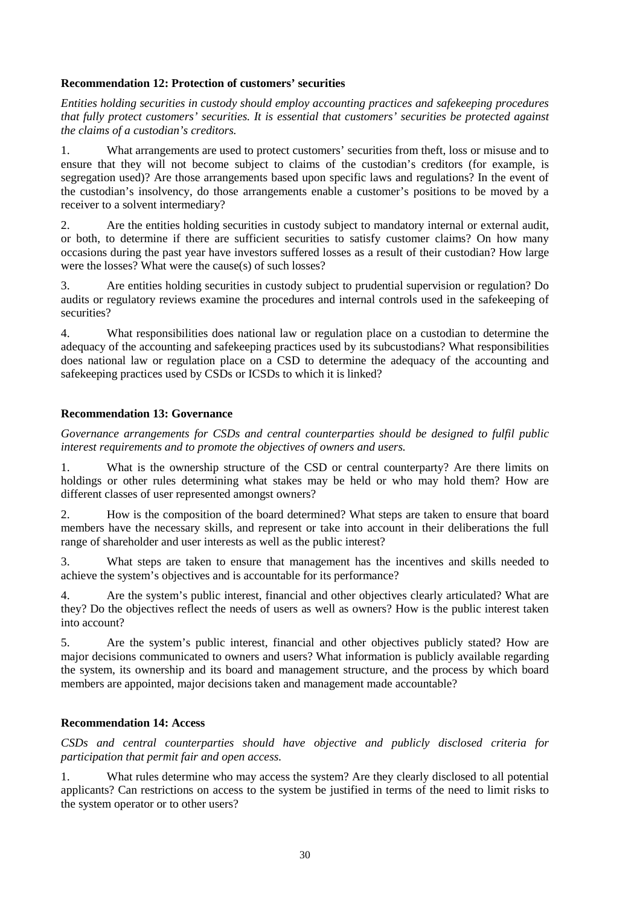## **Recommendation 12: Protection of customers' securities**

*Entities holding securities in custody should employ accounting practices and safekeeping procedures that fully protect customers' securities. It is essential that customers' securities be protected against the claims of a custodian's creditors.*

1. What arrangements are used to protect customers' securities from theft, loss or misuse and to ensure that they will not become subject to claims of the custodian's creditors (for example, is segregation used)? Are those arrangements based upon specific laws and regulations? In the event of the custodian's insolvency, do those arrangements enable a customer's positions to be moved by a receiver to a solvent intermediary?

2. Are the entities holding securities in custody subject to mandatory internal or external audit, or both, to determine if there are sufficient securities to satisfy customer claims? On how many occasions during the past year have investors suffered losses as a result of their custodian? How large were the losses? What were the cause(s) of such losses?

3. Are entities holding securities in custody subject to prudential supervision or regulation? Do audits or regulatory reviews examine the procedures and internal controls used in the safekeeping of securities?

4. What responsibilities does national law or regulation place on a custodian to determine the adequacy of the accounting and safekeeping practices used by its subcustodians? What responsibilities does national law or regulation place on a CSD to determine the adequacy of the accounting and safekeeping practices used by CSDs or ICSDs to which it is linked?

## **Recommendation 13: Governance**

*Governance arrangements for CSDs and central counterparties should be designed to fulfil public interest requirements and to promote the objectives of owners and users.*

1. What is the ownership structure of the CSD or central counterparty? Are there limits on holdings or other rules determining what stakes may be held or who may hold them? How are different classes of user represented amongst owners?

2. How is the composition of the board determined? What steps are taken to ensure that board members have the necessary skills, and represent or take into account in their deliberations the full range of shareholder and user interests as well as the public interest?

3. What steps are taken to ensure that management has the incentives and skills needed to achieve the system's objectives and is accountable for its performance?

4. Are the system's public interest, financial and other objectives clearly articulated? What are they? Do the objectives reflect the needs of users as well as owners? How is the public interest taken into account?

5. Are the system's public interest, financial and other objectives publicly stated? How are major decisions communicated to owners and users? What information is publicly available regarding the system, its ownership and its board and management structure, and the process by which board members are appointed, major decisions taken and management made accountable?

## **Recommendation 14: Access**

*CSDs and central counterparties should have objective and publicly disclosed criteria for participation that permit fair and open access.*

1. What rules determine who may access the system? Are they clearly disclosed to all potential applicants? Can restrictions on access to the system be justified in terms of the need to limit risks to the system operator or to other users?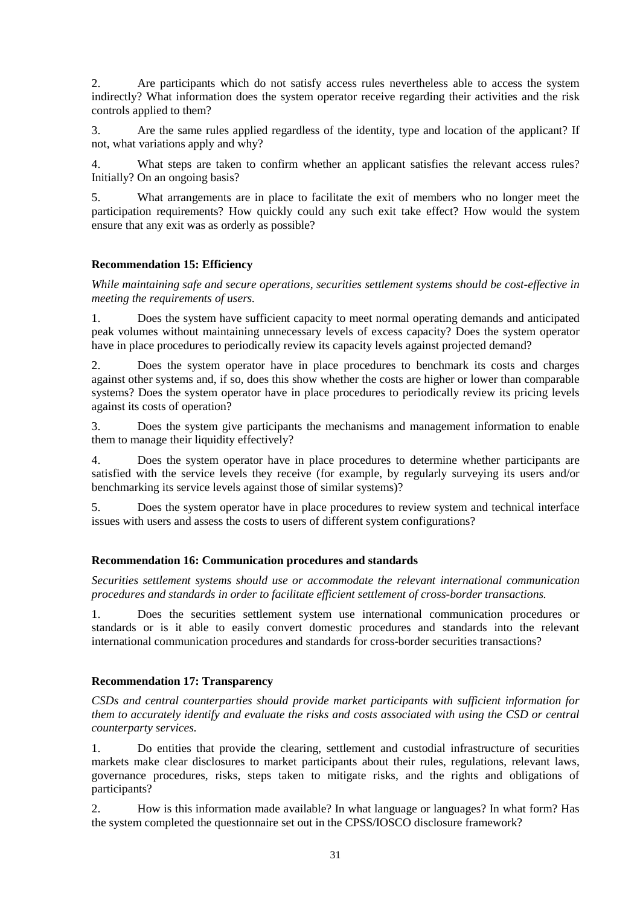2. Are participants which do not satisfy access rules nevertheless able to access the system indirectly? What information does the system operator receive regarding their activities and the risk controls applied to them?

3. Are the same rules applied regardless of the identity, type and location of the applicant? If not, what variations apply and why?

4. What steps are taken to confirm whether an applicant satisfies the relevant access rules? Initially? On an ongoing basis?

5. What arrangements are in place to facilitate the exit of members who no longer meet the participation requirements? How quickly could any such exit take effect? How would the system ensure that any exit was as orderly as possible?

## **Recommendation 15: Efficiency**

*While maintaining safe and secure operations, securities settlement systems should be cost-effective in meeting the requirements of users.*

1. Does the system have sufficient capacity to meet normal operating demands and anticipated peak volumes without maintaining unnecessary levels of excess capacity? Does the system operator have in place procedures to periodically review its capacity levels against projected demand?

2. Does the system operator have in place procedures to benchmark its costs and charges against other systems and, if so, does this show whether the costs are higher or lower than comparable systems? Does the system operator have in place procedures to periodically review its pricing levels against its costs of operation?

3. Does the system give participants the mechanisms and management information to enable them to manage their liquidity effectively?

4. Does the system operator have in place procedures to determine whether participants are satisfied with the service levels they receive (for example, by regularly surveying its users and/or benchmarking its service levels against those of similar systems)?

5. Does the system operator have in place procedures to review system and technical interface issues with users and assess the costs to users of different system configurations?

## **Recommendation 16: Communication procedures and standards**

*Securities settlement systems should use or accommodate the relevant international communication procedures and standards in order to facilitate efficient settlement of cross-border transactions.*

1. Does the securities settlement system use international communication procedures or standards or is it able to easily convert domestic procedures and standards into the relevant international communication procedures and standards for cross-border securities transactions?

## **Recommendation 17: Transparency**

*CSDs and central counterparties should provide market participants with sufficient information for them to accurately identify and evaluate the risks and costs associated with using the CSD or central counterparty services.*

1. Do entities that provide the clearing, settlement and custodial infrastructure of securities markets make clear disclosures to market participants about their rules, regulations, relevant laws, governance procedures, risks, steps taken to mitigate risks, and the rights and obligations of participants?

2. How is this information made available? In what language or languages? In what form? Has the system completed the questionnaire set out in the CPSS/IOSCO disclosure framework?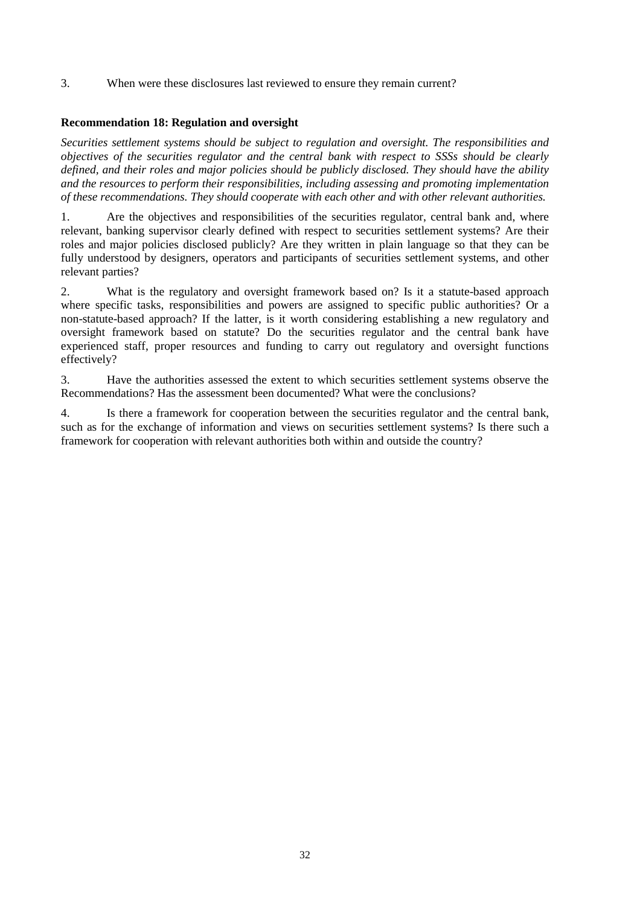3. When were these disclosures last reviewed to ensure they remain current?

## **Recommendation 18: Regulation and oversight**

*Securities settlement systems should be subject to regulation and oversight. The responsibilities and objectives of the securities regulator and the central bank with respect to SSSs should be clearly defined, and their roles and major policies should be publicly disclosed. They should have the ability and the resources to perform their responsibilities, including assessing and promoting implementation of these recommendations. They should cooperate with each other and with other relevant authorities.*

1. Are the objectives and responsibilities of the securities regulator, central bank and, where relevant, banking supervisor clearly defined with respect to securities settlement systems? Are their roles and major policies disclosed publicly? Are they written in plain language so that they can be fully understood by designers, operators and participants of securities settlement systems, and other relevant parties?

2. What is the regulatory and oversight framework based on? Is it a statute-based approach where specific tasks, responsibilities and powers are assigned to specific public authorities? Or a non-statute-based approach? If the latter, is it worth considering establishing a new regulatory and oversight framework based on statute? Do the securities regulator and the central bank have experienced staff, proper resources and funding to carry out regulatory and oversight functions effectively?

3. Have the authorities assessed the extent to which securities settlement systems observe the Recommendations? Has the assessment been documented? What were the conclusions?

4. Is there a framework for cooperation between the securities regulator and the central bank, such as for the exchange of information and views on securities settlement systems? Is there such a framework for cooperation with relevant authorities both within and outside the country?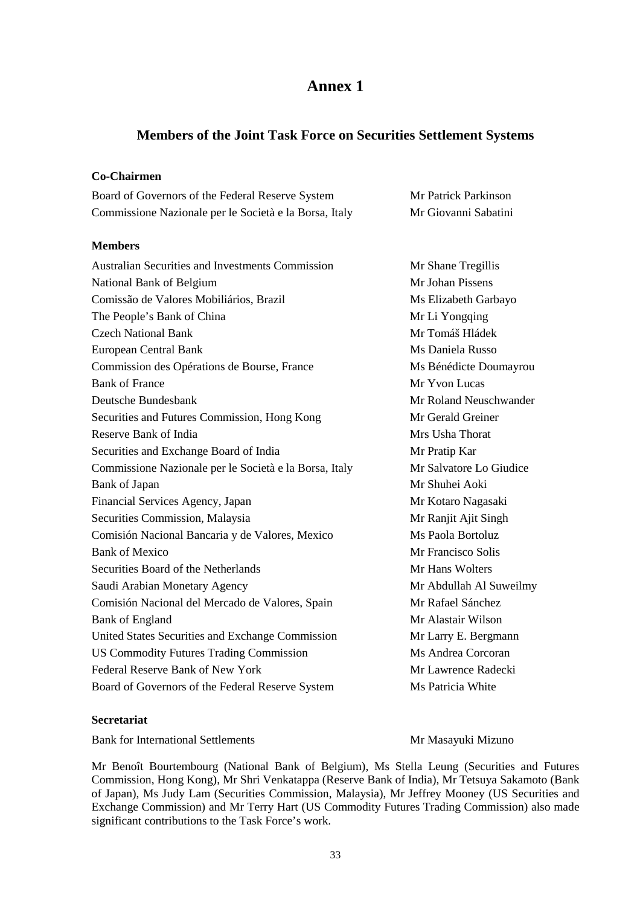## **Members of the Joint Task Force on Securities Settlement Systems**

## **Co-Chairmen**

| Board of Governors of the Federal Reserve System       | Mr Patrick Parkinson |
|--------------------------------------------------------|----------------------|
| Commissione Nazionale per le Società e la Borsa, Italy | Mr Giovanni Sabatini |
| <b>Members</b>                                         |                      |

Australian Securities and Investments Commission Mr Shane Tregillis National Bank of Belgium Mr Johan Pissens Comissão de Valores Mobiliários, Brazil Ms Elizabeth Garbayo The People's Bank of China Mr Li Yongqing Czech National Bank Mr Tomáš Hládek European Central Bank Ms Daniela Russo Commission des Opérations de Bourse, France Ms Bénédicte Doumayrou Bank of France Mr Yvon Lucas Deutsche Bundesbank Mr Roland Neuschwander Securities and Futures Commission, Hong Kong Mr Gerald Greiner Reserve Bank of India News 2008 and 2008 and 2008 and 2008 and 2008 and 2008 and 2008 and 2008 and 2008 and 200 Securities and Exchange Board of India Mr Pratip Kar Commissione Nazionale per le Società e la Borsa, Italy Mr Salvatore Lo Giudice Bank of Japan Mr Shuhei Aoki Financial Services Agency, Japan Mr Kotaro Nagasaki Securities Commission, Malaysia Mr Ranjit Ajit Singh Comisión Nacional Bancaria y de Valores, Mexico Ms Paola Bortoluz Bank of Mexico **Mr Francisco** Solis Securities Board of the Netherlands Mr Hans Wolters Saudi Arabian Monetary Agency **Mr Abdullah Al Suweilmy** Comisión Nacional del Mercado de Valores, Spain Mr Rafael Sánchez Bank of England Mr Alastair Wilson United States Securities and Exchange Commission Mr Larry E. Bergmann US Commodity Futures Trading Commission Ms Andrea Corcoran Federal Reserve Bank of New York Mr Lawrence Radecki Board of Governors of the Federal Reserve System Ms Patricia White

## **Secretariat**

Bank for International Settlements and Mr Masayuki Mizuno

Mr Benoît Bourtembourg (National Bank of Belgium), Ms Stella Leung (Securities and Futures Commission, Hong Kong), Mr Shri Venkatappa (Reserve Bank of India), Mr Tetsuya Sakamoto (Bank of Japan), Ms Judy Lam (Securities Commission, Malaysia), Mr Jeffrey Mooney (US Securities and Exchange Commission) and Mr Terry Hart (US Commodity Futures Trading Commission) also made significant contributions to the Task Force's work.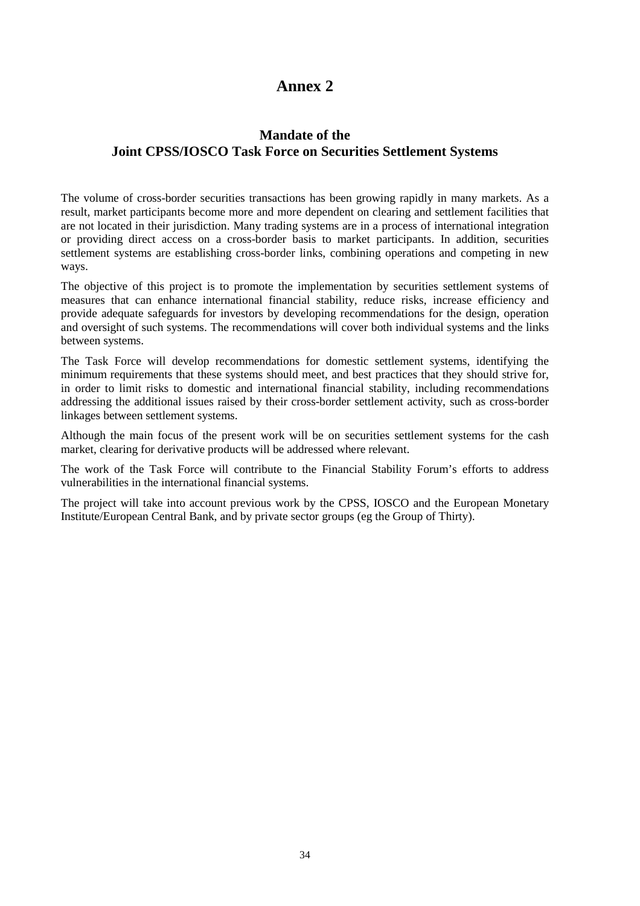## **Mandate of the Joint CPSS/IOSCO Task Force on Securities Settlement Systems**

The volume of cross-border securities transactions has been growing rapidly in many markets. As a result, market participants become more and more dependent on clearing and settlement facilities that are not located in their jurisdiction. Many trading systems are in a process of international integration or providing direct access on a cross-border basis to market participants. In addition, securities settlement systems are establishing cross-border links, combining operations and competing in new ways.

The objective of this project is to promote the implementation by securities settlement systems of measures that can enhance international financial stability, reduce risks, increase efficiency and provide adequate safeguards for investors by developing recommendations for the design, operation and oversight of such systems. The recommendations will cover both individual systems and the links between systems.

The Task Force will develop recommendations for domestic settlement systems, identifying the minimum requirements that these systems should meet, and best practices that they should strive for, in order to limit risks to domestic and international financial stability, including recommendations addressing the additional issues raised by their cross-border settlement activity, such as cross-border linkages between settlement systems.

Although the main focus of the present work will be on securities settlement systems for the cash market, clearing for derivative products will be addressed where relevant.

The work of the Task Force will contribute to the Financial Stability Forum's efforts to address vulnerabilities in the international financial systems.

The project will take into account previous work by the CPSS, IOSCO and the European Monetary Institute/European Central Bank, and by private sector groups (eg the Group of Thirty).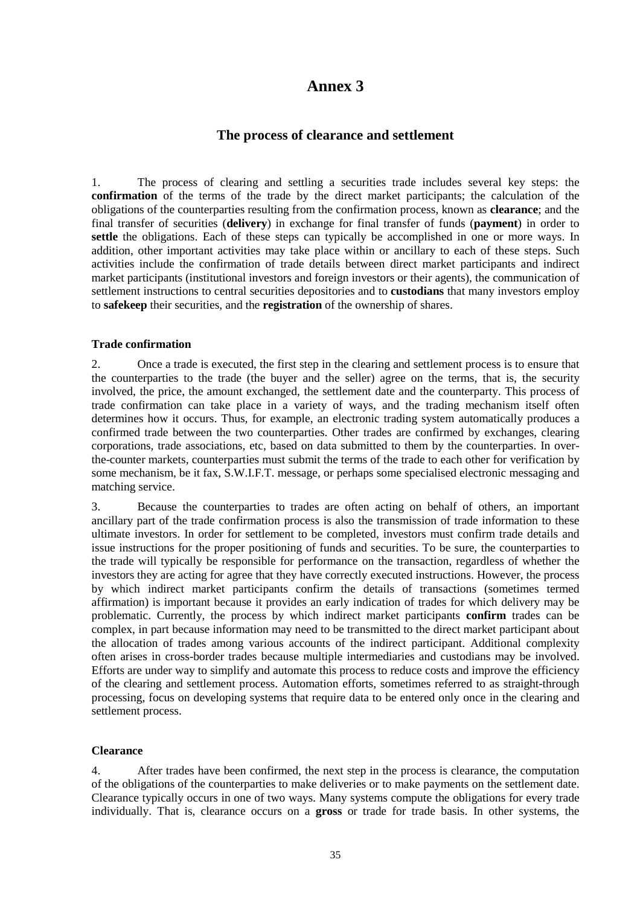## **The process of clearance and settlement**

1. The process of clearing and settling a securities trade includes several key steps: the **confirmation** of the terms of the trade by the direct market participants; the calculation of the obligations of the counterparties resulting from the confirmation process, known as **clearance**; and the final transfer of securities (**delivery**) in exchange for final transfer of funds (**payment**) in order to settle the obligations. Each of these steps can typically be accomplished in one or more ways. In addition, other important activities may take place within or ancillary to each of these steps. Such activities include the confirmation of trade details between direct market participants and indirect market participants (institutional investors and foreign investors or their agents), the communication of settlement instructions to central securities depositories and to **custodians** that many investors employ to **safekeep** their securities, and the **registration** of the ownership of shares.

#### **Trade confirmation**

2. Once a trade is executed, the first step in the clearing and settlement process is to ensure that the counterparties to the trade (the buyer and the seller) agree on the terms, that is, the security involved, the price, the amount exchanged, the settlement date and the counterparty. This process of trade confirmation can take place in a variety of ways, and the trading mechanism itself often determines how it occurs. Thus, for example, an electronic trading system automatically produces a confirmed trade between the two counterparties. Other trades are confirmed by exchanges, clearing corporations, trade associations, etc, based on data submitted to them by the counterparties. In overthe-counter markets, counterparties must submit the terms of the trade to each other for verification by some mechanism, be it fax, S.W.I.F.T. message, or perhaps some specialised electronic messaging and matching service.

3. Because the counterparties to trades are often acting on behalf of others, an important ancillary part of the trade confirmation process is also the transmission of trade information to these ultimate investors. In order for settlement to be completed, investors must confirm trade details and issue instructions for the proper positioning of funds and securities. To be sure, the counterparties to the trade will typically be responsible for performance on the transaction, regardless of whether the investors they are acting for agree that they have correctly executed instructions. However, the process by which indirect market participants confirm the details of transactions (sometimes termed affirmation) is important because it provides an early indication of trades for which delivery may be problematic. Currently, the process by which indirect market participants **confirm** trades can be complex, in part because information may need to be transmitted to the direct market participant about the allocation of trades among various accounts of the indirect participant. Additional complexity often arises in cross-border trades because multiple intermediaries and custodians may be involved. Efforts are under way to simplify and automate this process to reduce costs and improve the efficiency of the clearing and settlement process. Automation efforts, sometimes referred to as straight-through processing, focus on developing systems that require data to be entered only once in the clearing and settlement process.

## **Clearance**

4. After trades have been confirmed, the next step in the process is clearance, the computation of the obligations of the counterparties to make deliveries or to make payments on the settlement date. Clearance typically occurs in one of two ways. Many systems compute the obligations for every trade individually. That is, clearance occurs on a **gross** or trade for trade basis. In other systems, the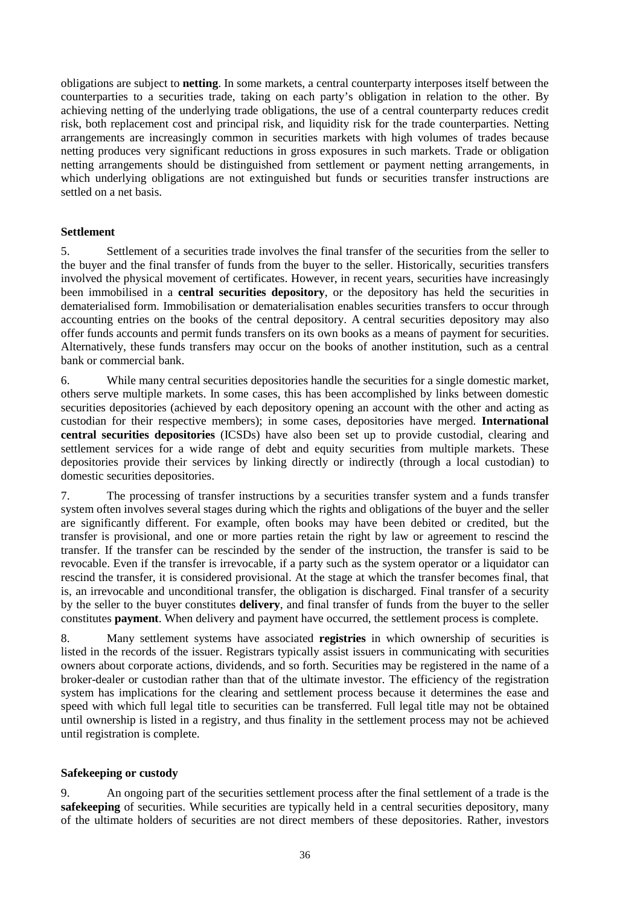obligations are subject to **netting**. In some markets, a central counterparty interposes itself between the counterparties to a securities trade, taking on each party's obligation in relation to the other. By achieving netting of the underlying trade obligations, the use of a central counterparty reduces credit risk, both replacement cost and principal risk, and liquidity risk for the trade counterparties. Netting arrangements are increasingly common in securities markets with high volumes of trades because netting produces very significant reductions in gross exposures in such markets. Trade or obligation netting arrangements should be distinguished from settlement or payment netting arrangements, in which underlying obligations are not extinguished but funds or securities transfer instructions are settled on a net basis.

## **Settlement**

5. Settlement of a securities trade involves the final transfer of the securities from the seller to the buyer and the final transfer of funds from the buyer to the seller. Historically, securities transfers involved the physical movement of certificates. However, in recent years, securities have increasingly been immobilised in a **central securities depository**, or the depository has held the securities in dematerialised form. Immobilisation or dematerialisation enables securities transfers to occur through accounting entries on the books of the central depository. A central securities depository may also offer funds accounts and permit funds transfers on its own books as a means of payment for securities. Alternatively, these funds transfers may occur on the books of another institution, such as a central bank or commercial bank.

6. While many central securities depositories handle the securities for a single domestic market, others serve multiple markets. In some cases, this has been accomplished by links between domestic securities depositories (achieved by each depository opening an account with the other and acting as custodian for their respective members); in some cases, depositories have merged. **International central securities depositories** (ICSDs) have also been set up to provide custodial, clearing and settlement services for a wide range of debt and equity securities from multiple markets. These depositories provide their services by linking directly or indirectly (through a local custodian) to domestic securities depositories.

7. The processing of transfer instructions by a securities transfer system and a funds transfer system often involves several stages during which the rights and obligations of the buyer and the seller are significantly different. For example, often books may have been debited or credited, but the transfer is provisional, and one or more parties retain the right by law or agreement to rescind the transfer. If the transfer can be rescinded by the sender of the instruction, the transfer is said to be revocable. Even if the transfer is irrevocable, if a party such as the system operator or a liquidator can rescind the transfer, it is considered provisional. At the stage at which the transfer becomes final, that is, an irrevocable and unconditional transfer, the obligation is discharged. Final transfer of a security by the seller to the buyer constitutes **delivery**, and final transfer of funds from the buyer to the seller constitutes **payment**. When delivery and payment have occurred, the settlement process is complete.

8. Many settlement systems have associated **registries** in which ownership of securities is listed in the records of the issuer. Registrars typically assist issuers in communicating with securities owners about corporate actions, dividends, and so forth. Securities may be registered in the name of a broker-dealer or custodian rather than that of the ultimate investor. The efficiency of the registration system has implications for the clearing and settlement process because it determines the ease and speed with which full legal title to securities can be transferred. Full legal title may not be obtained until ownership is listed in a registry, and thus finality in the settlement process may not be achieved until registration is complete.

## **Safekeeping or custody**

9. An ongoing part of the securities settlement process after the final settlement of a trade is the **safekeeping** of securities. While securities are typically held in a central securities depository, many of the ultimate holders of securities are not direct members of these depositories. Rather, investors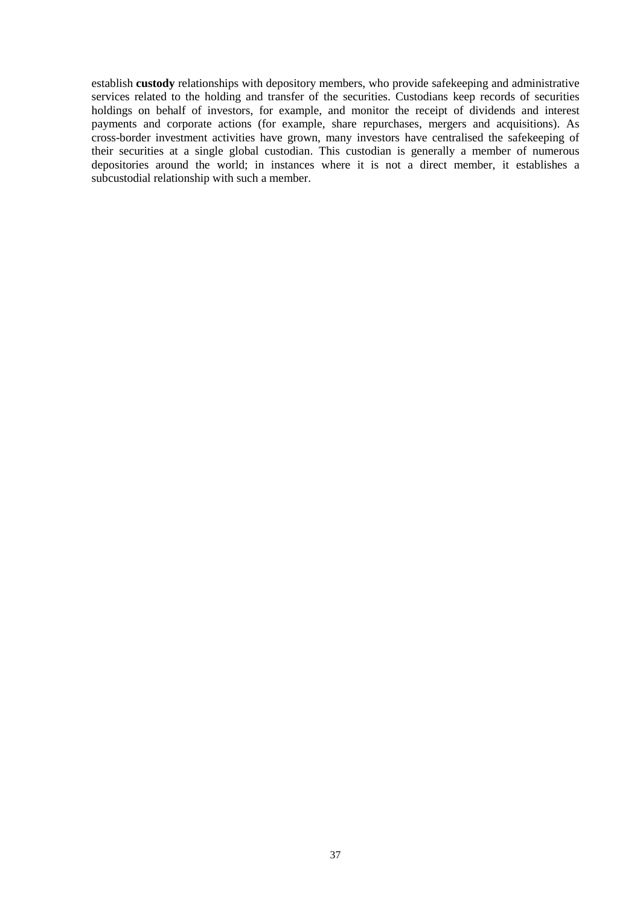establish **custody** relationships with depository members, who provide safekeeping and administrative services related to the holding and transfer of the securities. Custodians keep records of securities holdings on behalf of investors, for example, and monitor the receipt of dividends and interest payments and corporate actions (for example, share repurchases, mergers and acquisitions). As cross-border investment activities have grown, many investors have centralised the safekeeping of their securities at a single global custodian. This custodian is generally a member of numerous depositories around the world; in instances where it is not a direct member, it establishes a subcustodial relationship with such a member.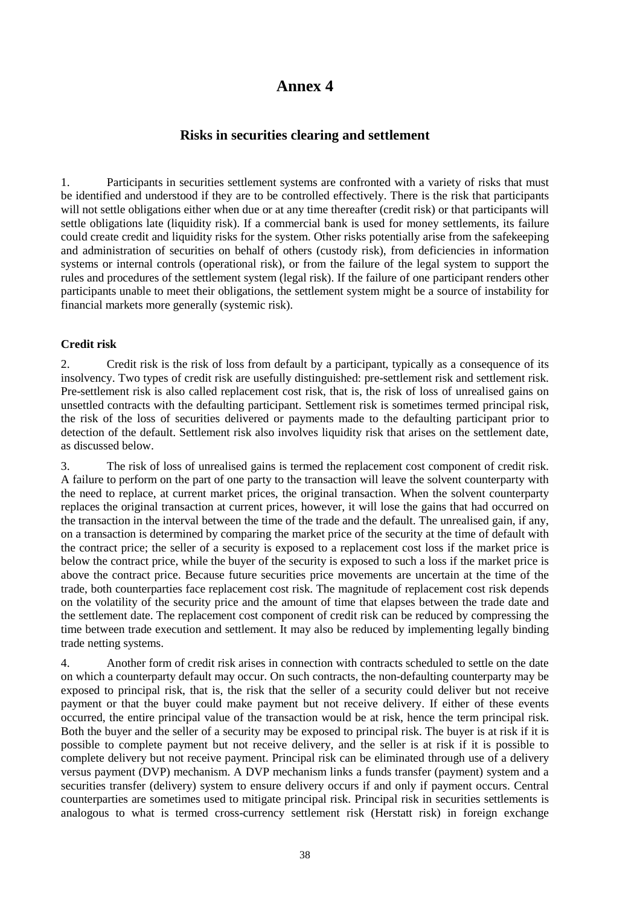## **Risks in securities clearing and settlement**

1. Participants in securities settlement systems are confronted with a variety of risks that must be identified and understood if they are to be controlled effectively. There is the risk that participants will not settle obligations either when due or at any time thereafter (credit risk) or that participants will settle obligations late (liquidity risk). If a commercial bank is used for money settlements, its failure could create credit and liquidity risks for the system. Other risks potentially arise from the safekeeping and administration of securities on behalf of others (custody risk), from deficiencies in information systems or internal controls (operational risk), or from the failure of the legal system to support the rules and procedures of the settlement system (legal risk). If the failure of one participant renders other participants unable to meet their obligations, the settlement system might be a source of instability for financial markets more generally (systemic risk).

## **Credit risk**

2. Credit risk is the risk of loss from default by a participant, typically as a consequence of its insolvency. Two types of credit risk are usefully distinguished: pre-settlement risk and settlement risk. Pre-settlement risk is also called replacement cost risk, that is, the risk of loss of unrealised gains on unsettled contracts with the defaulting participant. Settlement risk is sometimes termed principal risk, the risk of the loss of securities delivered or payments made to the defaulting participant prior to detection of the default. Settlement risk also involves liquidity risk that arises on the settlement date, as discussed below.

3. The risk of loss of unrealised gains is termed the replacement cost component of credit risk. A failure to perform on the part of one party to the transaction will leave the solvent counterparty with the need to replace, at current market prices, the original transaction. When the solvent counterparty replaces the original transaction at current prices, however, it will lose the gains that had occurred on the transaction in the interval between the time of the trade and the default. The unrealised gain, if any, on a transaction is determined by comparing the market price of the security at the time of default with the contract price; the seller of a security is exposed to a replacement cost loss if the market price is below the contract price, while the buyer of the security is exposed to such a loss if the market price is above the contract price. Because future securities price movements are uncertain at the time of the trade, both counterparties face replacement cost risk. The magnitude of replacement cost risk depends on the volatility of the security price and the amount of time that elapses between the trade date and the settlement date. The replacement cost component of credit risk can be reduced by compressing the time between trade execution and settlement. It may also be reduced by implementing legally binding trade netting systems.

4. Another form of credit risk arises in connection with contracts scheduled to settle on the date on which a counterparty default may occur. On such contracts, the non-defaulting counterparty may be exposed to principal risk, that is, the risk that the seller of a security could deliver but not receive payment or that the buyer could make payment but not receive delivery. If either of these events occurred, the entire principal value of the transaction would be at risk, hence the term principal risk. Both the buyer and the seller of a security may be exposed to principal risk. The buyer is at risk if it is possible to complete payment but not receive delivery, and the seller is at risk if it is possible to complete delivery but not receive payment. Principal risk can be eliminated through use of a delivery versus payment (DVP) mechanism. A DVP mechanism links a funds transfer (payment) system and a securities transfer (delivery) system to ensure delivery occurs if and only if payment occurs. Central counterparties are sometimes used to mitigate principal risk. Principal risk in securities settlements is analogous to what is termed cross-currency settlement risk (Herstatt risk) in foreign exchange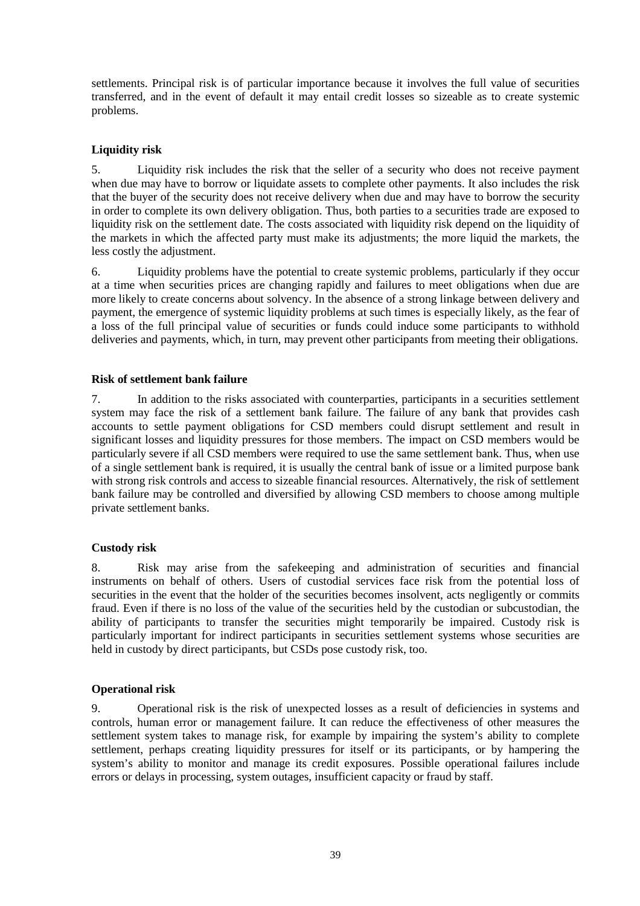settlements. Principal risk is of particular importance because it involves the full value of securities transferred, and in the event of default it may entail credit losses so sizeable as to create systemic problems.

## **Liquidity risk**

5. Liquidity risk includes the risk that the seller of a security who does not receive payment when due may have to borrow or liquidate assets to complete other payments. It also includes the risk that the buyer of the security does not receive delivery when due and may have to borrow the security in order to complete its own delivery obligation. Thus, both parties to a securities trade are exposed to liquidity risk on the settlement date. The costs associated with liquidity risk depend on the liquidity of the markets in which the affected party must make its adjustments; the more liquid the markets, the less costly the adjustment.

6. Liquidity problems have the potential to create systemic problems, particularly if they occur at a time when securities prices are changing rapidly and failures to meet obligations when due are more likely to create concerns about solvency. In the absence of a strong linkage between delivery and payment, the emergence of systemic liquidity problems at such times is especially likely, as the fear of a loss of the full principal value of securities or funds could induce some participants to withhold deliveries and payments, which, in turn, may prevent other participants from meeting their obligations.

## **Risk of settlement bank failure**

7. In addition to the risks associated with counterparties, participants in a securities settlement system may face the risk of a settlement bank failure. The failure of any bank that provides cash accounts to settle payment obligations for CSD members could disrupt settlement and result in significant losses and liquidity pressures for those members. The impact on CSD members would be particularly severe if all CSD members were required to use the same settlement bank. Thus, when use of a single settlement bank is required, it is usually the central bank of issue or a limited purpose bank with strong risk controls and access to sizeable financial resources. Alternatively, the risk of settlement bank failure may be controlled and diversified by allowing CSD members to choose among multiple private settlement banks.

## **Custody risk**

8. Risk may arise from the safekeeping and administration of securities and financial instruments on behalf of others. Users of custodial services face risk from the potential loss of securities in the event that the holder of the securities becomes insolvent, acts negligently or commits fraud. Even if there is no loss of the value of the securities held by the custodian or subcustodian, the ability of participants to transfer the securities might temporarily be impaired. Custody risk is particularly important for indirect participants in securities settlement systems whose securities are held in custody by direct participants, but CSDs pose custody risk, too.

## **Operational risk**

9. Operational risk is the risk of unexpected losses as a result of deficiencies in systems and controls, human error or management failure. It can reduce the effectiveness of other measures the settlement system takes to manage risk, for example by impairing the system's ability to complete settlement, perhaps creating liquidity pressures for itself or its participants, or by hampering the system's ability to monitor and manage its credit exposures. Possible operational failures include errors or delays in processing, system outages, insufficient capacity or fraud by staff.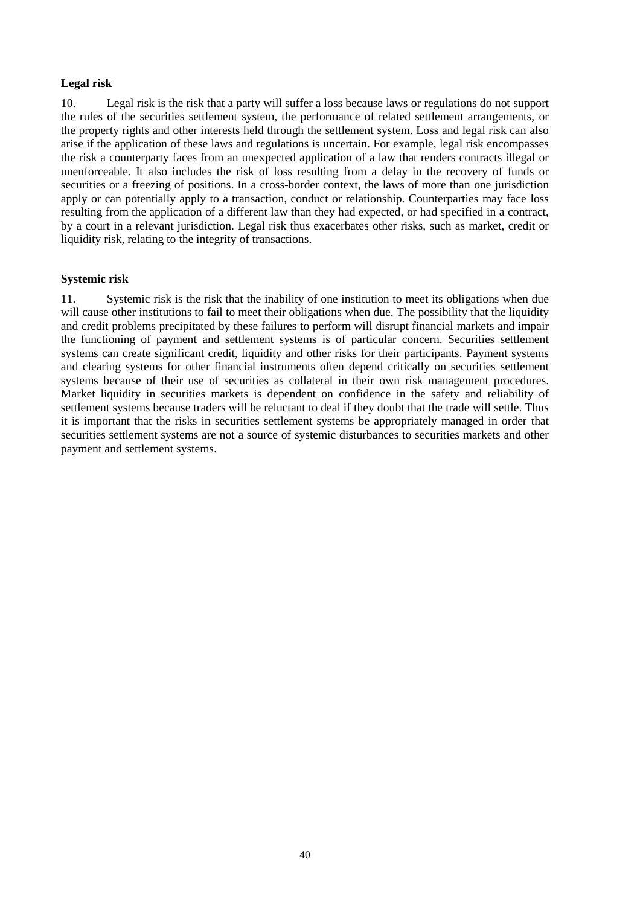## **Legal risk**

10. Legal risk is the risk that a party will suffer a loss because laws or regulations do not support the rules of the securities settlement system, the performance of related settlement arrangements, or the property rights and other interests held through the settlement system. Loss and legal risk can also arise if the application of these laws and regulations is uncertain. For example, legal risk encompasses the risk a counterparty faces from an unexpected application of a law that renders contracts illegal or unenforceable. It also includes the risk of loss resulting from a delay in the recovery of funds or securities or a freezing of positions. In a cross-border context, the laws of more than one jurisdiction apply or can potentially apply to a transaction, conduct or relationship. Counterparties may face loss resulting from the application of a different law than they had expected, or had specified in a contract, by a court in a relevant jurisdiction. Legal risk thus exacerbates other risks, such as market, credit or liquidity risk, relating to the integrity of transactions.

## **Systemic risk**

11. Systemic risk is the risk that the inability of one institution to meet its obligations when due will cause other institutions to fail to meet their obligations when due. The possibility that the liquidity and credit problems precipitated by these failures to perform will disrupt financial markets and impair the functioning of payment and settlement systems is of particular concern. Securities settlement systems can create significant credit, liquidity and other risks for their participants. Payment systems and clearing systems for other financial instruments often depend critically on securities settlement systems because of their use of securities as collateral in their own risk management procedures. Market liquidity in securities markets is dependent on confidence in the safety and reliability of settlement systems because traders will be reluctant to deal if they doubt that the trade will settle. Thus it is important that the risks in securities settlement systems be appropriately managed in order that securities settlement systems are not a source of systemic disturbances to securities markets and other payment and settlement systems.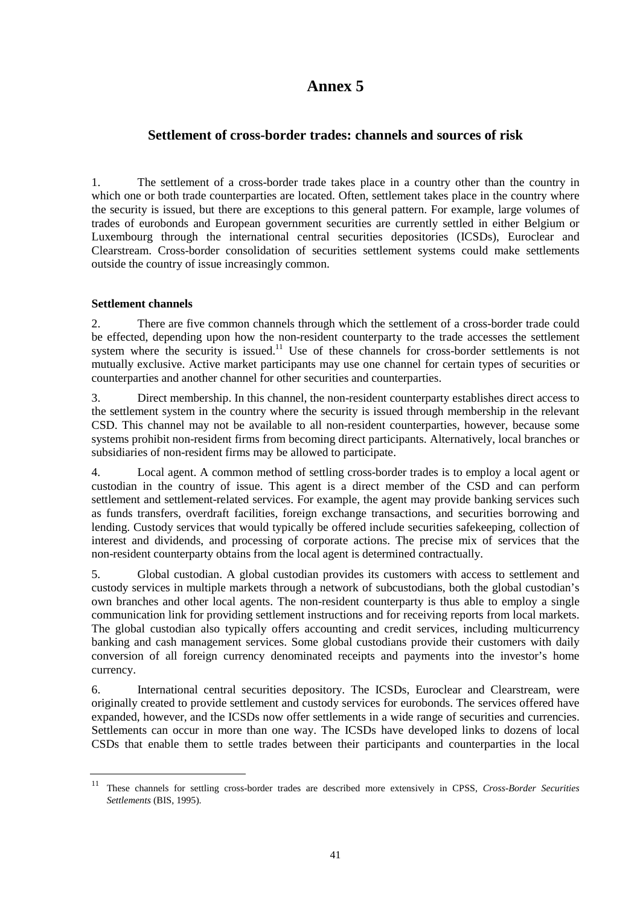## **Settlement of cross-border trades: channels and sources of risk**

1. The settlement of a cross-border trade takes place in a country other than the country in which one or both trade counterparties are located. Often, settlement takes place in the country where the security is issued, but there are exceptions to this general pattern. For example, large volumes of trades of eurobonds and European government securities are currently settled in either Belgium or Luxembourg through the international central securities depositories (ICSDs), Euroclear and Clearstream. Cross-border consolidation of securities settlement systems could make settlements outside the country of issue increasingly common.

## **Settlement channels**

2. There are five common channels through which the settlement of a cross-border trade could be effected, depending upon how the non-resident counterparty to the trade accesses the settlement system where the security is issued.<sup>11</sup> Use of these channels for cross-border settlements is not mutually exclusive. Active market participants may use one channel for certain types of securities or counterparties and another channel for other securities and counterparties.

3. Direct membership. In this channel, the non-resident counterparty establishes direct access to the settlement system in the country where the security is issued through membership in the relevant CSD. This channel may not be available to all non-resident counterparties, however, because some systems prohibit non-resident firms from becoming direct participants. Alternatively, local branches or subsidiaries of non-resident firms may be allowed to participate.

4. Local agent. A common method of settling cross-border trades is to employ a local agent or custodian in the country of issue. This agent is a direct member of the CSD and can perform settlement and settlement-related services. For example, the agent may provide banking services such as funds transfers, overdraft facilities, foreign exchange transactions, and securities borrowing and lending. Custody services that would typically be offered include securities safekeeping, collection of interest and dividends, and processing of corporate actions. The precise mix of services that the non-resident counterparty obtains from the local agent is determined contractually.

5. Global custodian. A global custodian provides its customers with access to settlement and custody services in multiple markets through a network of subcustodians, both the global custodian's own branches and other local agents. The non-resident counterparty is thus able to employ a single communication link for providing settlement instructions and for receiving reports from local markets. The global custodian also typically offers accounting and credit services, including multicurrency banking and cash management services. Some global custodians provide their customers with daily conversion of all foreign currency denominated receipts and payments into the investor's home currency.

6. International central securities depository. The ICSDs, Euroclear and Clearstream, were originally created to provide settlement and custody services for eurobonds. The services offered have expanded, however, and the ICSDs now offer settlements in a wide range of securities and currencies. Settlements can occur in more than one way. The ICSDs have developed links to dozens of local CSDs that enable them to settle trades between their participants and counterparties in the local

<sup>11</sup> These channels for settling cross-border trades are described more extensively in CPSS, *Cross-Border Securities Settlements* (BIS, 1995).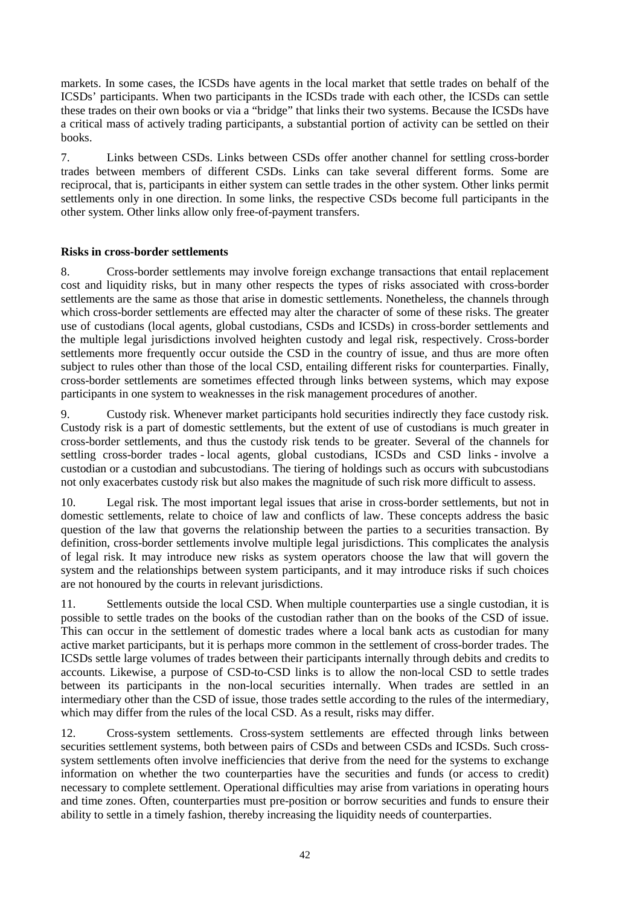markets. In some cases, the ICSDs have agents in the local market that settle trades on behalf of the ICSDs' participants. When two participants in the ICSDs trade with each other, the ICSDs can settle these trades on their own books or via a "bridge" that links their two systems. Because the ICSDs have a critical mass of actively trading participants, a substantial portion of activity can be settled on their books.

7. Links between CSDs. Links between CSDs offer another channel for settling cross-border trades between members of different CSDs. Links can take several different forms. Some are reciprocal, that is, participants in either system can settle trades in the other system. Other links permit settlements only in one direction. In some links, the respective CSDs become full participants in the other system. Other links allow only free-of-payment transfers.

## **Risks in cross-border settlements**

8. Cross-border settlements may involve foreign exchange transactions that entail replacement cost and liquidity risks, but in many other respects the types of risks associated with cross-border settlements are the same as those that arise in domestic settlements. Nonetheless, the channels through which cross-border settlements are effected may alter the character of some of these risks. The greater use of custodians (local agents, global custodians, CSDs and ICSDs) in cross-border settlements and the multiple legal jurisdictions involved heighten custody and legal risk, respectively. Cross-border settlements more frequently occur outside the CSD in the country of issue, and thus are more often subject to rules other than those of the local CSD, entailing different risks for counterparties. Finally, cross-border settlements are sometimes effected through links between systems, which may expose participants in one system to weaknesses in the risk management procedures of another.

9. Custody risk. Whenever market participants hold securities indirectly they face custody risk. Custody risk is a part of domestic settlements, but the extent of use of custodians is much greater in cross-border settlements, and thus the custody risk tends to be greater. Several of the channels for settling cross-border trades - local agents, global custodians, ICSDs and CSD links - involve a custodian or a custodian and subcustodians. The tiering of holdings such as occurs with subcustodians not only exacerbates custody risk but also makes the magnitude of such risk more difficult to assess.

10. Legal risk. The most important legal issues that arise in cross-border settlements, but not in domestic settlements, relate to choice of law and conflicts of law. These concepts address the basic question of the law that governs the relationship between the parties to a securities transaction. By definition, cross-border settlements involve multiple legal jurisdictions. This complicates the analysis of legal risk. It may introduce new risks as system operators choose the law that will govern the system and the relationships between system participants, and it may introduce risks if such choices are not honoured by the courts in relevant jurisdictions.

11. Settlements outside the local CSD. When multiple counterparties use a single custodian, it is possible to settle trades on the books of the custodian rather than on the books of the CSD of issue. This can occur in the settlement of domestic trades where a local bank acts as custodian for many active market participants, but it is perhaps more common in the settlement of cross-border trades. The ICSDs settle large volumes of trades between their participants internally through debits and credits to accounts. Likewise, a purpose of CSD-to-CSD links is to allow the non-local CSD to settle trades between its participants in the non-local securities internally. When trades are settled in an intermediary other than the CSD of issue, those trades settle according to the rules of the intermediary, which may differ from the rules of the local CSD. As a result, risks may differ.

12. Cross-system settlements. Cross-system settlements are effected through links between securities settlement systems, both between pairs of CSDs and between CSDs and ICSDs. Such crosssystem settlements often involve inefficiencies that derive from the need for the systems to exchange information on whether the two counterparties have the securities and funds (or access to credit) necessary to complete settlement. Operational difficulties may arise from variations in operating hours and time zones. Often, counterparties must pre-position or borrow securities and funds to ensure their ability to settle in a timely fashion, thereby increasing the liquidity needs of counterparties.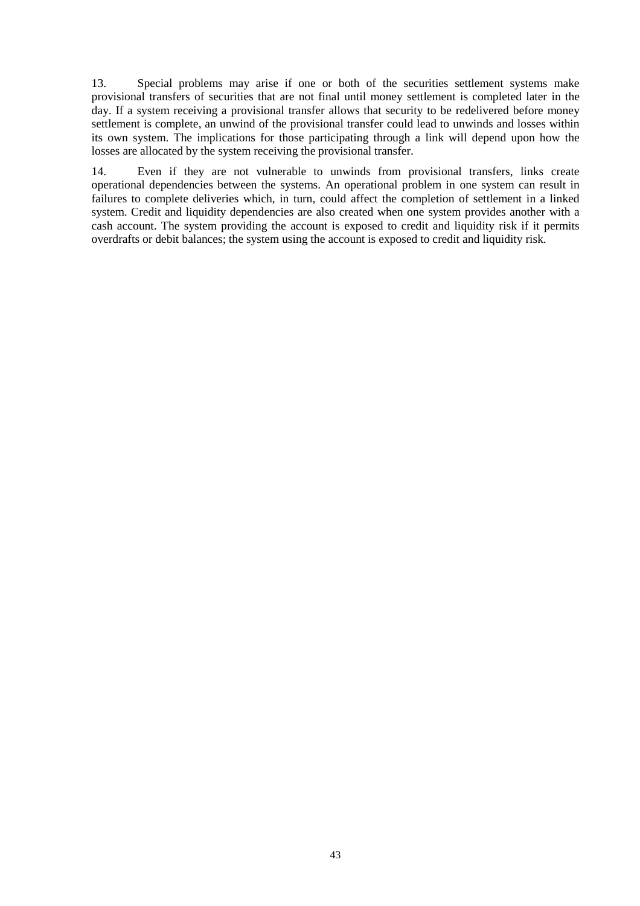13. Special problems may arise if one or both of the securities settlement systems make provisional transfers of securities that are not final until money settlement is completed later in the day. If a system receiving a provisional transfer allows that security to be redelivered before money settlement is complete, an unwind of the provisional transfer could lead to unwinds and losses within its own system. The implications for those participating through a link will depend upon how the losses are allocated by the system receiving the provisional transfer.

14. Even if they are not vulnerable to unwinds from provisional transfers, links create operational dependencies between the systems. An operational problem in one system can result in failures to complete deliveries which, in turn, could affect the completion of settlement in a linked system. Credit and liquidity dependencies are also created when one system provides another with a cash account. The system providing the account is exposed to credit and liquidity risk if it permits overdrafts or debit balances; the system using the account is exposed to credit and liquidity risk.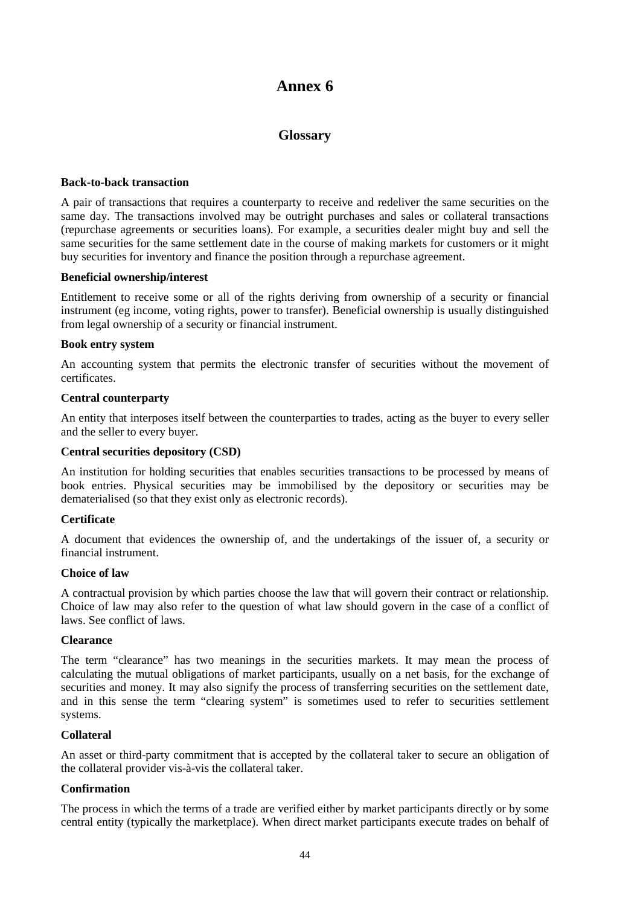## **Glossary**

#### **Back-to-back transaction**

A pair of transactions that requires a counterparty to receive and redeliver the same securities on the same day. The transactions involved may be outright purchases and sales or collateral transactions (repurchase agreements or securities loans). For example, a securities dealer might buy and sell the same securities for the same settlement date in the course of making markets for customers or it might buy securities for inventory and finance the position through a repurchase agreement.

#### **Beneficial ownership/interest**

Entitlement to receive some or all of the rights deriving from ownership of a security or financial instrument (eg income, voting rights, power to transfer). Beneficial ownership is usually distinguished from legal ownership of a security or financial instrument.

#### **Book entry system**

An accounting system that permits the electronic transfer of securities without the movement of certificates.

#### **Central counterparty**

An entity that interposes itself between the counterparties to trades, acting as the buyer to every seller and the seller to every buyer.

#### **Central securities depository (CSD)**

An institution for holding securities that enables securities transactions to be processed by means of book entries. Physical securities may be immobilised by the depository or securities may be dematerialised (so that they exist only as electronic records).

## **Certificate**

A document that evidences the ownership of, and the undertakings of the issuer of, a security or financial instrument.

#### **Choice of law**

A contractual provision by which parties choose the law that will govern their contract or relationship. Choice of law may also refer to the question of what law should govern in the case of a conflict of laws. See conflict of laws.

## **Clearance**

The term "clearance" has two meanings in the securities markets. It may mean the process of calculating the mutual obligations of market participants, usually on a net basis, for the exchange of securities and money. It may also signify the process of transferring securities on the settlement date, and in this sense the term "clearing system" is sometimes used to refer to securities settlement systems.

#### **Collateral**

An asset or third-party commitment that is accepted by the collateral taker to secure an obligation of the collateral provider vis-à-vis the collateral taker.

## **Confirmation**

The process in which the terms of a trade are verified either by market participants directly or by some central entity (typically the marketplace). When direct market participants execute trades on behalf of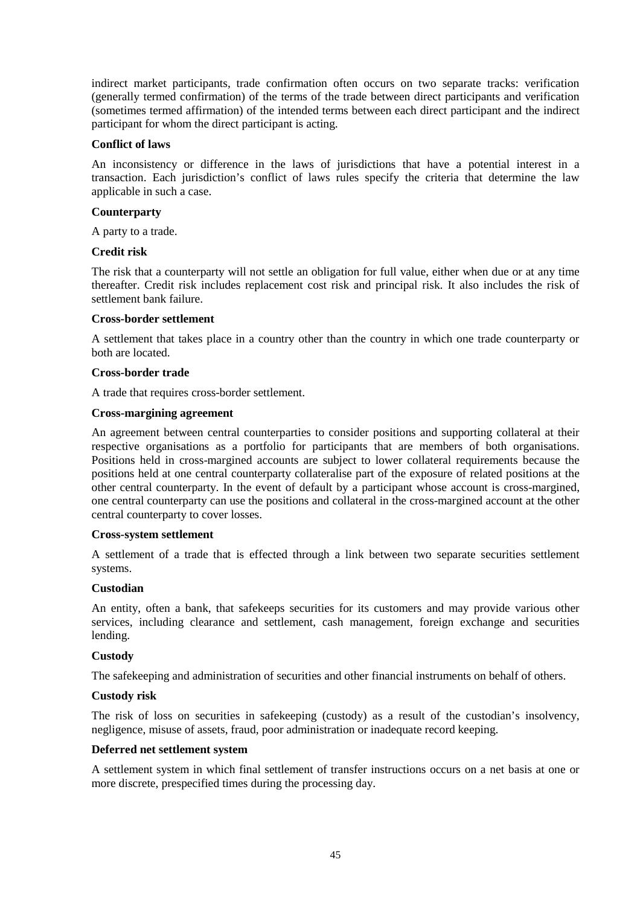indirect market participants, trade confirmation often occurs on two separate tracks: verification (generally termed confirmation) of the terms of the trade between direct participants and verification (sometimes termed affirmation) of the intended terms between each direct participant and the indirect participant for whom the direct participant is acting.

## **Conflict of laws**

An inconsistency or difference in the laws of jurisdictions that have a potential interest in a transaction. Each jurisdiction's conflict of laws rules specify the criteria that determine the law applicable in such a case.

## **Counterparty**

A party to a trade.

## **Credit risk**

The risk that a counterparty will not settle an obligation for full value, either when due or at any time thereafter. Credit risk includes replacement cost risk and principal risk. It also includes the risk of settlement bank failure.

## **Cross-border settlement**

A settlement that takes place in a country other than the country in which one trade counterparty or both are located.

#### **Cross-border trade**

A trade that requires cross-border settlement.

#### **Cross-margining agreement**

An agreement between central counterparties to consider positions and supporting collateral at their respective organisations as a portfolio for participants that are members of both organisations. Positions held in cross-margined accounts are subject to lower collateral requirements because the positions held at one central counterparty collateralise part of the exposure of related positions at the other central counterparty. In the event of default by a participant whose account is cross-margined, one central counterparty can use the positions and collateral in the cross-margined account at the other central counterparty to cover losses.

## **Cross-system settlement**

A settlement of a trade that is effected through a link between two separate securities settlement systems.

## **Custodian**

An entity, often a bank, that safekeeps securities for its customers and may provide various other services, including clearance and settlement, cash management, foreign exchange and securities lending.

## **Custody**

The safekeeping and administration of securities and other financial instruments on behalf of others.

## **Custody risk**

The risk of loss on securities in safekeeping (custody) as a result of the custodian's insolvency, negligence, misuse of assets, fraud, poor administration or inadequate record keeping.

## **Deferred net settlement system**

A settlement system in which final settlement of transfer instructions occurs on a net basis at one or more discrete, prespecified times during the processing day.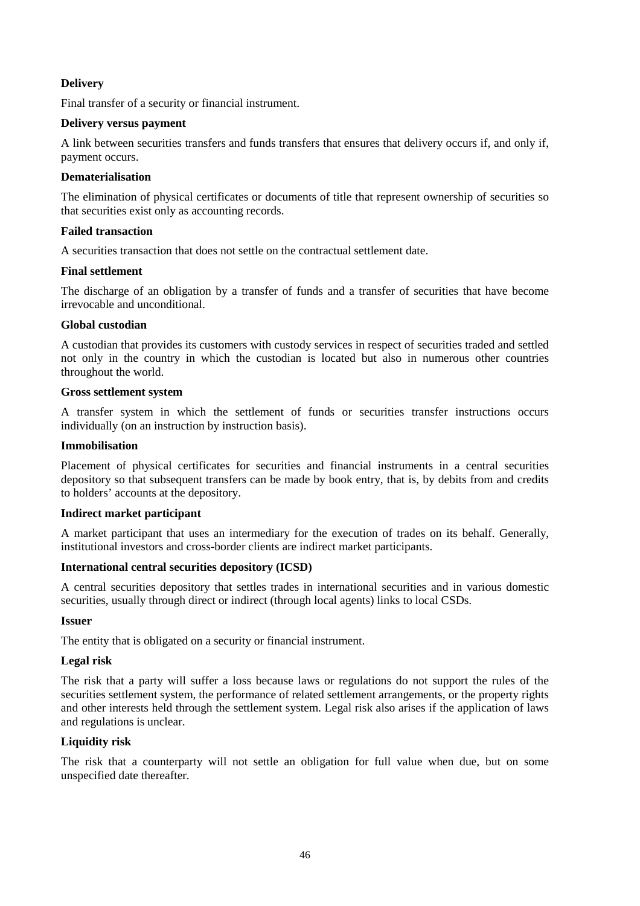## **Delivery**

Final transfer of a security or financial instrument.

## **Delivery versus payment**

A link between securities transfers and funds transfers that ensures that delivery occurs if, and only if, payment occurs.

## **Dematerialisation**

The elimination of physical certificates or documents of title that represent ownership of securities so that securities exist only as accounting records.

## **Failed transaction**

A securities transaction that does not settle on the contractual settlement date.

## **Final settlement**

The discharge of an obligation by a transfer of funds and a transfer of securities that have become irrevocable and unconditional.

## **Global custodian**

A custodian that provides its customers with custody services in respect of securities traded and settled not only in the country in which the custodian is located but also in numerous other countries throughout the world.

## **Gross settlement system**

A transfer system in which the settlement of funds or securities transfer instructions occurs individually (on an instruction by instruction basis).

## **Immobilisation**

Placement of physical certificates for securities and financial instruments in a central securities depository so that subsequent transfers can be made by book entry, that is, by debits from and credits to holders' accounts at the depository.

## **Indirect market participant**

A market participant that uses an intermediary for the execution of trades on its behalf. Generally, institutional investors and cross-border clients are indirect market participants.

## **International central securities depository (ICSD)**

A central securities depository that settles trades in international securities and in various domestic securities, usually through direct or indirect (through local agents) links to local CSDs.

## **Issuer**

The entity that is obligated on a security or financial instrument.

## **Legal risk**

The risk that a party will suffer a loss because laws or regulations do not support the rules of the securities settlement system, the performance of related settlement arrangements, or the property rights and other interests held through the settlement system. Legal risk also arises if the application of laws and regulations is unclear.

## **Liquidity risk**

The risk that a counterparty will not settle an obligation for full value when due, but on some unspecified date thereafter.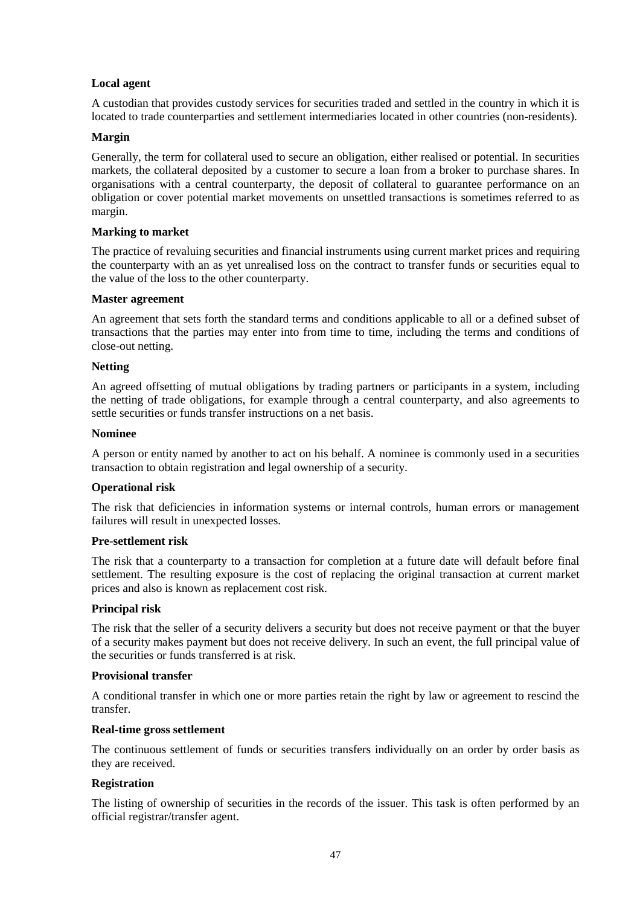## **Local agent**

A custodian that provides custody services for securities traded and settled in the country in which it is located to trade counterparties and settlement intermediaries located in other countries (non-residents).

## **Margin**

Generally, the term for collateral used to secure an obligation, either realised or potential. In securities markets, the collateral deposited by a customer to secure a loan from a broker to purchase shares. In organisations with a central counterparty, the deposit of collateral to guarantee performance on an obligation or cover potential market movements on unsettled transactions is sometimes referred to as margin.

## **Marking to market**

The practice of revaluing securities and financial instruments using current market prices and requiring the counterparty with an as yet unrealised loss on the contract to transfer funds or securities equal to the value of the loss to the other counterparty.

## **Master agreement**

An agreement that sets forth the standard terms and conditions applicable to all or a defined subset of transactions that the parties may enter into from time to time, including the terms and conditions of close-out netting.

## **Netting**

An agreed offsetting of mutual obligations by trading partners or participants in a system, including the netting of trade obligations, for example through a central counterparty, and also agreements to settle securities or funds transfer instructions on a net basis.

## **Nominee**

A person or entity named by another to act on his behalf. A nominee is commonly used in a securities transaction to obtain registration and legal ownership of a security.

## **Operational risk**

The risk that deficiencies in information systems or internal controls, human errors or management failures will result in unexpected losses.

## **Pre-settlement risk**

The risk that a counterparty to a transaction for completion at a future date will default before final settlement. The resulting exposure is the cost of replacing the original transaction at current market prices and also is known as replacement cost risk.

## **Principal risk**

The risk that the seller of a security delivers a security but does not receive payment or that the buyer of a security makes payment but does not receive delivery. In such an event, the full principal value of the securities or funds transferred is at risk.

## **Provisional transfer**

A conditional transfer in which one or more parties retain the right by law or agreement to rescind the transfer.

## **Real-time gross settlement**

The continuous settlement of funds or securities transfers individually on an order by order basis as they are received.

## **Registration**

The listing of ownership of securities in the records of the issuer. This task is often performed by an official registrar/transfer agent.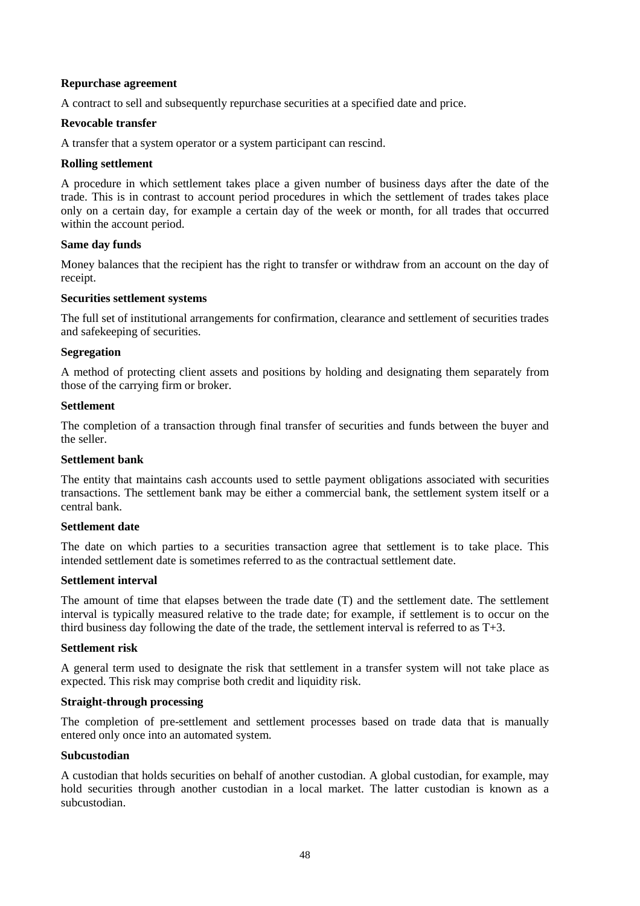## **Repurchase agreement**

A contract to sell and subsequently repurchase securities at a specified date and price.

#### **Revocable transfer**

A transfer that a system operator or a system participant can rescind.

#### **Rolling settlement**

A procedure in which settlement takes place a given number of business days after the date of the trade. This is in contrast to account period procedures in which the settlement of trades takes place only on a certain day, for example a certain day of the week or month, for all trades that occurred within the account period.

#### **Same day funds**

Money balances that the recipient has the right to transfer or withdraw from an account on the day of receipt.

#### **Securities settlement systems**

The full set of institutional arrangements for confirmation, clearance and settlement of securities trades and safekeeping of securities.

## **Segregation**

A method of protecting client assets and positions by holding and designating them separately from those of the carrying firm or broker.

#### **Settlement**

The completion of a transaction through final transfer of securities and funds between the buyer and the seller.

## **Settlement bank**

The entity that maintains cash accounts used to settle payment obligations associated with securities transactions. The settlement bank may be either a commercial bank, the settlement system itself or a central bank.

#### **Settlement date**

The date on which parties to a securities transaction agree that settlement is to take place. This intended settlement date is sometimes referred to as the contractual settlement date.

## **Settlement interval**

The amount of time that elapses between the trade date (T) and the settlement date. The settlement interval is typically measured relative to the trade date; for example, if settlement is to occur on the third business day following the date of the trade, the settlement interval is referred to as T+3.

#### **Settlement risk**

A general term used to designate the risk that settlement in a transfer system will not take place as expected. This risk may comprise both credit and liquidity risk.

#### **Straight-through processing**

The completion of pre-settlement and settlement processes based on trade data that is manually entered only once into an automated system.

## **Subcustodian**

A custodian that holds securities on behalf of another custodian. A global custodian, for example, may hold securities through another custodian in a local market. The latter custodian is known as a subcustodian.